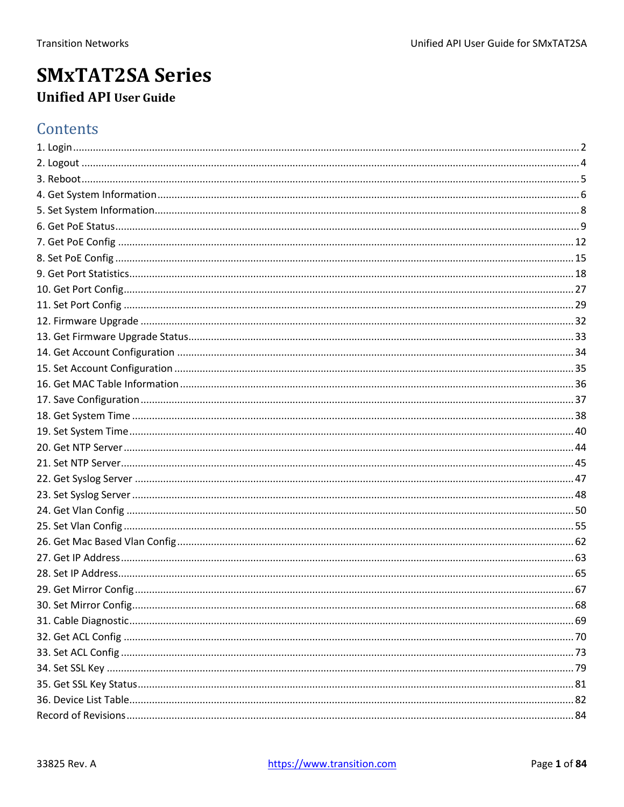# **SMxTAT2SA Series**

### **Unified API User Guide**

### Contents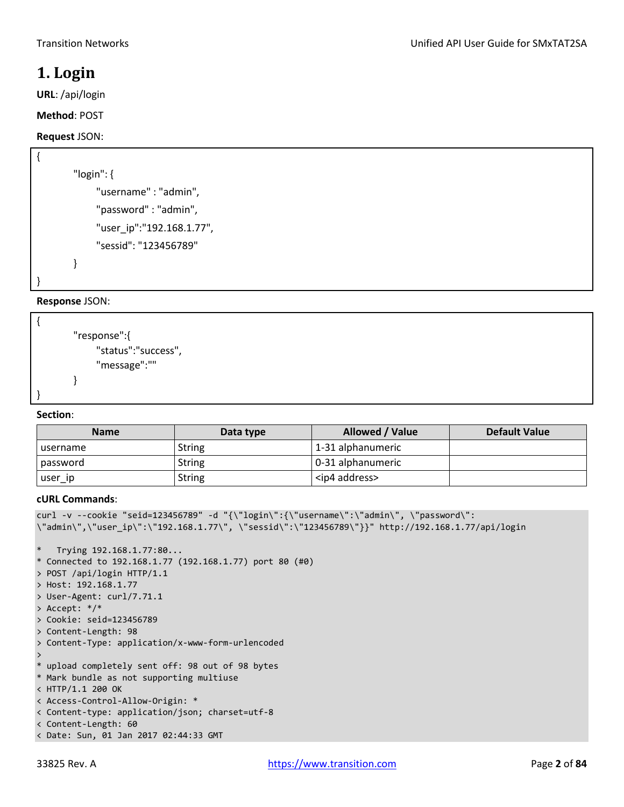### <span id="page-1-0"></span>**1. Login**

**URL**: /api/login

**Method**: POST

**Request** JSON:

{

}

```
"login": {
      "username" : "admin",
      "password" : "admin",
      "user_ip":"192.168.1.77",
      "sessid": "123456789"
}
```
**Response** JSON:

```
{
        "response":{
               "status":"success",
               "message":""
        }
}
```
### **Section**:

| <b>Name</b> | Data type     | Allowed / Value        | <b>Default Value</b> |
|-------------|---------------|------------------------|----------------------|
| username    | <b>String</b> | 1-31 alphanumeric      |                      |
| password    | <b>String</b> | 0-31 alphanumeric      |                      |
| user_ip     | <b>String</b> | <ip4 address=""></ip4> |                      |

```
curl -v --cookie "seid=123456789" -d "{\"login\":{\"username\":\"admin\", \"password\": 
\"admin\",\"user_ip\":\"192.168.1.77\", \"sessid\":\"123456789\"}}" http://192.168.1.77/api/login
   Trying 192.168.1.77:80...
* Connected to 192.168.1.77 (192.168.1.77) port 80 (#0)
> POST /api/login HTTP/1.1
> Host: 192.168.1.77
> User-Agent: curl/7.71.1
> Accept: */*
> Cookie: seid=123456789
> Content-Length: 98
> Content-Type: application/x-www-form-urlencoded
>
* upload completely sent off: 98 out of 98 bytes
* Mark bundle as not supporting multiuse
< HTTP/1.1 200 OK
< Access-Control-Allow-Origin: *
< Content-type: application/json; charset=utf-8
< Content-Length: 60
< Date: Sun, 01 Jan 2017 02:44:33 GMT
```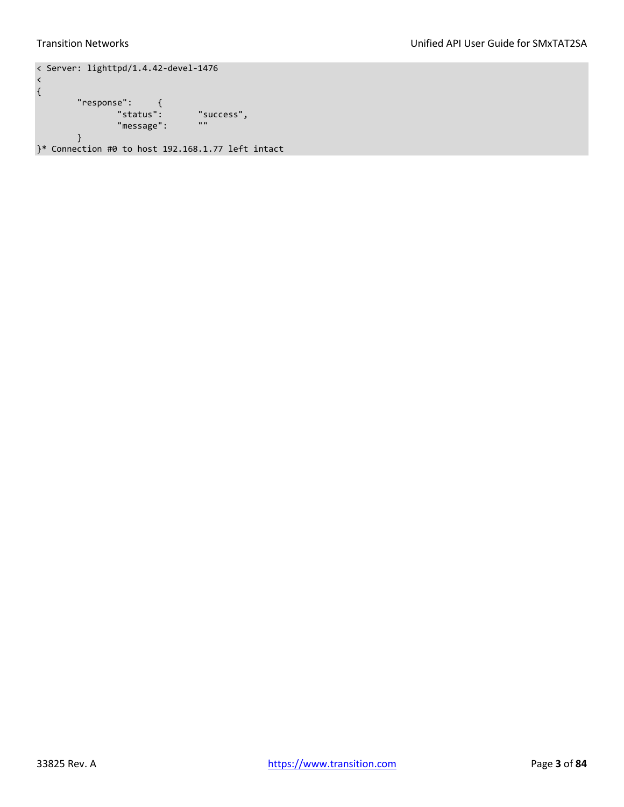```
< Server: lighttpd/1.4.42-devel-1476
\overline{\phantom{a}}{
        "response": {
 "status": "success",
 "message": ""
        }
}* Connection #0 to host 192.168.1.77 left intact
```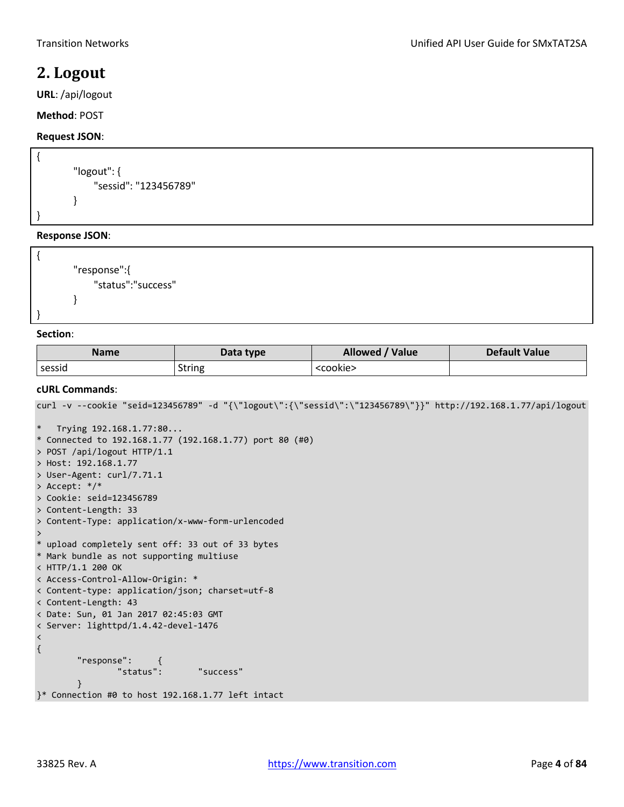### <span id="page-3-0"></span>**2. Logout**

**URL**: /api/logout

**Method**: POST

#### **Request JSON**:

```
{
        "logout": {
              "sessid": "123456789"
        }
}
```
### **Response JSON**:

```
{
        "response":{
              "status":"success"
        }
}
```
#### **Section**:

| Name   | Data type     | Allowed / Value   | Default Value |
|--------|---------------|-------------------|---------------|
| sessid | <b>String</b> | <cookie></cookie> |               |

```
curl -v --cookie "seid=123456789" -d "{\"logout\":{\"sessid\":\"123456789\"}}" http://192.168.1.77/api/logout
  * Trying 192.168.1.77:80...
* Connected to 192.168.1.77 (192.168.1.77) port 80 (#0)
> POST /api/logout HTTP/1.1
> Host: 192.168.1.77
> User-Agent: curl/7.71.1
> Accept: */*
> Cookie: seid=123456789
> Content-Length: 33
> Content-Type: application/x-www-form-urlencoded
>
* upload completely sent off: 33 out of 33 bytes
* Mark bundle as not supporting multiuse
< HTTP/1.1 200 OK
< Access-Control-Allow-Origin: *
< Content-type: application/json; charset=utf-8
< Content-Length: 43
< Date: Sun, 01 Jan 2017 02:45:03 GMT
< Server: lighttpd/1.4.42-devel-1476
\acute{\text{}}{
         "response": {
                 "status": "success"
 }
}* Connection #0 to host 192.168.1.77 left intact
```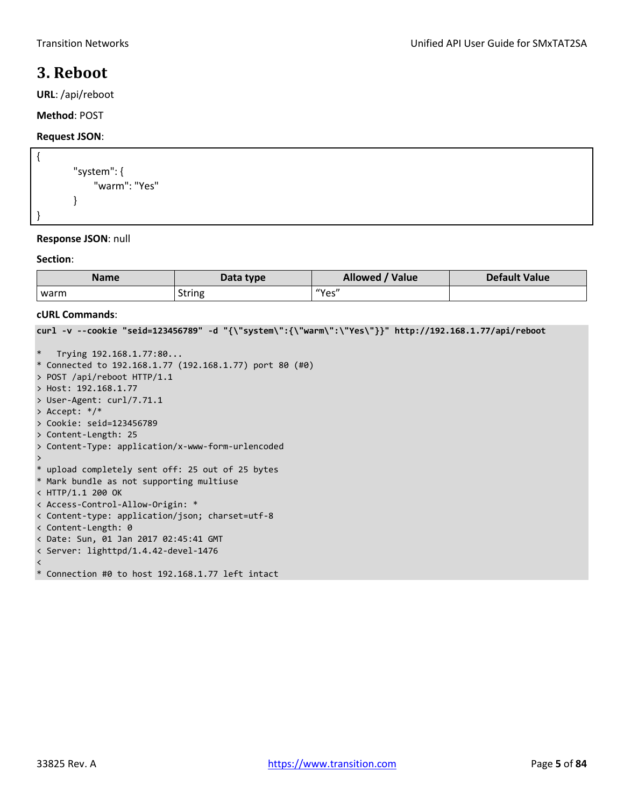### <span id="page-4-0"></span>**3. Reboot**

**URL**: /api/reboot

**Method**: POST

#### **Request JSON**:

```
{
        "system": {
              "warm": "Yes"
        }
}
```
### **Response JSON**: null

### **Section**:

| Name   | <b>Allowed / Value</b><br>Data type |       | <b>Default Value</b> |
|--------|-------------------------------------|-------|----------------------|
| I warm | <b>String</b>                       | "Yes" |                      |

```
curl -v --cookie "seid=123456789" -d "{\"system\":{\"warm\":\"Yes\"}}" http://192.168.1.77/api/reboot
```

```
Trying 192.168.1.77:80...
* Connected to 192.168.1.77 (192.168.1.77) port 80 (#0)
> POST /api/reboot HTTP/1.1
> Host: 192.168.1.77
> User-Agent: curl/7.71.1
> Accept: */*
> Cookie: seid=123456789
> Content-Length: 25
> Content-Type: application/x-www-form-urlencoded
>
* upload completely sent off: 25 out of 25 bytes
* Mark bundle as not supporting multiuse
< HTTP/1.1 200 OK
< Access-Control-Allow-Origin: *
< Content-type: application/json; charset=utf-8
< Content-Length: 0
< Date: Sun, 01 Jan 2017 02:45:41 GMT
< Server: lighttpd/1.4.42-devel-1476
\overline{\phantom{a}}* Connection #0 to host 192.168.1.77 left intact
```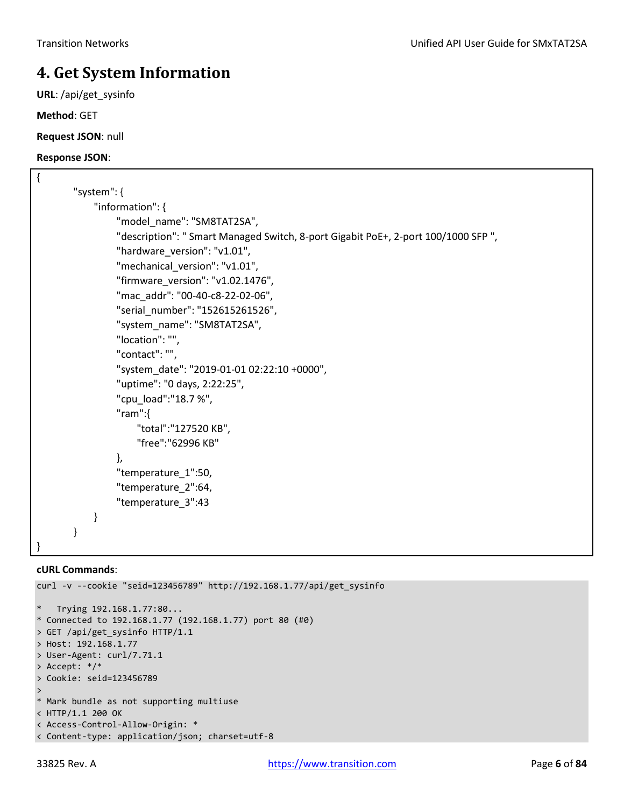## <span id="page-5-0"></span>**4. Get System Information**

**URL**: /api/get\_sysinfo

**Method**: GET

**Request JSON**: null

**Response JSON**:

 $\Gamma$ 

| ί                                                                                  |
|------------------------------------------------------------------------------------|
| "system": {                                                                        |
| "information": {                                                                   |
| "model_name": "SM8TAT2SA",                                                         |
| "description": " Smart Managed Switch, 8-port Gigabit PoE+, 2-port 100/1000 SFP ", |
| "hardware_version": "v1.01",                                                       |
| "mechanical_version": "v1.01",                                                     |
| "firmware_version": "v1.02.1476",                                                  |
| "mac_addr": "00-40-c8-22-02-06",                                                   |
| "serial_number": "152615261526",                                                   |
| "system_name": "SM8TAT2SA",                                                        |
| "location": "",                                                                    |
| "contact": "",                                                                     |
| "system_date": "2019-01-01 02:22:10 +0000",                                        |
| "uptime": "0 days, 2:22:25",                                                       |
| "cpu_load":"18.7 %",                                                               |
| $"$ ram": $\{$                                                                     |
| "total":"127520 KB",                                                               |
| "free":"62996 KB"                                                                  |
| },                                                                                 |
| "temperature_1":50,                                                                |
| "temperature_2":64,                                                                |
| "temperature_3":43                                                                 |
|                                                                                    |
|                                                                                    |
|                                                                                    |
|                                                                                    |

### **cURL Commands**:

curl -v --cookie "seid=123456789" http://192.168.1.77/api/get\_sysinfo Trying 192.168.1.77:80... \* Connected to 192.168.1.77 (192.168.1.77) port 80 (#0) > GET /api/get\_sysinfo HTTP/1.1 > Host: 192.168.1.77 > User-Agent: curl/7.71.1 > Accept: \*/\* > Cookie: seid=123456789 > \* Mark bundle as not supporting multiuse < HTTP/1.1 200 OK < Access-Control-Allow-Origin: \* < Content-type: application/json; charset=utf-8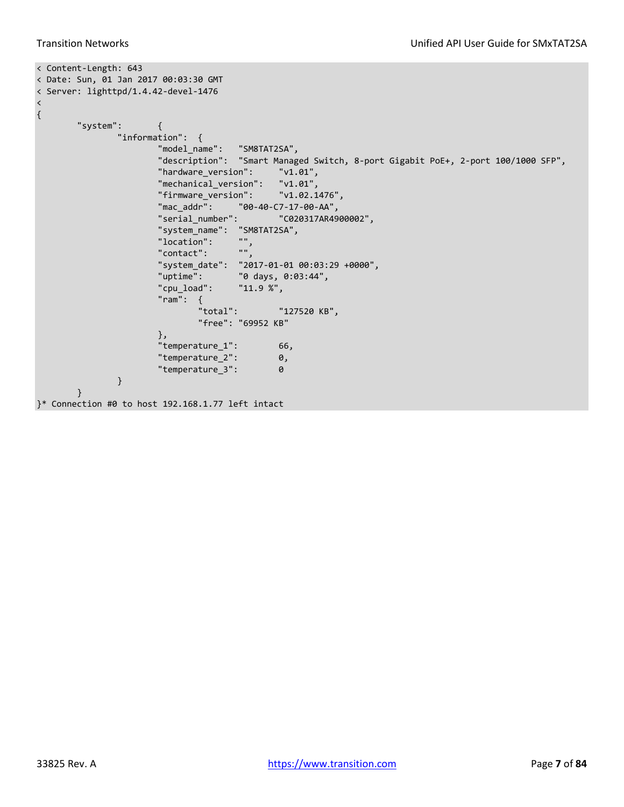```
< Content-Length: 643
< Date: Sun, 01 Jan 2017 00:03:30 GMT
< Server: lighttpd/1.4.42-devel-1476
\overline{\left( \right. }%{
        "system": {
               "information": {
                      "model_name": "SM8TAT2SA",
                      "description": "Smart Managed Switch, 8-port Gigabit PoE+, 2-port 100/1000 SFP",
                       "hardware_version": "v1.01",
 "mechanical_version": "v1.01",
 "firmware_version": "v1.02.1476",
                     "mac_addr": "00-40-C7-17-00-AA",
                      "serial_number": "C020317AR4900002",
                      "system_name": "SM8TAT2SA",
                      "location": "",
\blacksquare and \blacksquare and \blacksquare contact": \blacksquare ,
 "system_date": "2017-01-01 00:03:29 +0000",
 "uptime": "0 days, 0:03:44",
\blacksquare and \blacksquare cpu_load": \blacksquare 11.9 %",
                       "ram": {
                              "total": "127520 KB",
                              "free": "69952 KB"
, where \{x_i\}_{i=1}^N , we have \{x_i\}_{i=1}^N"temperature_1": 66,
                      "temperature_2": 0,
 "temperature_3": 0
 }
        }
}* Connection #0 to host 192.168.1.77 left intact
```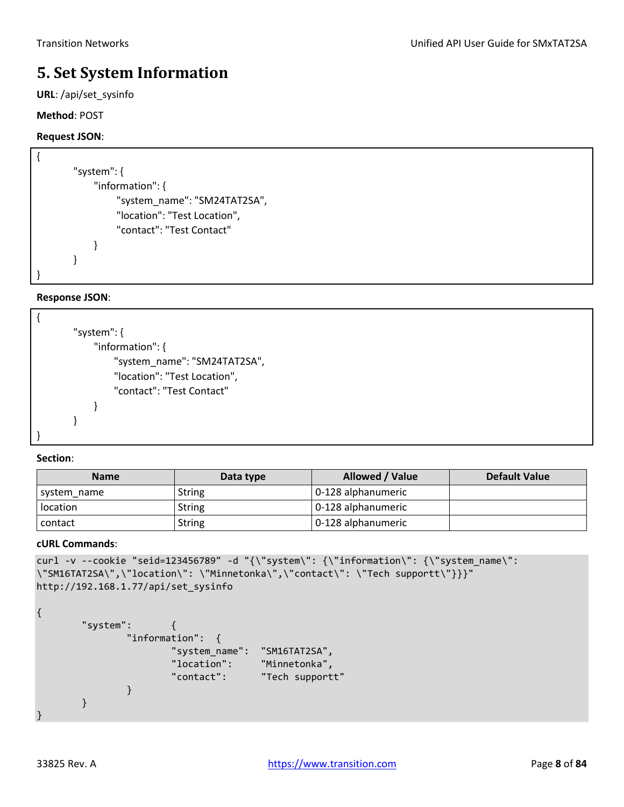## <span id="page-7-0"></span>**5. Set System Information**

### **URL**: /api/set\_sysinfo

### **Method**: POST

### **Request JSON**:

{

| "system": {                  |  |
|------------------------------|--|
| "information": {             |  |
| "system_name": "SM24TAT2SA", |  |
| "location": "Test Location", |  |
| "contact": "Test Contact"    |  |
|                              |  |
|                              |  |
|                              |  |

### **Response JSON**:

| "system": $\{$               |
|------------------------------|
| "information": {             |
| "system name": "SM24TAT2SA", |
| "location": "Test Location", |
| "contact": "Test Contact"    |
|                              |
|                              |
|                              |

### **Section**:

| <b>Name</b> | Data type     | Allowed / Value    | <b>Default Value</b> |
|-------------|---------------|--------------------|----------------------|
| system name | String        | 0-128 alphanumeric |                      |
| location    | <b>String</b> | 0-128 alphanumeric |                      |
| contact     | String        | 0-128 alphanumeric |                      |

```
curl -v --cookie "seid=123456789" -d "{\"system\": {\"information\": {\"system_name\":
\"SM16TAT2SA\",\"location\": \"Minnetonka\",\"contact\": \"Tech supportt\"}}}" 
http://192.168.1.77/api/set_sysinfo
```

```
{
        "system": {
               "information": {
                     "system_name": "SM16TAT2SA",
                     "location": "Minnetonka",
                     "contact": "Tech supportt"
}<br>{}
       }
}
```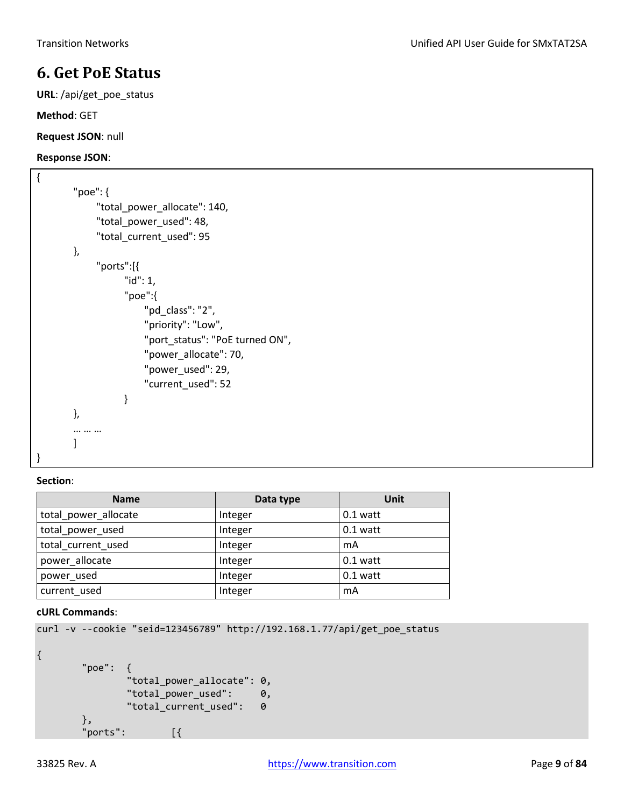### <span id="page-8-0"></span>**6. Get PoE Status**

**URL**: /api/get\_poe\_status

**Method**: GET

**Request JSON**: null

#### **Response JSON**:

```
{
        "poe": {
               "total_power_allocate": 140,
               "total_power_used": 48,
               "total_current_used": 95
        },
               "ports":[{
                      "id": 1,
                      "poe":{
                          "pd_class": "2",
                          "priority": "Low",
                          "port_status": "PoE turned ON",
                          "power_allocate": 70,
                          "power_used": 29,
                          "current_used": 52
                     }
        },
        … … …
        \mathbf{I}}
```
### **Section**:

| <b>Name</b>          | Data type | Unit       |
|----------------------|-----------|------------|
| total_power_allocate | Integer   | $0.1$ watt |
| total_power_used     | Integer   | $0.1$ watt |
| total_current_used   | Integer   | mA         |
| power_allocate       | Integer   | $0.1$ watt |
| power used           | Integer   | $0.1$ watt |
| current used         | Integer   | mA         |

```
curl -v --cookie "seid=123456789" http://192.168.1.77/api/get_poe_status
{
         "poe": {
                "total_power_allocate": 0,
               "total_power_used": 0,
                "total_current_used": 0
         },
        "ports": [{}
```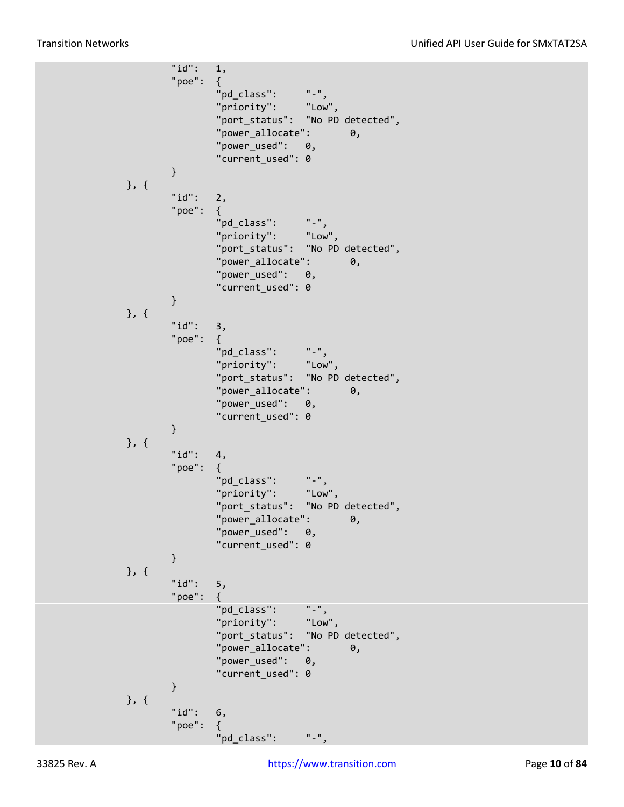```
"id": 1,
                      "poe": {
                              "pd_class": "-",
                              "priority": "Low",
                             "port_status": "No PD detected",
                             "power_allocate": 0,
                             "power_used": 0,
                             "current_used": 0
 }
               }, {
                       "id": 2,
                       "poe": {
                              "pd_class": "-",
                             "priority": "Low",
                             "port_status": "No PD detected",
                             "power_allocate": 0,
                             "power_used": 0,
                              "current_used": 0
 }
               }, {
                       "id": 3,
                      "poe": {
                              "pd_class": "-",
                              "priority": "Low",
                             "port_status": "No PD detected",
                             "power_allocate": 0,
                             "power_used": 0,
                             "current_used": 0
 }
               }, {
                       "id": 4,
                      "poe": {
                             "pd class": " -", "priority": "Low",
                             "port_status": "No PD detected",
                             "power_allocate": 0,
                             "power_used": 0,
                              "current_used": 0
 }
               }, {
                       "id": 5,
                      "poe": {
                              "pd_class": "-",
                              "priority": "Low",
                              "port_status": "No PD detected",
                             "power_allocate": 0,
                             "power_used": 0,
                             "current_used": 0
denotes the control of the state of the state of the state of the state of the state of the state of the state
               }, {
                       "id": 6,
                      "poe": {
                               "pd_class": "-",
```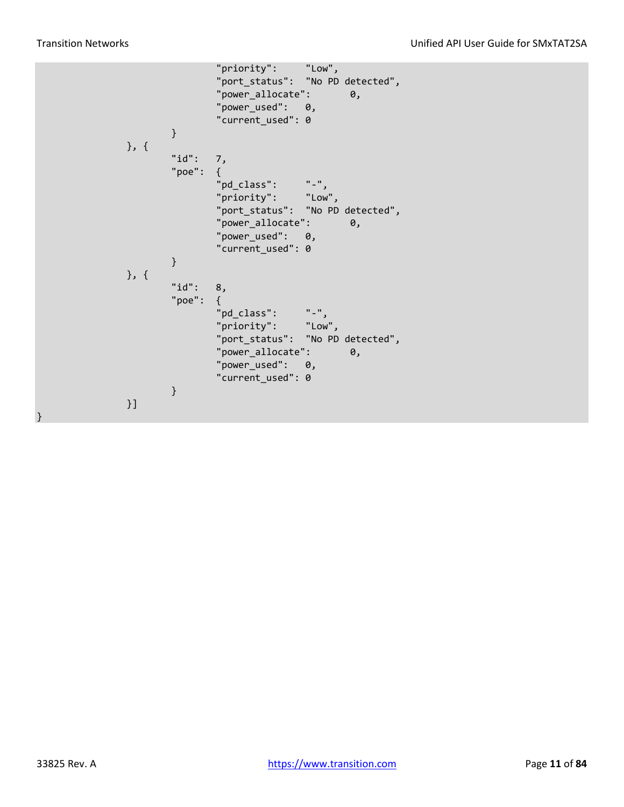```
 "priority": "Low",
                             "port_status": "No PD detected",
                             "power_allocate": 0,
                             "power_used": 0,"current_used": 0
 }
               }, {
                       "id": 7,
                       "poe": {
\blacksquare and the contract of the contract \blacksquare pd_class": \blacksquare -", \blacksquare"priority": "Low",
                             "port_status": "No PD detected",
                             "power_allocate": 0,
                             "power_used": 0,
                             "current_used": 0
 }
               }, {
                       "id": 8,
                       "poe": {
\blacksquare and the contract of the contract \blacksquare pd_class": \blacksquare -", \blacksquare "priority": "Low",
                             "port_status": "No PD detected",
                             "power_allocate": 0,
                             "power_used": 0,
                             "current_used": 0
 }
               }]
```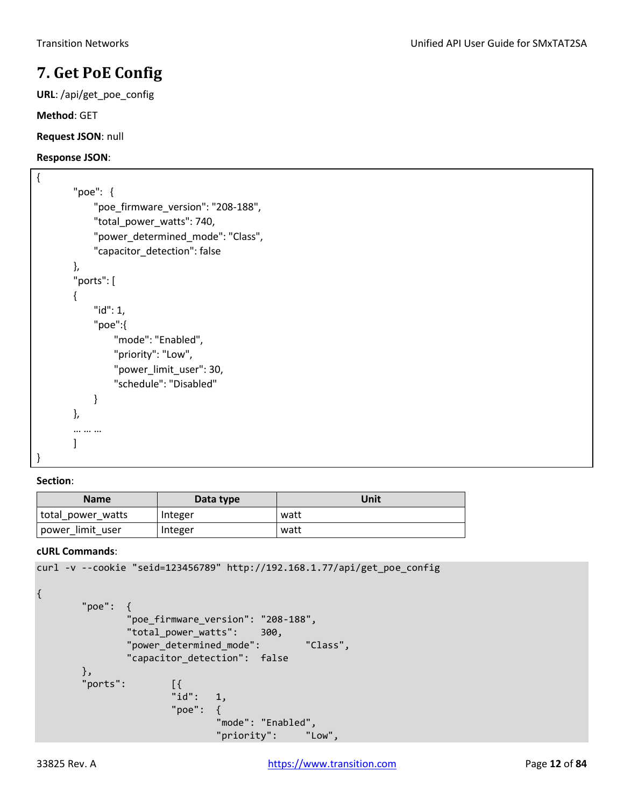## <span id="page-11-0"></span>**7. Get PoE Config**

**URL**: /api/get\_poe\_config

**Method**: GET

**Request JSON**: null

**Response JSON**:

```
{
        "poe": {
              "poe_firmware_version": "208-188",
              "total_power_watts": 740,
              "power_determined_mode": "Class",
              "capacitor_detection": false
        },
        "ports": [
        {
              "id": 1,
              "poe":{
                  "mode": "Enabled",
                  "priority": "Low",
                  "power_limit_user": 30,
                  "schedule": "Disabled"
             }
        },
        … … …
        ]
}
```
### **Section**:

| Data type<br><b>Name</b> |         | Unit |
|--------------------------|---------|------|
| total_power_watts        | Integer | watt |
| power limit user         | Integer | watt |

```
curl -v --cookie "seid=123456789" http://192.168.1.77/api/get_poe_config
{
         "poe": {
                "poe_firmware_version": "208-188",
                "total_power_watts": 300,
                "power_determined_mode": "Class",
                "capacitor_detection": false
        },
         "ports": [{
                        "id": 1,
                       "poe": {
                                "mode": "Enabled",
                                "priority": "Low",
```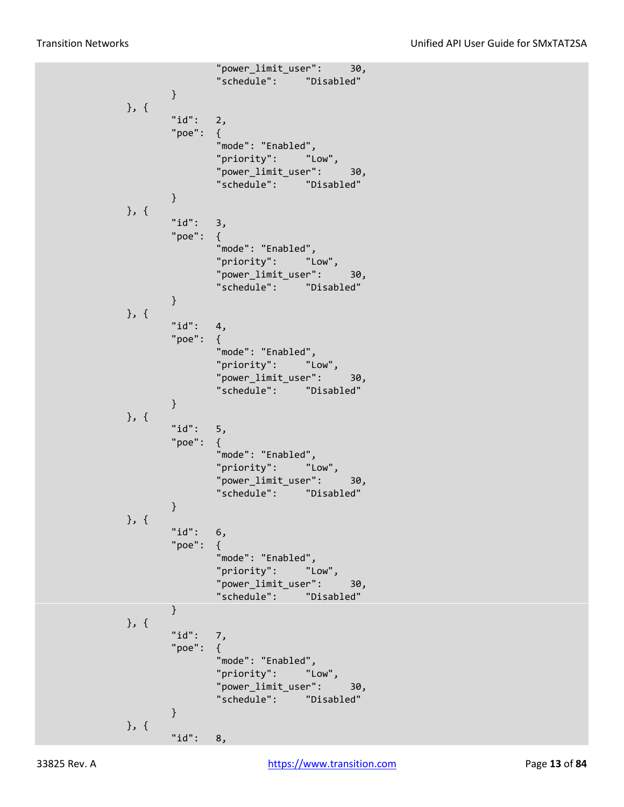```
 "power_limit_user": 30,
                               "schedule": "Disabled"
 }
                }, {
                       "id": 2,
                       "poe": {
                               "mode": "Enabled",
                              "priority": "Low",
                              "power_limit_user": 30,
                              "schedule": "Disabled"
denotes the control of the second property of the second property of the second property \} }, {
                       "id": 3,
                       "poe": {
                               "mode": "Enabled",
                               "priority": "Low",
                              "power_limit_user": 30,
                              "schedule": "Disabled"
 }
                }, {
                       "id": 4,
                        "poe": {
                               "mode": "Enabled",
                              "priority": "Low",
                              "power_limit_user": 30,
                               "schedule": "Disabled"
 }
                }, {
                       "id": 5,
                       "poe": {
                               "mode": "Enabled",
                              "priority": "Low",
                              "power limit user": 30,
                              "schedule": "Disabled"
denotes the control of the second property of the second property of the second property \} }, {
                       "id": 6,
                       "poe": {
                               "mode": "Enabled",
                               "priority": "Low",
                              "power limit user": 30,
                              "schedule": "Disabled"
 }
                }, {
                       "id": 7,
                        "poe": {
                               "mode": "Enabled",
                              "priority": "Low",
                              "power_limit_user": 30,
                               "schedule": "Disabled"
 }
                }, {
                       "id": 8,
```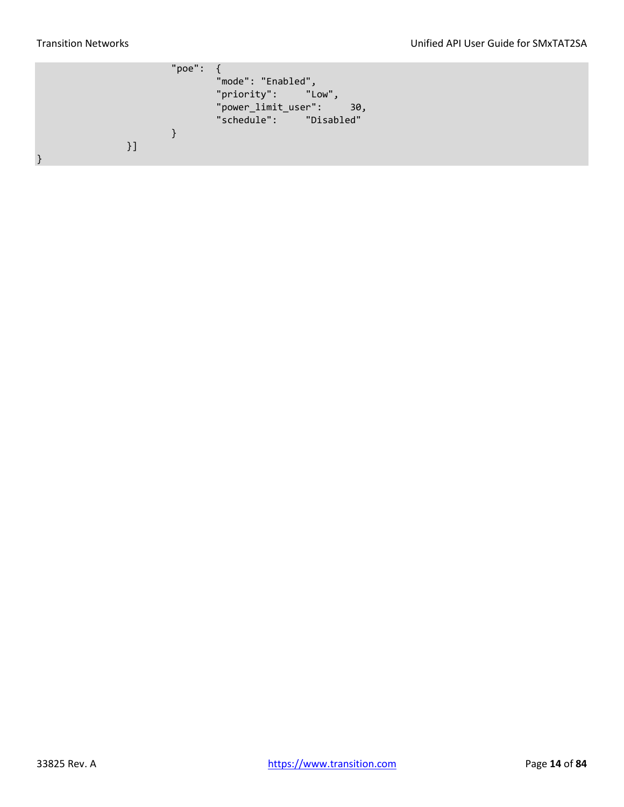|    | "poe": $\{$ |                            |
|----|-------------|----------------------------|
|    |             | "mode": "Enabled",         |
|    |             | "priority": "Low",         |
|    |             | "power_limit_user":<br>30. |
|    |             | "schedule": "Disabled"     |
|    |             |                            |
| ١l |             |                            |
|    |             |                            |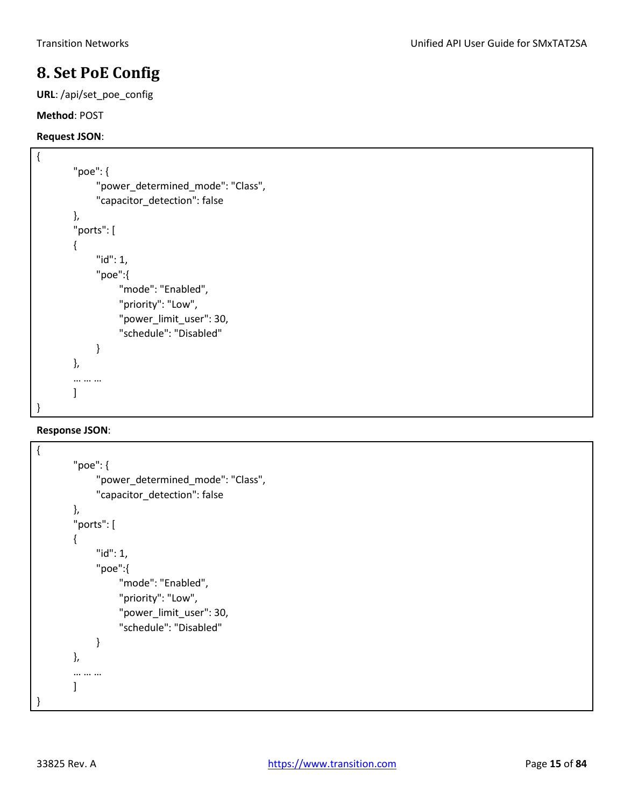### <span id="page-14-0"></span>**8. Set PoE Config**

**URL**: /api/set\_poe\_config

### **Method**: POST

#### **Request JSON**:

```
{
        "poe": {
               "power_determined_mode": "Class",
               "capacitor_detection": false
        },
        "ports": [
        {
               "id": 1,
               "poe":{
                    "mode": "Enabled",
                    "priority": "Low",
                    "power_limit_user": 30,
                    "schedule": "Disabled"
               }
        },
        … … …
        \mathbf{I}}
```
### **Response JSON**:

```
{
        "poe": {
               "power_determined_mode": "Class",
               "capacitor_detection": false
        },
        "ports": [
        {
               "id": 1,
               "poe":{
                    "mode": "Enabled",
                    "priority": "Low",
                    "power_limit_user": 30,
                    "schedule": "Disabled"
              }
        },
        … … …
        \mathbf{I}}
```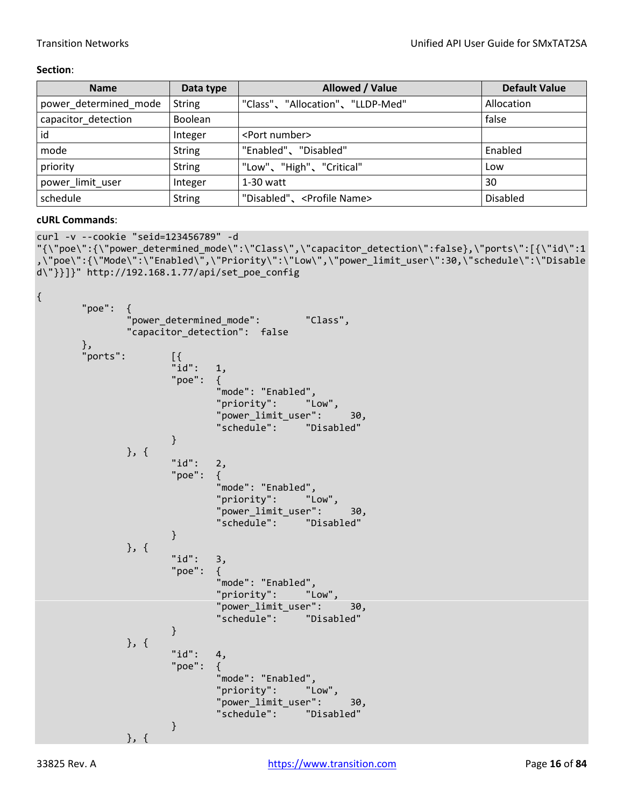#### **Section**:

| <b>Name</b>           | Data type      | <b>Allowed / Value</b>                  | <b>Default Value</b> |
|-----------------------|----------------|-----------------------------------------|----------------------|
| power determined mode | <b>String</b>  | "Class"、"Allocation"、"LLDP-Med"         | Allocation           |
| capacitor detection   | <b>Boolean</b> |                                         | false                |
| lid                   | Integer        | <port number=""></port>                 |                      |
| mode                  | <b>String</b>  | "Enabled"、"Disabled"                    | Enabled              |
| priority              | <b>String</b>  | "Low"、"High"、"Critical"                 | Low                  |
| power_limit_user      | Integer        | $1-30$ watt                             | 30                   |
| schedule              | <b>String</b>  | "Disabled"、 <profile name=""></profile> | <b>Disabled</b>      |

### **cURL Commands**:

```
curl -v --cookie "seid=123456789" -d
```

```
"{\"poe\":{\"power_determined_mode\":\"Class\",\"capacitor_detection\":false},\"ports\":[{\"id\":1
,\"poe\":{\"Mode\":\"Enabled\",\"Priority\":\"Low\",\"power_limit_user\":30,\"schedule\":\"Disable
d\"}}]}" http://192.168.1.77/api/set_poe_config
```
### {

```
 "poe": {
                "power_determined_mode": "Class",
                "capacitor_detection": false
        },
        "ports": [{
                       "id": 1,
                       "poe": {
                               "mode": "Enabled",
                              "priority": "Low",
                              "power_limit_user": 30,
                              "schedule": "Disabled"
denotes the control of the second property of the second property of the second property \} }, {
                       "id": 2,
                      "poe": {
                               "mode": "Enabled",
                              "priority": "Low",
                              "power_limit_user": 30,
                              "schedule": "Disabled"
 }
               }, {
                       "id": 3,
                      "poe": {
                               "mode": "Enabled",
                               "priority": "Low",
                               "power_limit_user": 30,
                               "schedule": "Disabled"
 }
               }, {
                       "id": 4,
                       "poe": {
                               "mode": "Enabled",
                              "priority": "Low",
                              "power_limit_user": 30,
                              "schedule": "Disabled"
 }
               }, {
```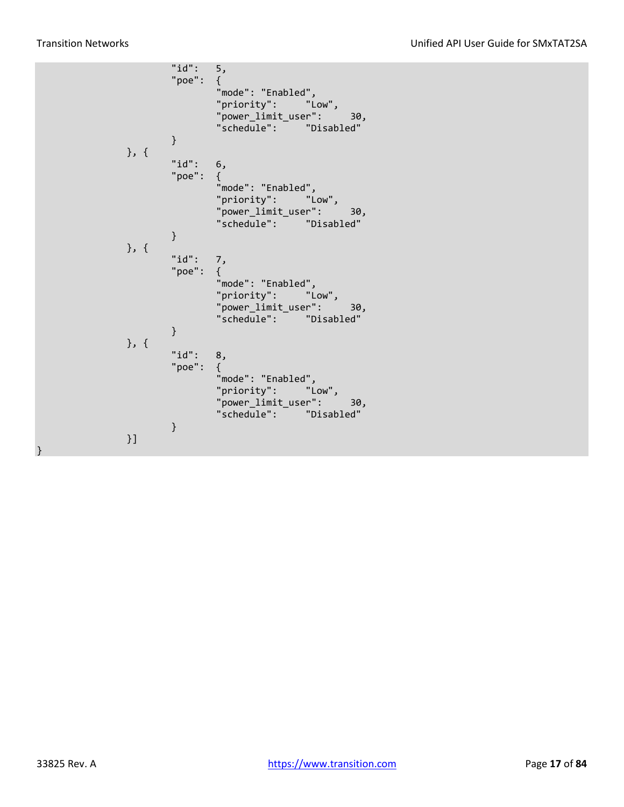```
 "id": 5,
                   "poe": {
                           "mode": "Enabled",
                          "priority": "Low",
                          "power_limit_user": 30,
                           "schedule": "Disabled"
 }
             }, {
                    "id": 6,
                    "poe": {
 "mode": "Enabled",
 "priority": "Low",
 "power_limit_user": 30,
                          "schedule": "Disabled"
 }
             }, {
                    "id": 7,
 "poe": {
 "mode": "Enabled",
                          "priority": "Low",
                          "power_limit_user": 30,
                          "schedule": "Disabled"
denotes the control of the second property of the second property of the second property \} }, {
                    "id": 8,
                   "poe": {
                           "mode": "Enabled",
 "priority": "Low",
                          "power_limit_user": 30,
                          "schedule": "Disabled"
denotes the control of the second property of the second property of the second property \} }]
```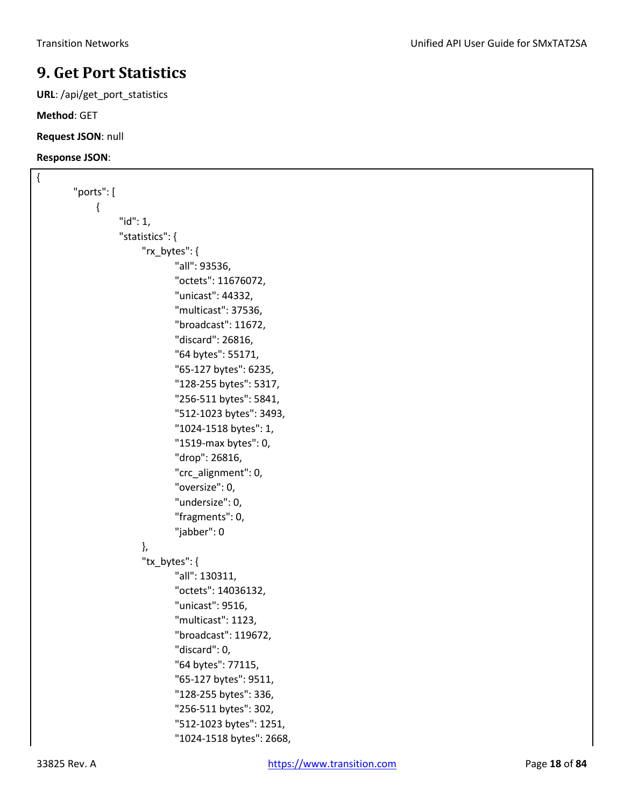### <span id="page-17-0"></span>**9. Get Port Statistics**

**URL**: /api/get\_port\_statistics

**Method**: GET

**Request JSON**: null

### **Response JSON**:

{

"ports": [ { "id": 1, "statistics": { "rx\_bytes": { "all": 93536, "octets": 11676072, "unicast": 44332, "multicast": 37536, "broadcast": 11672, "discard": 26816, "64 bytes": 55171, "65-127 bytes": 6235, "128-255 bytes": 5317, "256-511 bytes": 5841, "512-1023 bytes": 3493, "1024-1518 bytes": 1, "1519-max bytes": 0, "drop": 26816, "crc\_alignment": 0, "oversize": 0, "undersize": 0, "fragments": 0, "jabber": 0 }, "tx\_bytes": { "all": 130311, "octets": 14036132, "unicast": 9516, "multicast": 1123, "broadcast": 119672, "discard": 0, "64 bytes": 77115, "65-127 bytes": 9511, "128-255 bytes": 336, "256-511 bytes": 302, "512-1023 bytes": 1251, "1024-1518 bytes": 2668,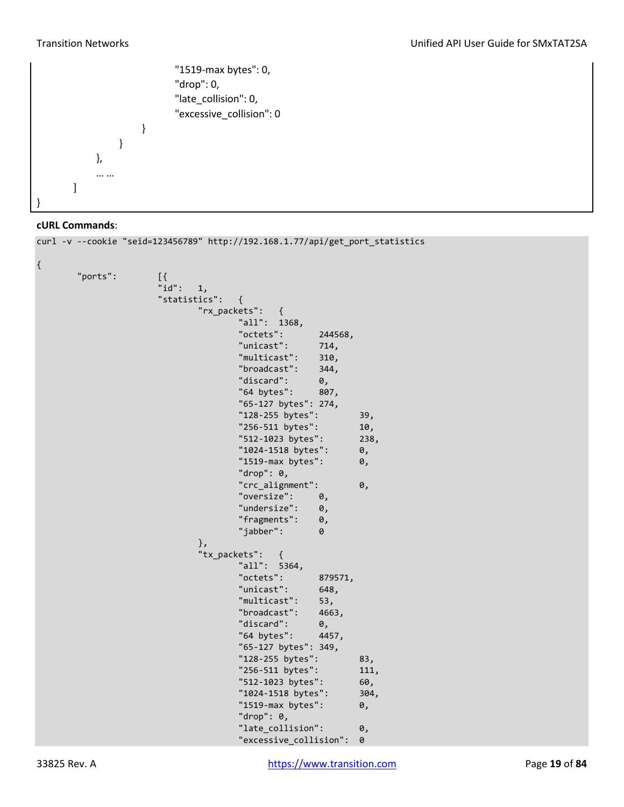```
 "1519-max bytes": 0,
                               "drop": 0,
                               "late_collision": 0,
                               "excessive_collision": 0
         }
                   }
             },
             … …
       ]
}
```

```
curl -v --cookie "seid=123456789" http://192.168.1.77/api/get_port_statistics
{
       "ports": [{
                    "id": 1,
                    "statistics": {
 "rx_packets": {
\blacksquare all": 1368, \blacksquare"octets": 244568,
                                  "unicast": 714,
                                  "multicast": 310,
                                   "broadcast": 344,
                                  "discard": 0,
                                  "64 bytes": 807,
                                  "65-127 bytes": 274,
                                   "128-255 bytes": 39,
                                   "256-511 bytes": 10,
                                  "512-1023 bytes": 238,
                                   "1024-1518 bytes": 0,
                                  "1519-max bytes": 0,
                                   "drop": 0,
                                  "crc_alignment": 0,
                                  "oversize": 0,
                                  "undersize": 0,
                                  "fragments": 0,
                                  "jabber": 0
, where \{x_i\}_{i=1}^N , we have the contribution of \} ,
                            "tx_packets": {
                                   "all": 5364,
                                   "octets": 879571,
                                  "unicast": 648,
                                   "multicast": 53,
                                   "broadcast": 4663,
                                   "discard": 0,
                                  "64 bytes": 4457,
                                  "65-127 bytes": 349,
                                  "128-255 bytes": 83,
                                   "256-511 bytes": 111,
                                   "512-1023 bytes": 60,
                                  "1024-1518 bytes": 304,
                                  "1519-max bytes": 0,
                                   "drop": 0,
                                  "late_collision": 0,
                                  "excessive_collision": 0
```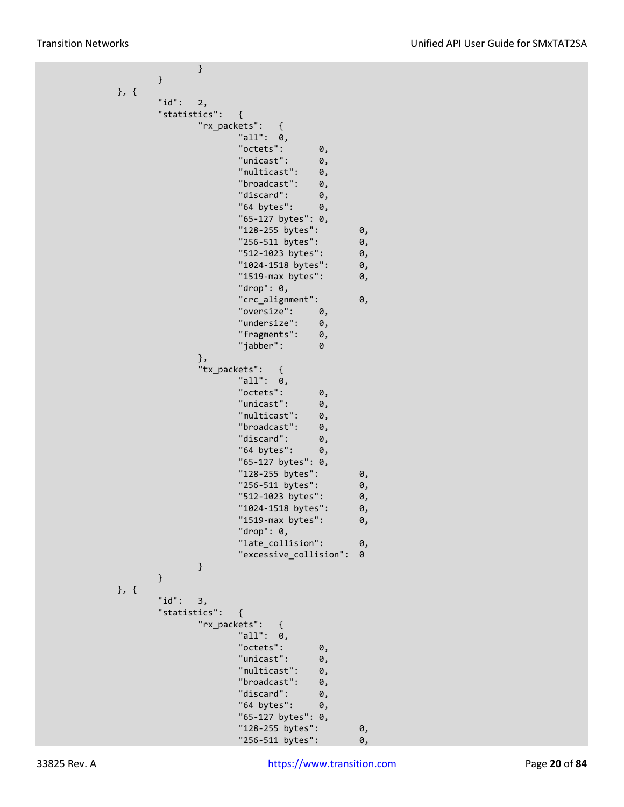```
denotes the contract of the contract of the contract of the contract of the contract of the contract of the con
denotes the control of the control of the control of the control of the control of the control of the control of the control of the control of the control of the control of the control of the control of the control of the 
                  }, {
                           "id": 2,
                           "statistics": {
                                    "rx_packets": {
                                            "all": 0,
 "octets": 0,
\blacksquare unicast": \blacksquare 0,
                                            "multicast": 0,
                                            "broadcast": 0,
                                            "discard": 0,
                                            "64 bytes": 0,
                                             "65-127 bytes": 0,
                                            "128-255 bytes": 0,
                                            "256-511 bytes": 0,
                                             "512-1023 bytes": 0,
                                            "1024-1518 bytes": 0,
                                            "1519-max bytes": 0,
                                            "drop": 0,
                                             "crc_alignment": 0,
                                            "oversize": 0,
                                            "undersize": 0,
                                            "fragments": 0,
                                             "jabber": 0
, where \{x_i\}_{i=1}^N , we have the contribution of \} ,
                                   },<br>"tx packets": {
                                            "all": 0,
                                            "octets": 0,
\blacksquare unicast": \blacksquare 0,
                                            "multicast": 0,
                                            "broadcast": 0,
                                            "discard": 0,
                                            "64 bytes": 0,
                                             "65-127 bytes": 0,
                                            "128-255 bytes": 0,
                                            "256-511 bytes": 0,
                                            "512-1023 bytes": 0,
                                            "1024-1518 bytes": 0,
                                            "1519-max bytes": 0,
                                            "drop": 0,
                                            "late_collision": 0,
                                             "excessive_collision": 0
denotes the contract of the contract of the contract of the contract of the contract of the contract of the con
}<br>}<br>{}
                  }, {
                           "id": 3,
                          "statistics": {
                                    "rx_packets": {
                                             "all": 0,
                                            "octets": 0,
                                            "unicast": 0,
                                            "multicast": 0,
                                            "broadcast": 0,
                                            "discard": 0,
                                            "64 bytes": 0,
                                             "65-127 bytes": 0,
                                            "128-255 bytes": 0,
                                            "256-511 bytes": 0,
```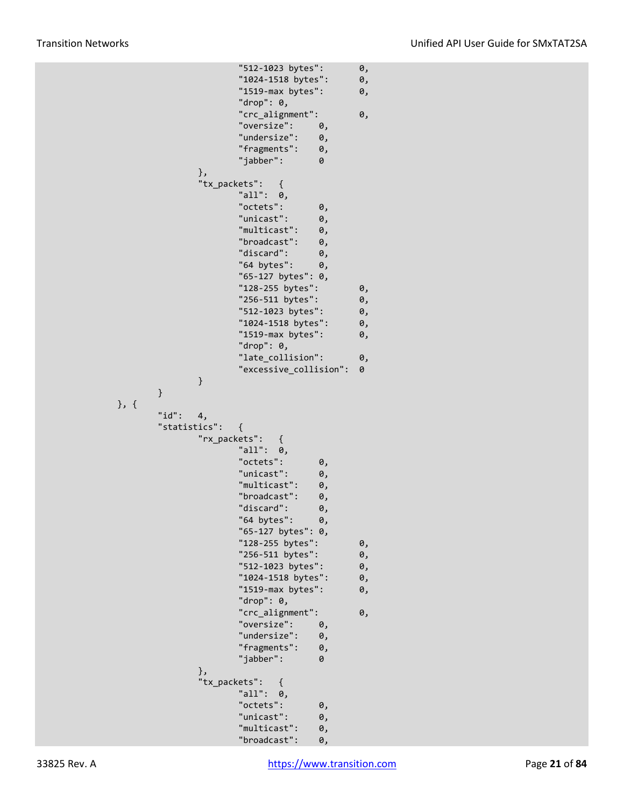```
"512-1023 bytes": 0,
                                        "1024-1518 bytes": 0,
                                        "1519-max bytes": 0,
                                         "drop": 0,
                                        "crc_alignment": 0,
                                        "oversize": 0,<br>"undersize": 0,
                                         "undersize": 0,
                                        "fragments": 0,
                                        "jabber": 0
, where \{x_i\}_{i=1}^N , we have the contribution of \} ,
                                 "tx_packets": {
                                         "all": 0,
                                         "octets": 0,
                                         "unicast": 0,
                                        "multicast": 0,
                                        "broadcast": 0,
 "discard": 0,
 "64 bytes": 0,
                                         "65-127 bytes": 0,
                                        "128-255 bytes": 0,
                                        "256-511 bytes": 0,
                                         "512-1023 bytes": 0,
                                        "1024-1518 bytes": 0,
                                        "1519-max bytes": 0,
                                         "drop": 0,
                                        "late_collision": 0,
                                         "excessive_collision": 0
denotes the contract of the contract of the contract of the contract of the contract of the contract of the con
denotes the control of the control of the control of the control of the control of the control of the control of the control of the control of the control of the control of the control of the control of the control of the 
                }, {
                         "id": 4,
                        "statistics": {
                                 "rx_packets": {
                                         "all": 0,
 "octets": 0,
\blacksquare unicast": \blacksquare 0,
                                        "multicast": 0,
                                        "broadcast": 0,
                                        "discard": 0,
                                        "64 bytes": 0,
                                        "65-127 bytes": 0,
                                         "128-255 bytes": 0,
                                        "256-511 bytes": 0,
                                        "512-1023 bytes": 0,
                                        "1024-1518 bytes": 0,
                                        "1519-max bytes": 0,"drop": \theta,
                                         "crc_alignment": 0,
                                        "oversize": 0,
                                        "undersize": 0,
                                        "fragments": 0,
                                         "jabber": 0
, where \{x_i\}_{i=1}^N , we have the contribution of \} ,
                                 "tx_packets": {
                                         "all": 0,
                                         "octets": 0,
                                         "unicast": 0,
                                         "multicast": 0,
                                        "broadcast": 0,
```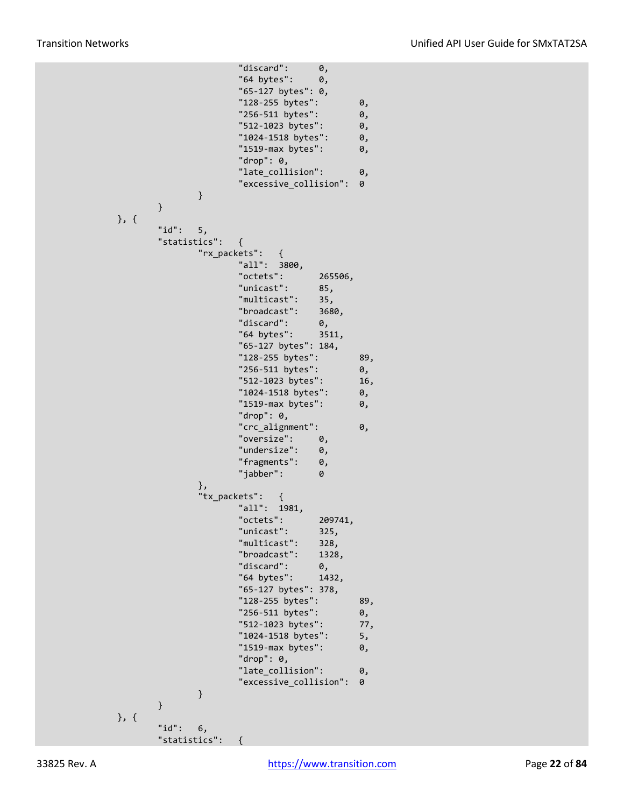```
"discard": 0,
                                                  "64 bytes": 0,
                                                   "65-127 bytes": 0,
                                                  "128-255 bytes": 0,
                                                 "256-511 bytes": 0,
                                                  "512-1023 bytes": 0,
                                                   "1024-1518 bytes": 0,
                                                 "1519-max bytes": 0,
                                                  "drop": 0,
                                                  "late_collision": 0,
                                                  "excessive_collision": 0
denotes the contract of the contract of the contract of the contract of the contract of the contract of the con
denotes the control of the control of the control of the control of the control of the control of the control of the control of the control of the control of the control of the control of the control of the control of the 
                    }, {
                              "id": 5,
                              "statistics": {
                                        "rx_packets": {
                                                  "all": 3800,
                                                 "octets": 265506,
                                                  "unicast": 85,
                                                  "multicast": 35,
                                                  "broadcast": 3680,
                                                  "discard": 0,
                                                  "64 bytes": 3511,
                                                 "65-127 bytes": 184,
                                                  "128-255 bytes": 89,
                                                 "256-511 bytes": 0,
                                                  "512-1023 bytes": 16,
                                                  "1024-1518 bytes": 0,
                                                  "1519-max bytes": 0,
                                                 "drop": 0,
                                                  "crc alignment": 0,
                                                 "oversize": 0,
                                                  "undersize": 0,
                                                 "fragments": 0,
                                                  "jabber": 0
, where \{x_i\}_{i=1}^N , we have the contribution of \} ,
                                         "tx_packets": {
                                                  "all": 1981,
                                                  "octets": 209741,
                                                  "unicast": 325,
                                                  "multicast": 328,
                                                   "broadcast": 1328,
                                                  "discard": 0,
                                                   "64 bytes": 1432,
                                                   "65-127 bytes": 378,
                                                   "128-255 bytes": 89,
                                                  "256-511 bytes": 0,
                                                   "512-1023 bytes": 77,
                                                  "1024-1518 bytes": 5,
                                                 "1519-max bytes": 0,
                                                  "drop": 0,
                                                  "late_collision": 0,
                                                   "excessive_collision": 0
 }
denotes the control of the control of the control of the control of the control of the control of the control of the control of the control of the control of the control of the control of the control of the control of the 
                    }, {
                              "id": 6,
                               "statistics": {
```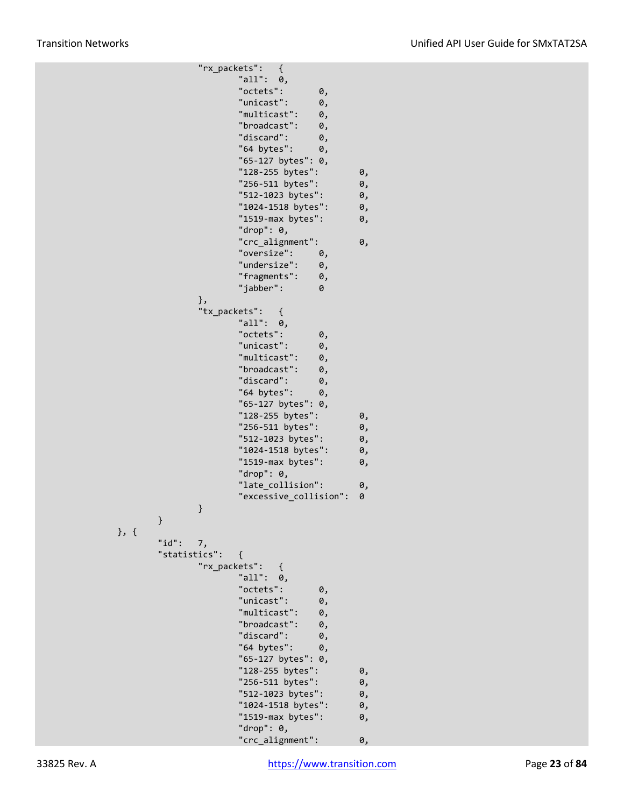```
 "rx_packets": {
                                             "all": 0,
  "octets": 0,
\blacksquare unicast": \blacksquare 0,
                                            "multicast": 0,
                                             "broadcast": 0,
                                            "discard": 0,
                                            "64 bytes": 0,
                                            "65-127 bytes": 0,
                                            "128-255 bytes": 0,
                                            "256-511 bytes": 0,
                                             "512-1023 bytes": 0,
                                            "1024-1518 bytes": 0,<br>"1519-max bytes": 0,
                                            "1519-max bytes": 0,
                                             "drop": 0,
                                             "crc_alignment": 0,
                                            "oversize": 0,
                                            "undersize": 0,
                                            "fragments": 0,
                                             "jabber": 0
, where \{x_i\}_{i=1}^N , we have the contribution of \} ,
                                    "tx packets": {
                                             "all": 0,
                                            "octets": 0,
\blacksquare unicast": \blacksquare 0,
                                            "multicast": 0,
                                            "broadcast": 0,
                                            "discard": 0,
                                             "64 bytes": 0,
                                             "65-127 bytes": 0,
                                            "128-255 bytes": 0,
                                            "256-511 bytes": 0,<br>"512-1023 bytes": 0,
                                             "512-1023 bytes": 0,
                                            "1024-1518 bytes": 0,
                                            "1519-max bytes": 0,
                                            "drop": 0,
                                             "late_collision": 0,
                                             "excessive_collision": 0
denotes the contract of the contract of the contract of the contract of the contract of the contract of the con
denotes the control of the control of the control of the control of the control of the control of the control of the control of the control of the control of the control of the control of the control of the control of the 
                  }, {
                           "id": 7,
                           "statistics": {
                                    "rx_packets": {
                                             "all": 0,
                                            "octets": 0,<br>"unicast": 0,
                                            "unicast": 0,
                                            "multicast": 0,
                                            "broadcast": 0,
                                            "discard": 0,
                                            "64 bytes": 0,
                                             "65-127 bytes": 0,
                                             "128-255 bytes": 0,
                                            "256-511 bytes": 0,
                                            "512-1023 bytes": 0,
                                            122 - 1025 c, 1024 - 1518 bytes": 0,
                                            "1519-max bytes": 0,
                                            "drop": 0,
                                            "crc_alignment": 0,
```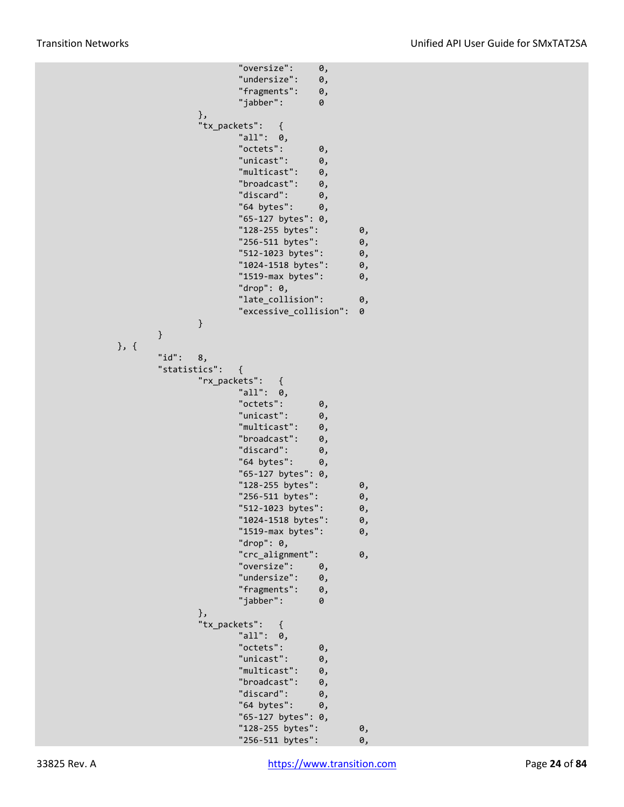```
"oversize": 0,
                                   "undersize": 0,
                                   "fragments": 0,
                                   "jabber": 0
, where \{x_i\}_{i=1}^N , we have the contribution of \} ,
                            "tx packets": {
                                   "all": 0,
                                   "octets": 0,
                                   "unicast": 0,
                                   "multicast": 0,
                                   "broadcast": 0,
                                   "discard": 0,
                                   "64 bytes": 0,
                                    "65-127 bytes": 0,
                                   "128-255 bytes": 0,
                                   "256-511 bytes": 0,
                                   "512-1023 bytes": 0,
                                   "1024-1518 bytes": 0,
                                   "1519-max bytes": 0,
                                    "drop": 0,
                                   "late_collision": 0,
                                    "excessive_collision": 0
denotes the contract of the contract of the contract of the contract of the contract of the contract of the con
}<br>}<br>{}
              }, {
                      "id": 8,
                     "statistics": {
                             "rx_packets": {
                                    "all": 0,
 "octets": 0,
\blacksquare unicast": \blacksquare 0,
                                   "multicast": 0,
                                   "broadcast": 0,
                                   "discard": 0,
                                   "64 bytes": 0,
                                   "65-127 bytes": 0,
                                    "128-255 bytes": 0,
                                    "256-511 bytes": 0,
                                    "512-1023 bytes": 0,
                                   "1024-1518 bytes": 0,
                                   "1519-max bytes": 0,
                                    "drop": 0,
                                    "crc_alignment": 0,
                                   "oversize": 0,
                                   "undersize": 0,
                                   "fragments": 0,
                                   "jabber": 0
, where \{x_i\}_{i=1}^N , we have the contribution of \} ,
                            "tx_packets": {
                                    "all": 0,
 "octets": 0,
                                   "unicast": 0,
                                   "multicast": 0,
                                   "broadcast": 0,
                                   "discard": 0,
                                    "64 bytes": 0,
                                    "65-127 bytes": 0,
                                   "128-255 bytes": 0,
                                    "256-511 bytes": 0,
```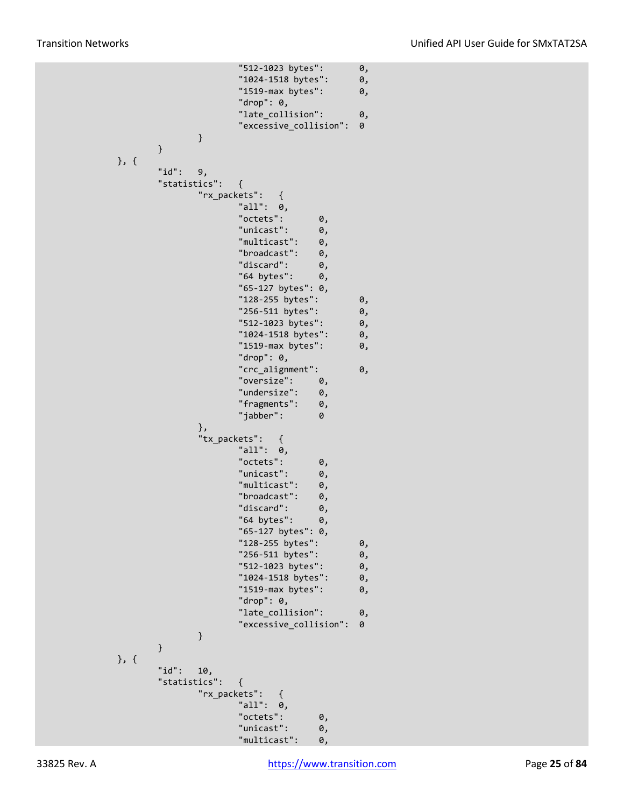```
"512-1023 bytes": 0,
                                                        "1024-1518 bytes": 0,
                                                        "1519-max bytes": 0,
                                                        "drop": 0,
                                                        "late_collision": 0,
                                                         "excessive_collision": 0
denotes the contract of the contract of the contract of the contract of the contract of the contract of the con
denotes the control of the control of the control of the control of the control of the control of the control of the control of the control of the control of the control of the control of the control of the control of the 
                      }, {
                                  "id": 9,
                                 "statistics": {
                                             "rx_packets": {
                                                        "all": 0,
                                                        "octets": 0,
                                                        "unicast": 0,
                                                        "multicast": 0,
                                                         "broadcast": 0,
                                                        "discard": 0,
                                                       "64 bytes": 0,
                                                       "65-127 bytes": 0,
                                                        "128-255 bytes": 0,
                                                       "256-511 bytes": 0,
                                                       "512-1023 bytes": 0,
                                                       "1024-1518 bytes": 0,
                                                        "1519-max bytes": 0,
                                                        "drop": 0,
                                                        "crc_alignment": 0,
                                                        "oversize": 0,
                                                        "undersize": 0,
                                                        "fragments": 0,
                                                        "jabber": 0
, where \{x_i\}_{i=1}^N , we have the contribution of \} ,
                                             "tx packets": {
                                                         "all": 0,
                                                       "octets": 0,<br>"unicast": 0,
                                                        "unicast": 0,
                                                        "multicast": 0,
                                                       "broadcast": 0,
                                                         "discard": 0,
                                                        "64 bytes": 0,
                                                       "65-127 bytes": 0,
                                                        "128-255 bytes": 0,<br>"256-511 bytes": 0,
                                                         "256-511 bytes": 0,
                                                       "512-1023 bytes": 0,
                                                       "1024-1518 bytes": 0,
                                                        "1519-max bytes": 0,
                                                        "drop": 0,
                                                       "late_collision": 0,
                                                        "excessive_collision": 0
denotes the contract of the contract of the contract of the contract of the contract of the contract of the con
denotes the control of the control of the control of the control of the control of the control of the control of the control of the control of the control of the control of the control of the control of the control of the 
                      }, {
                                  "id": 10,
                                 "statistics": {
                                             "rx_packets": {
                                                         "all": 0,
                                                         "octets": 0,
                                                        "unicast": 0,
                                                        "multicast": 0,
```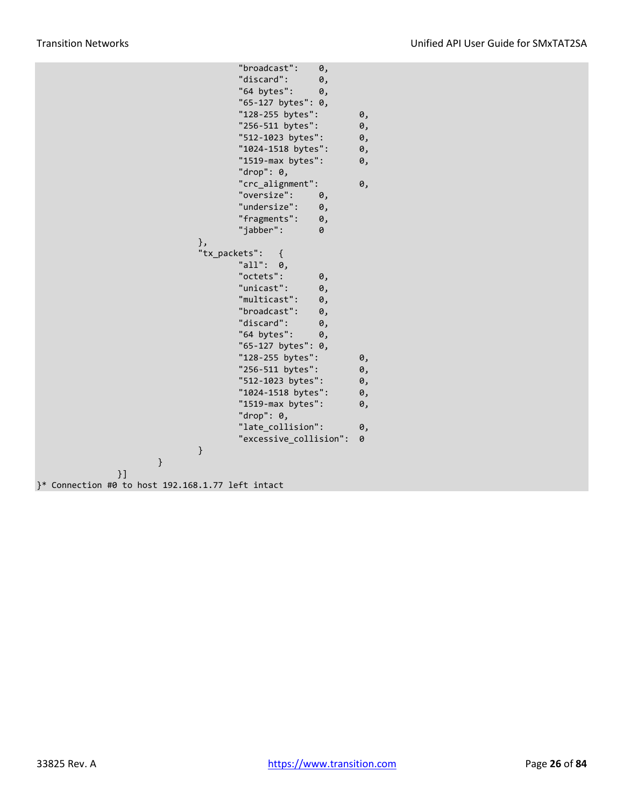|                                                     |        |      | "broadcast":           | 0, |    |
|-----------------------------------------------------|--------|------|------------------------|----|----|
|                                                     |        |      | "discard":             | 0, |    |
|                                                     |        |      | "64 bytes":            | 0, |    |
|                                                     |        |      | "65-127 bytes": 0,     |    |    |
|                                                     |        |      | "128-255 bytes":       |    | 0, |
|                                                     |        |      | "256-511 bytes":       |    | 0, |
|                                                     |        |      | "512-1023 bytes":      |    | 0, |
|                                                     |        |      | "1024-1518 bytes":     |    | 0, |
|                                                     |        |      | "1519-max bytes":      |    | 0, |
|                                                     |        |      | "drop": $\theta$ ,     |    |    |
|                                                     |        |      | "crc_alignment":       |    | 0, |
|                                                     |        |      | "oversize":            | 0, |    |
|                                                     |        |      | "undersize":           | 0, |    |
|                                                     |        |      | "fragments":           | 0, |    |
|                                                     |        |      | "jabber":              | 0  |    |
|                                                     |        | },   |                        |    |    |
|                                                     |        |      | "tx_packets":<br>$\{$  |    |    |
|                                                     |        |      | "all":<br>$\theta$ ,   |    |    |
|                                                     |        |      | "octets":              | 0, |    |
|                                                     |        |      | "unicast":             | 0, |    |
|                                                     |        |      | "multicast":           | 0, |    |
|                                                     |        |      | "broadcast":           | 0, |    |
|                                                     |        |      | "discard":             | 0, |    |
|                                                     |        |      | "64 bytes":            | 0, |    |
|                                                     |        |      | "65-127 bytes": 0,     |    |    |
|                                                     |        |      | "128-255 bytes":       |    | 0, |
|                                                     |        |      | "256-511 bytes":       |    | 0, |
|                                                     |        |      | "512-1023 bytes":      |    | 0, |
|                                                     |        |      | "1024-1518 bytes":     |    | 0, |
|                                                     |        |      | "1519-max bytes":      |    | 0, |
|                                                     |        |      | "drop": 0,             |    |    |
|                                                     |        |      | "late_collision":      |    | 0, |
|                                                     |        |      | "excessive_collision": |    | 0  |
|                                                     |        | $\}$ |                        |    |    |
|                                                     | }      |      |                        |    |    |
|                                                     | $\}$ ] |      |                        |    |    |
| $}*$ Connection #0 to host 192.168.1.77 left intact |        |      |                        |    |    |
|                                                     |        |      |                        |    |    |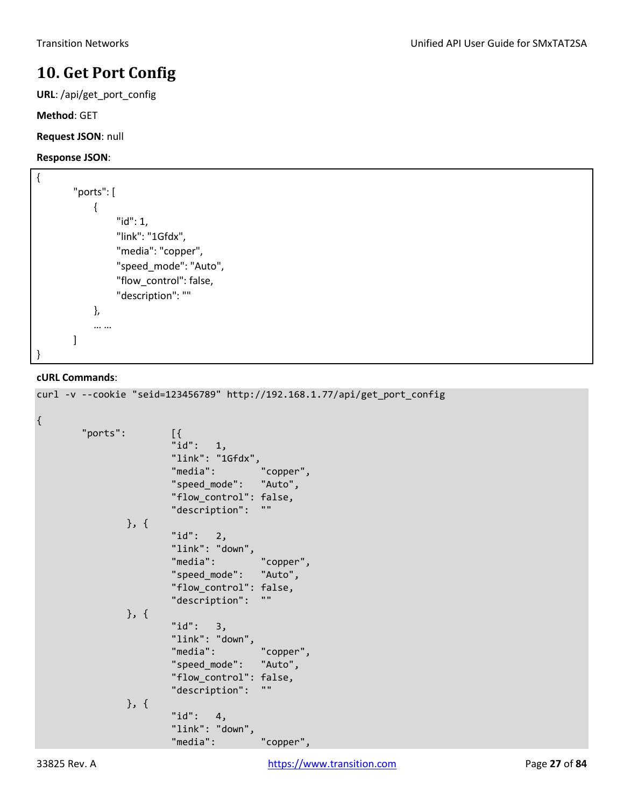## <span id="page-26-0"></span>**10. Get Port Config**

**URL**: /api/get\_port\_config

**Method**: GET

**Request JSON**: null

### **Response JSON**:

{ "ports": [ { "id": 1, "link": "1Gfdx", "media": "copper", "speed\_mode": "Auto", "flow\_control": false, "description": "" }, … … ] }

```
curl -v --cookie "seid=123456789" http://192.168.1.77/api/get_port_config
{
        "ports": [{
                      "id": 1,
                      "link": "1Gfdx",
                      "media": "copper",
                      "speed_mode": "Auto",
                      "flow_control": false,
                       "description": ""
               }, {
                       "id": 2,
                      "link": "down",
                      "media": "copper",
                      "speed_mode": "Auto",
                      "flow_control": false,
                      "description": ""
                }, {
                       "id": 3,
                       "link": "down",
                      "media": "copper",
                      "speed_mode": "Auto",
                      "flow_control": false,
                      "description": ""
                }, {
                       "id": 4,
                      "link": "down",
                      "media": "copper",
```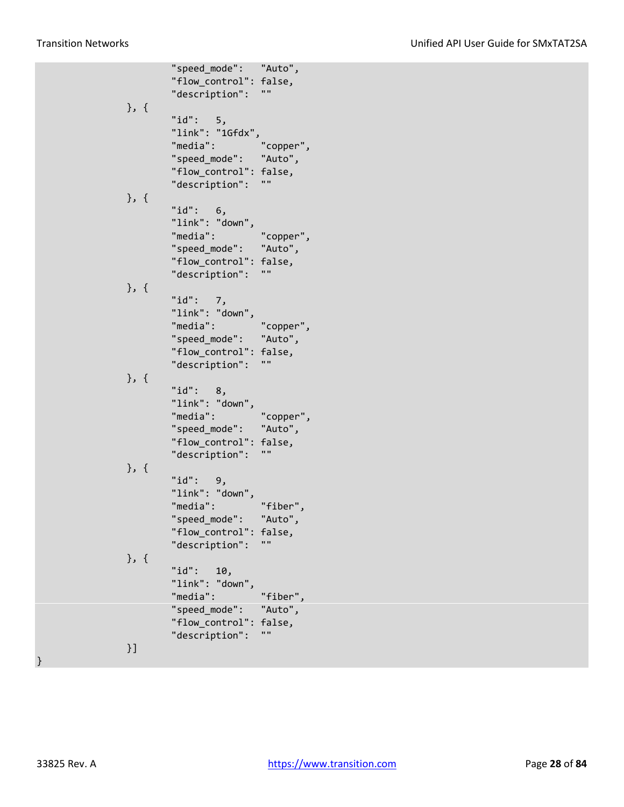|          | "speed_mode": "Auto",  |                |
|----------|------------------------|----------------|
|          | "flow_control": false, |                |
|          | "description":         | 11 H           |
|          |                        |                |
| $\}, \$  |                        |                |
|          | " $id$ ": 5,           |                |
|          | "link": "1Gfdx",       |                |
|          | "media":               | "copper",      |
|          | "speed_mode": "Auto",  |                |
|          | "flow_control": false, |                |
|          | "description":         | 11 H           |
| $\}, \$  |                        |                |
|          |                        |                |
|          | "id":<br>6,            |                |
|          | "link": "down",        |                |
|          | "media":               | "copper",      |
|          | "speed_mode":          | "Auto",        |
|          | "flow_control": false, |                |
|          | "description":         | 11 H           |
| $\}, \$  |                        |                |
|          | " $id$ ": 7,           |                |
|          | "link": "down",        |                |
|          | "media":               | "copper",      |
|          |                        |                |
|          | "speed_mode": "Auto",  |                |
|          | "flow_control":        | false,         |
|          | "description":         | 11 H           |
| $\}, \$  |                        |                |
|          | "id":<br>8,            |                |
|          | "link": "down",        |                |
|          | "media":               | "copper",      |
|          | "speed_mode": "Auto",  |                |
|          | "flow_control":        | false,         |
|          | "description":         | 11 H           |
|          |                        |                |
| $\}, \$  |                        |                |
|          | "id":<br>9,            |                |
|          | "link": "down",        |                |
|          | "media":               | "fiber",       |
|          | "speed_mode":          | "Auto",        |
|          | "flow_control":        | false,         |
|          | "description":         | 88 B           |
| $\}$ , { |                        |                |
|          | $"id"$ :<br>10,        |                |
|          | "link": "down",        |                |
|          | "media":               | "fiber",       |
|          |                        |                |
|          | "speed mode":          | "Auto",        |
|          | "flow_control":        | false,<br>88 B |
|          | "description":         |                |
| }]       |                        |                |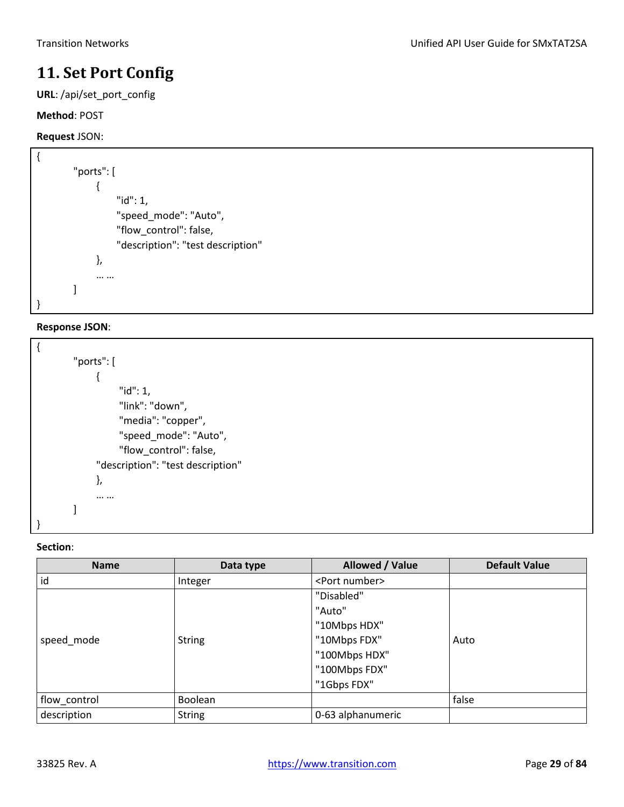## <span id="page-28-0"></span>**11. Set Port Config**

**URL**: /api/set\_port\_config

### **Method**: POST

**Request** JSON:

```
{
        "ports": [
               {
                    "id": 1,
                    "speed_mode": "Auto",
                    "flow_control": false,
                    "description": "test description"
               },
               … …
        ]
}
```
### **Response JSON**:

```
{
         "ports": [
               {
                    "id": 1,
                    "link": "down",
                    "media": "copper",
                    "speed_mode": "Auto",
                    "flow_control": false,
               "description": "test description"
               },
               … …
        ]
}
```
### **Section**:

| <b>Name</b>  | Data type     | Allowed / Value         | <b>Default Value</b> |
|--------------|---------------|-------------------------|----------------------|
| id           | Integer       | <port number=""></port> |                      |
|              |               | "Disabled"              |                      |
|              |               | "Auto"                  |                      |
|              |               | "10Mbps HDX"            |                      |
| speed_mode   | <b>String</b> | "10Mbps FDX"            | Auto                 |
|              |               | "100Mbps HDX"           |                      |
|              |               | "100Mbps FDX"           |                      |
|              |               | "1Gbps FDX"             |                      |
| flow_control | Boolean       |                         | false                |
| description  | <b>String</b> | 0-63 alphanumeric       |                      |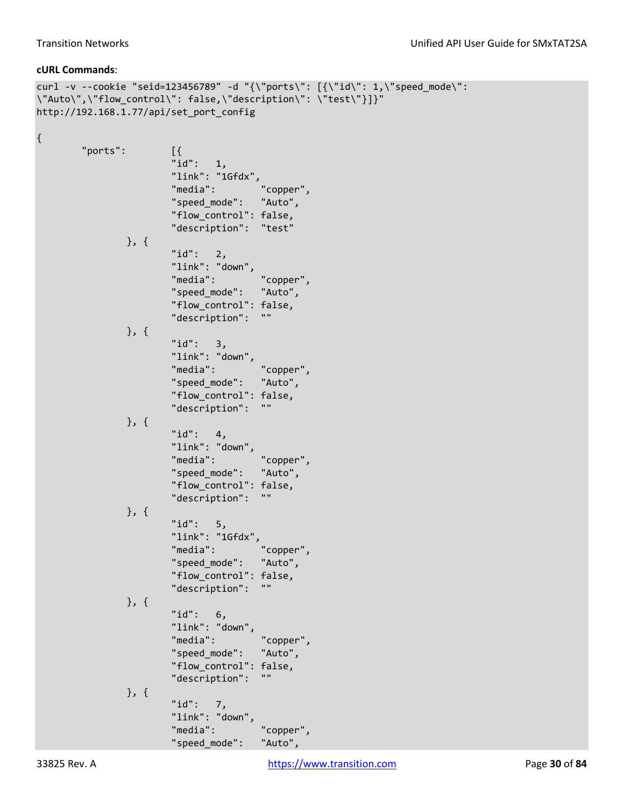```
curl -v --cookie "seid=123456789" -d "{\"ports\": [{\"id\": 1,\"speed_mode\": 
\"Auto\",\"flow_control\": false,\"description\": \"test\"}]}" 
http://192.168.1.77/api/set_port_config
{
        "ports": [{
                       "id": 1,
                       "link": "1Gfdx",
                       "media": "copper",
                       "speed_mode": "Auto",
                       "flow_control": false,
                       "description": "test"
                }, {
                        "id": 2,
                       "link": "down",
                       "media": "copper",
                       "speed_mode": "Auto",
                       "flow_control": false,
                        "description": ""
                }, {
                        "id": 3,
                       "link": "down",
                       "media": "copper",
                       "speed_mode": "Auto",
                        "flow_control": false,
                        "description": ""
                }, {
                        "id": 4,
                       "link": "down",
                       "media": "copper",
                       "speed_mode": "Auto",
                       "flow_control": false,
                       "description": ""
                }, {
                        "id": 5,
                       "link": "1Gfdx",
                        "media": "copper",
                        "speed_mode": "Auto",
                        "flow_control": false,
                       "description": ""
                }, {
                        "id": 6,
                       "link": "down",
                       "media": "copper",
                       "speed_mode": "Auto",
                       "flow_control": false,
                       "description": ""
                }, {
                        "id": 7,
                        "link": "down",
                        "media": "copper",
                        "speed_mode": "Auto",
```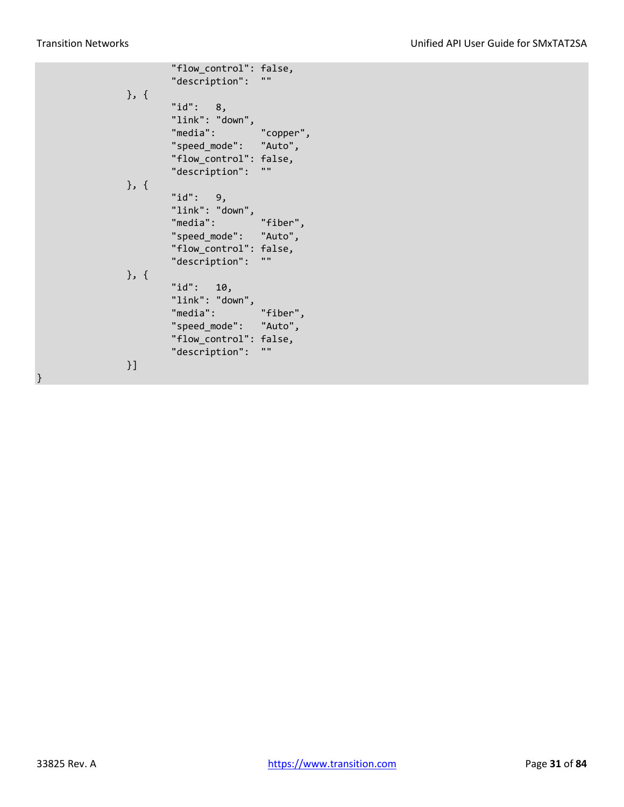```
 "flow_control": false,
                    "description": ""
              }, {
                     "id": 8,
 "link": "down",
 "media": "copper",
                    "speed_mode": "Auto",
                    "flow_control": false,
                    "description": ""
              }, {
                     "id": 9,
                    "link": "down",
                    "media": "fiber",
                    "speed_mode": "Auto",
                     "flow_control": false,
                     "description": ""
              }, {
                     "id": 10,
                    "link": "down",
                    "media": "fiber",
                    "speed_mode": "Auto",
                    "flow_control": false,
                    "description": ""
              }]
```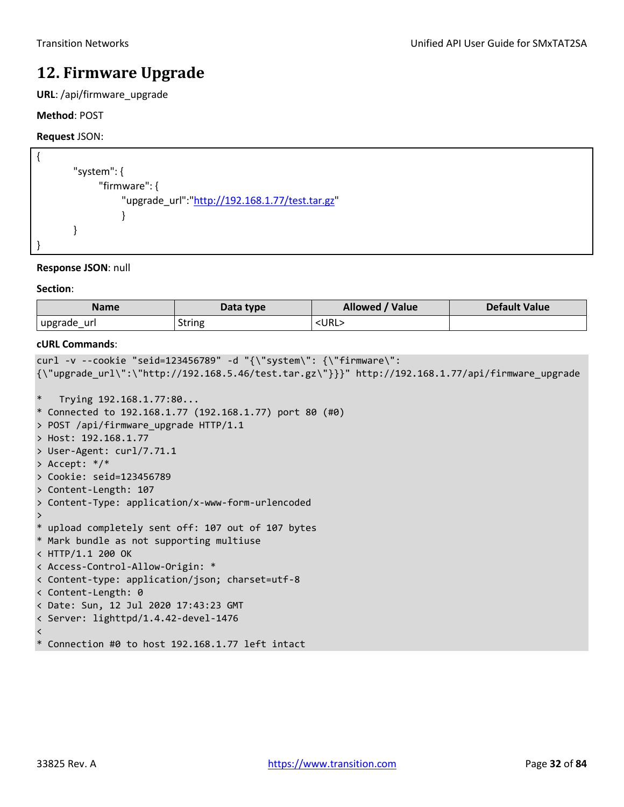## <span id="page-31-0"></span>**12. Firmware Upgrade**

### **URL**: /api/firmware\_upgrade

### **Method**: POST

### **Request** JSON:

```
{
       "system": {
             "firmware": {
                 "upgrade_url":"http://192.168.1.77/test.tar.gz"
        }
       }
}
```
### **Response JSON**: null

### **Section**:

| Name           | Data type | Allowed /<br>Value | <b>Default Value</b> |
|----------------|-----------|--------------------|----------------------|
| url<br>upgrade | String    | .URL>              |                      |

```
curl -v --cookie "seid=123456789" -d "{\"system\": {\"firmware\": 
{\{\Upsilon\}}upgrade_url\Upsilon:\"http://192.168.5.46/test.tar.gz\"}}}" http://192.168.1.77/api/firmware_upgrade
    Trying 192.168.1.77:80...
* Connected to 192.168.1.77 (192.168.1.77) port 80 (#0)
> POST /api/firmware_upgrade HTTP/1.1
> Host: 192.168.1.77
> User-Agent: curl/7.71.1
> Accept: */*
> Cookie: seid=123456789
> Content-Length: 107
> Content-Type: application/x-www-form-urlencoded
>
* upload completely sent off: 107 out of 107 bytes
* Mark bundle as not supporting multiuse
< HTTP/1.1 200 OK
< Access-Control-Allow-Origin: *
< Content-type: application/json; charset=utf-8
< Content-Length: 0
< Date: Sun, 12 Jul 2020 17:43:23 GMT
< Server: lighttpd/1.4.42-devel-1476
\overline{\phantom{a}}* Connection #0 to host 192.168.1.77 left intact
```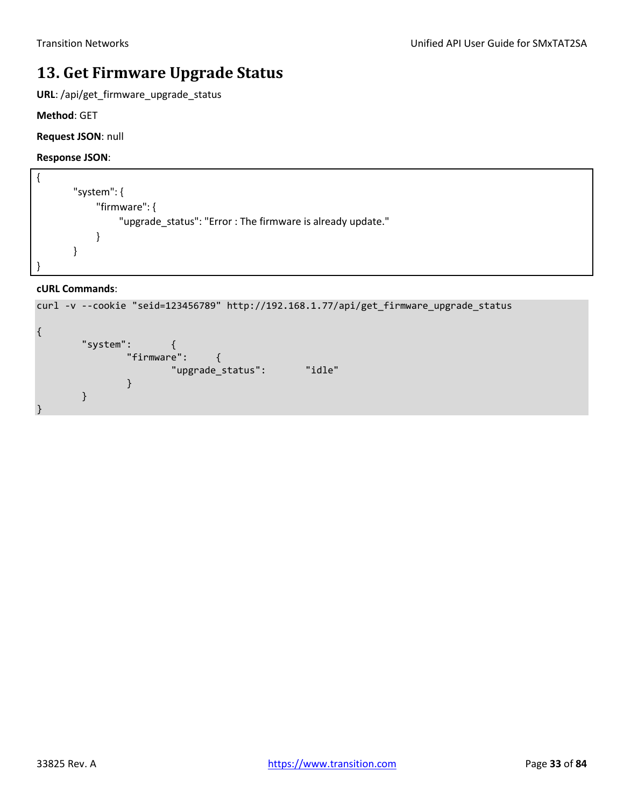### <span id="page-32-0"></span>**13. Get Firmware Upgrade Status**

**URL**: /api/get\_firmware\_upgrade\_status

**Method**: GET

**Request JSON**: null

**Response JSON**:

{ "system": { "firmware": { "upgrade\_status": "Error : The firmware is already update." } } }

```
curl -v --cookie "seid=123456789" http://192.168.1.77/api/get_firmware_upgrade_status
{
         "system": {
                 "firmware": {
                          "upgrade_status": "idle"
}<sub>{\\particulard}}}}</sub> }
         }
}
```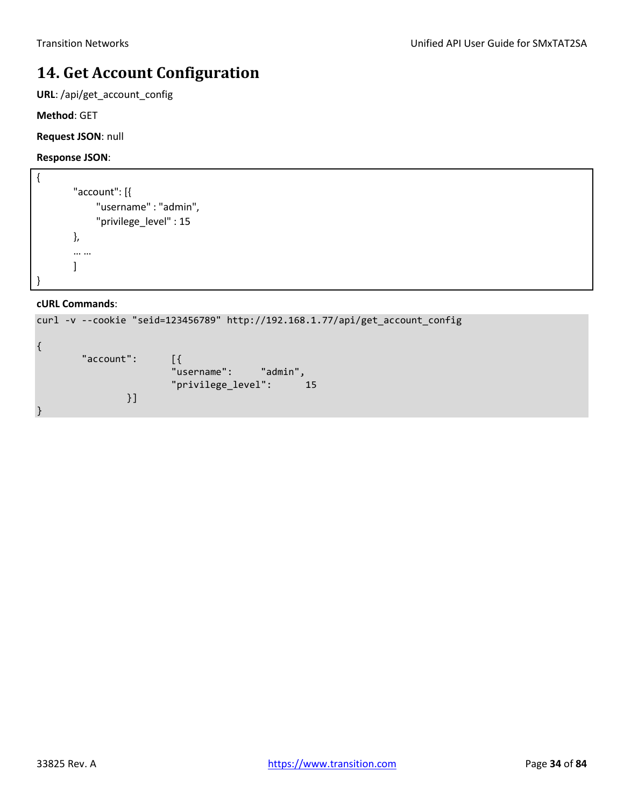### <span id="page-33-0"></span>**14. Get Account Configuration**

**URL**: /api/get\_account\_config

**Method**: GET

**Request JSON**: null

### **Response JSON**:

```
{
         "account": [{
                "username" : "admin",
                "privilege_level" : 15
         },
         … …
         \mathbf{I}}
```
### **cURL Commands**:

curl -v --cookie "seid=123456789" http://192.168.1.77/api/get\_account\_config { "account": [{ "username": "admin", "privilege\_level": 15 }] }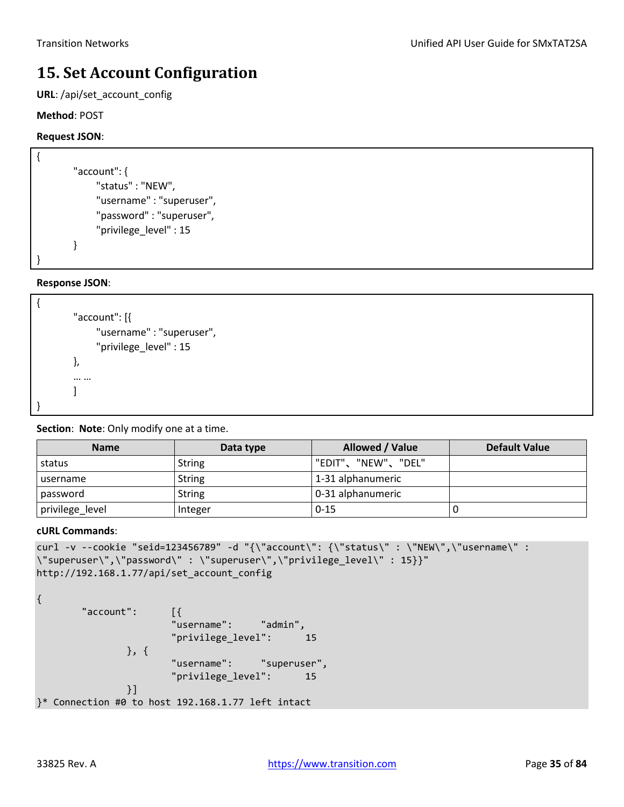### <span id="page-34-0"></span>**15. Set Account Configuration**

**URL**: /api/set\_account\_config

### **Method**: POST

### **Request JSON**:

{

}

```
"account": {
      "status" : "NEW",
      "username" : "superuser",
      "password" : "superuser",
      "privilege_level" : 15
}
```
**Response JSON**:

```
{
         "account": [{
                "username" : "superuser",
                "privilege_level" : 15
         },
         … …
         \mathbf{I}}
```
**Section**: **Note**: Only modify one at a time.

| <b>Name</b>     | Data type     | <b>Allowed / Value</b> | <b>Default Value</b> |
|-----------------|---------------|------------------------|----------------------|
| status          | <b>String</b> | "EDIT"、"NEW"、"DEL"     |                      |
| username        | <b>String</b> | 1-31 alphanumeric      |                      |
| password        | <b>String</b> | 0-31 alphanumeric      |                      |
| privilege_level | Integer       | $0 - 15$               |                      |

```
curl -v --cookie "seid=123456789" -d "{\"account\": {\"status\" : \"NEW\",\"username\" : 
\"superuser\",\"password\" : \"superuser\",\"privilege_level\" : 15}}" 
http://192.168.1.77/api/set_account_config
```

```
{
```

```
 "account": [{
                       "username": "admin",
                      "privilege_level": 15
               }, {
                       "username": "superuser",
                      "privilege_level": 15
               }]
}* Connection #0 to host 192.168.1.77 left intact
```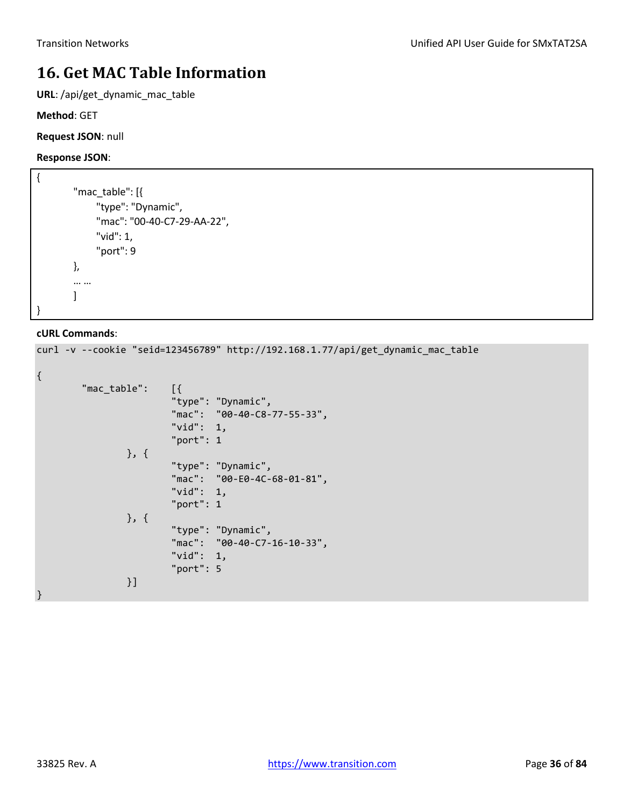### <span id="page-35-0"></span>**16. Get MAC Table Information**

**URL**: /api/get\_dynamic\_mac\_table

**Method**: GET

**Request JSON**: null

### **Response JSON**:

```
{
        "mac_table": [{
              "type": "Dynamic",
              "mac": "00-40-C7-29-AA-22",
              "vid": 1,
              "port": 9
        },
        … …
        ]
}
```
### **cURL Commands**:

```
curl -v --cookie "seid=123456789" http://192.168.1.77/api/get_dynamic_mac_table
{
         "mac_table": [{
                         "type": "Dynamic",
                         "mac": "00-40-C8-77-55-33",
                         "vid": 1,
                        "port": 1
                 }, {
                         "type": "Dynamic",
                          "mac": "00-E0-4C-68-01-81",
                         "vid": 1,
                        "port": 1
                 }, {
                         "type": "Dynamic",
                        "mac": "00-40-C7-16-10-33",
                         "vid": 1,
                         "port": 5
                 }]
```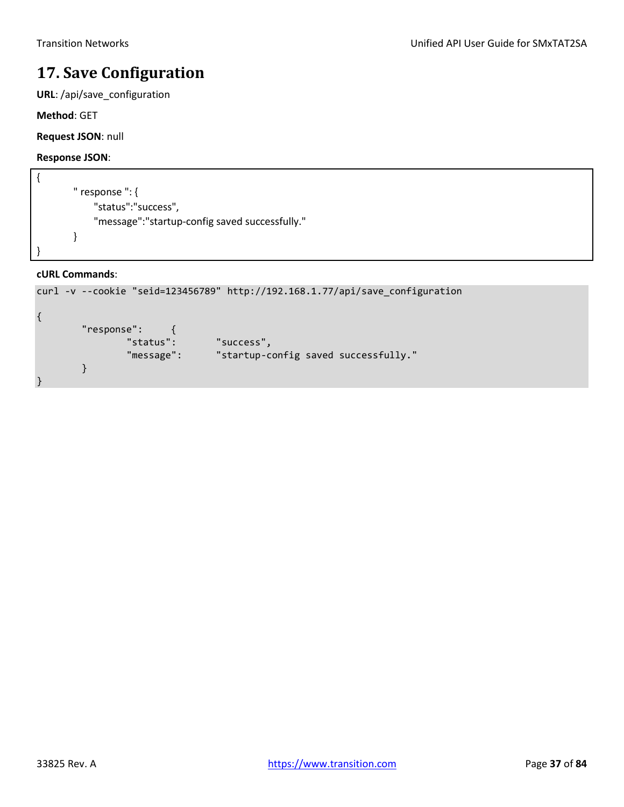# **17. Save Configuration**

**URL**: /api/save\_configuration

**Method**: GET

**Request JSON**: null

**Response JSON**:

```
{
        " response ": {
              "status":"success",
              "message":"startup-config saved successfully."
        }
}
```

```
curl -v --cookie "seid=123456789" http://192.168.1.77/api/save_configuration
{
        "response": {
                "status": "success",
                              "startup-config saved successfully."
        }
}
```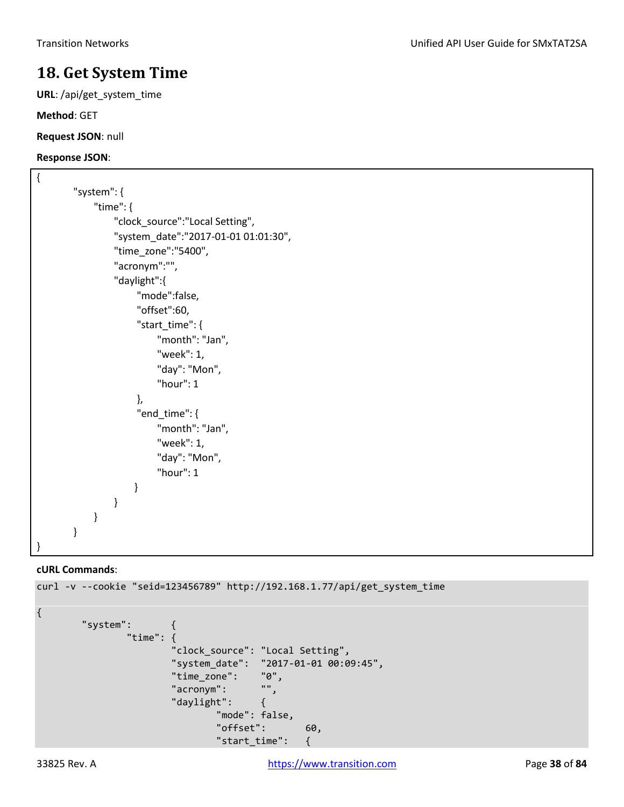## **18. Get System Time**

**URL**: /api/get\_system\_time

**Method**: GET

**Request JSON**: null

**Response JSON**:

```
{
        "system": {
             "time": {
                  "clock_source":"Local Setting",
                  "system_date":"2017-01-01 01:01:30",
                  "time_zone":"5400",
                  "acronym":"",
                  "daylight":{
                       "mode":false,
                       "offset":60,
                       "start_time": {
                            "month": "Jan",
                            "week": 1,
                            "day": "Mon",
                            "hour": 1
                       },
                       "end_time": {
                            "month": "Jan",
                            "week": 1,
                            "day": "Mon",
                            "hour": 1
         }
                  }
             }
        }
}
```

```
curl -v --cookie "seid=123456789" http://192.168.1.77/api/get_system_time
{
        "system": {
                "time": {
                        "clock_source": "Local Setting",
                       "system_date": "2017-01-01 00:09:45",
                        "time_zone": "0",
                        "acronym": "",
                        "daylight": {
                               "mode": false,
                              "offset": 60,
                              "start_time": {
```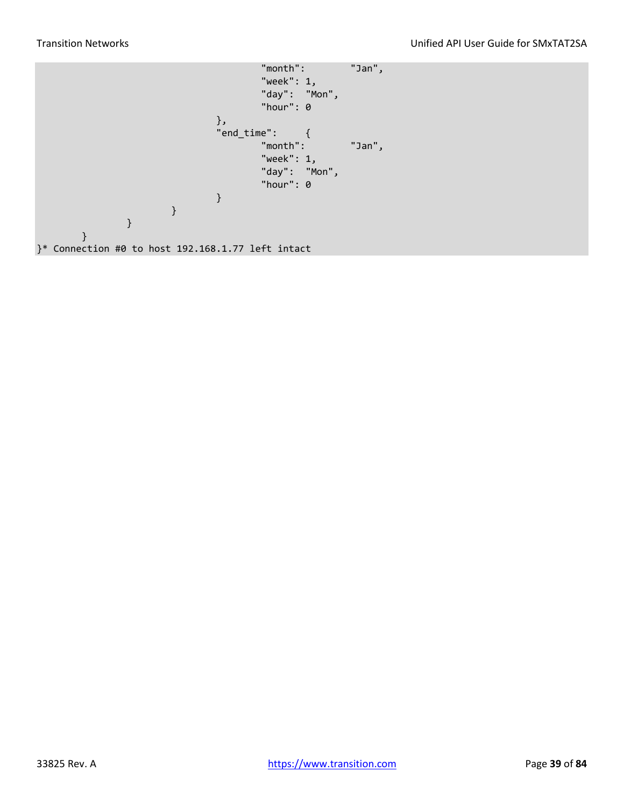```
 "month": "Jan",
                                                                     "week": 1,
                                                                     "day": "Mon",
                                                                    "hour": 0
, where \{x_i\}_{i=1}^N , we have the contract of \{x_i\}_{i=1}^N\blacksquare and \blacksquare and \blacksquare and \blacksquare and \blacksquare and \blacksquare and \blacksquare and \blacksquare and \blacksquare and \blacksquare and \blacksquare and \blacksquare and \blacksquare and \blacksquare and \blacksquare and \blacksquare and \blacksquare and \blacksquare and \blacksquare and \blacksquare and  "month": "Jan",
                                                                    "week": 1,
                                                                    "day": "Mon",
 "hour": 0
denotes the contract of the contract of the contract of the contract of the contract of the contract of the con
 }
 }
              }
}* Connection #0 to host 192.168.1.77 left intact
```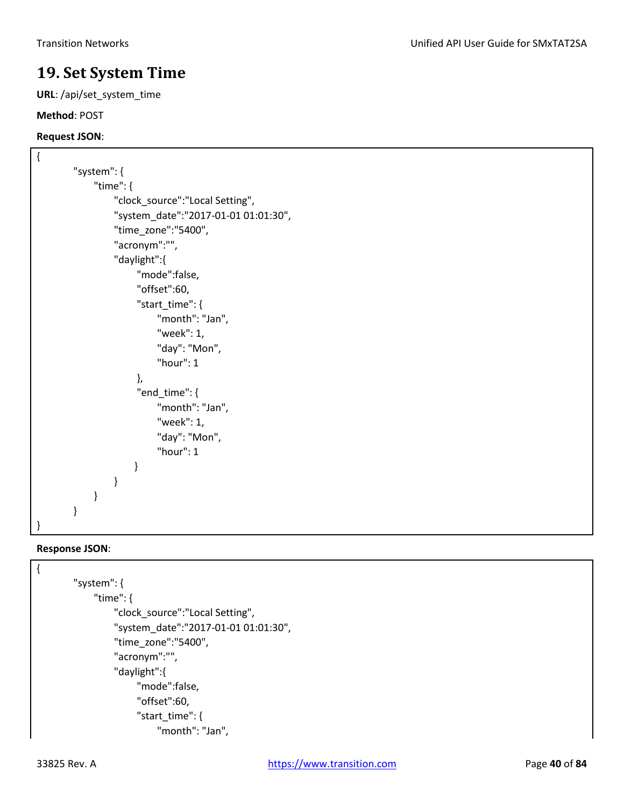# **19. Set System Time**

**URL**: /api/set\_system\_time

### **Method**: POST

**Request JSON**:

```
{
        "system": {
             "time": {
                  "clock_source":"Local Setting",
                  "system_date":"2017-01-01 01:01:30",
                  "time_zone":"5400",
                  "acronym":"",
                  "daylight":{
                       "mode":false,
                       "offset":60,
                       "start_time": {
                            "month": "Jan",
                            "week": 1,
                            "day": "Mon",
                            "hour": 1
                       },
                       "end_time": {
                           "month": "Jan",
                            "week": 1,
                            "day": "Mon",
                            "hour": 1
         }
                  }
             }
        }
}
```
#### **Response JSON**:

{

```
"system": {
     "time": {
          "clock_source":"Local Setting",
          "system_date":"2017-01-01 01:01:30",
          "time_zone":"5400",
          "acronym":"",
          "daylight":{
               "mode":false,
               "offset":60,
               "start_time": {
                    "month": "Jan",
```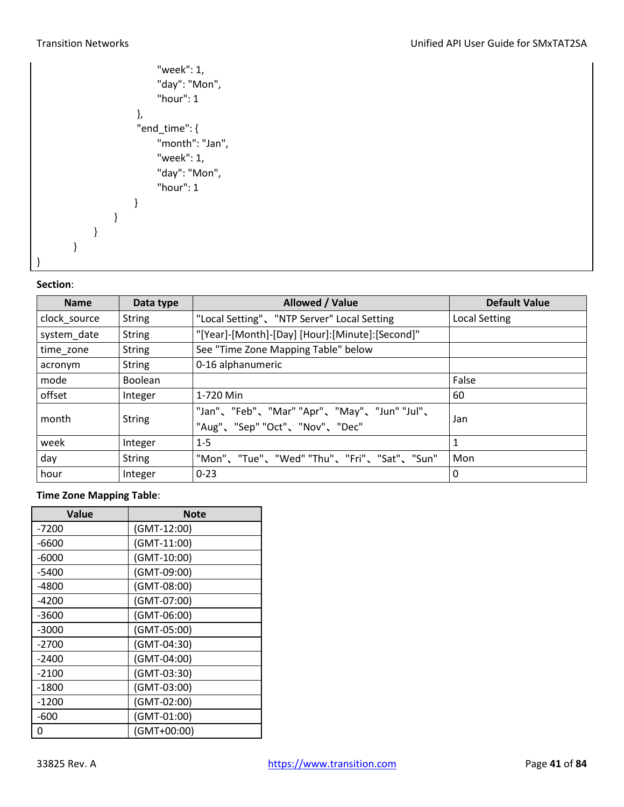```
 "week": 1,
                            "day": "Mon",
                            "hour": 1
                       },
                       "end_time": {
                            "month": "Jan",
                            "week": 1,
                            "day": "Mon",
                            "hour": 1
                      }
                  }
             }
       }
}
```
#### **Section**:

| <b>Name</b>  | Data type      | Allowed / Value                                                             | <b>Default Value</b> |
|--------------|----------------|-----------------------------------------------------------------------------|----------------------|
| clock source | <b>String</b>  | "Local Setting"、"NTP Server" Local Setting                                  | <b>Local Setting</b> |
| system_date  | <b>String</b>  | "[Year]-[Month]-[Day] [Hour]:[Minute]:[Second]"                             |                      |
| time zone    | <b>String</b>  | See "Time Zone Mapping Table" below                                         |                      |
| acronym      | <b>String</b>  | 0-16 alphanumeric                                                           |                      |
| mode         | <b>Boolean</b> |                                                                             | False                |
| offset       | Integer        | 1-720 Min                                                                   | 60                   |
| month        | <b>String</b>  | "Jan"、"Feb"、"Mar" "Apr"、"May"、"Jun" "Jul"、<br>"Aug"、"Sep" "Oct"、"Nov"、"Dec" | Jan                  |
| week         | Integer        | $1 - 5$                                                                     |                      |
| day          | <b>String</b>  | "Mon"、"Tue"、"Wed" "Thu"、"Fri"、"Sat"、"Sun"                                   | Mon                  |
| hour         | Integer        | $0 - 23$                                                                    | 0                    |

#### **Time Zone Mapping Table**:

| Value   | Note        |
|---------|-------------|
| -7200   | (GMT-12:00) |
| $-6600$ | (GMT-11:00) |
| $-6000$ | (GMT-10:00) |
| $-5400$ | (GMT-09:00) |
| -4800   | (GMT-08:00) |
| -4200   | (GMT-07:00) |
| $-3600$ | (GMT-06:00) |
| $-3000$ | (GMT-05:00) |
| $-2700$ | (GMT-04:30) |
| $-2400$ | (GMT-04:00) |
| $-2100$ | (GMT-03:30) |
| -1800   | (GMT-03:00) |
| $-1200$ | (GMT-02:00) |
| $-600$  | (GMT-01:00) |
| U       | (GMT+00:00) |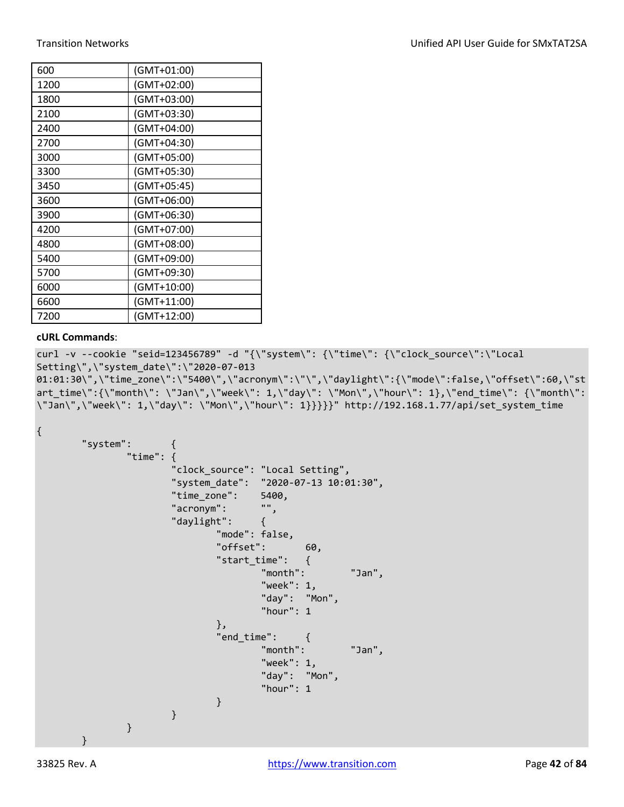| 600  | (GMT+01:00) |
|------|-------------|
| 1200 | (GMT+02:00) |
| 1800 | (GMT+03:00) |
| 2100 | (GMT+03:30) |
| 2400 | (GMT+04:00) |
| 2700 | (GMT+04:30) |
| 3000 | (GMT+05:00) |
| 3300 | (GMT+05:30) |
| 3450 | (GMT+05:45) |
| 3600 | (GMT+06:00) |
| 3900 | (GMT+06:30) |
| 4200 | (GMT+07:00) |
| 4800 | (GMT+08:00) |
| 5400 | (GMT+09:00) |
| 5700 | (GMT+09:30) |
| 6000 | (GMT+10:00) |
| 6600 | (GMT+11:00) |
| 7200 | (GMT+12:00) |

#### **cURL Commands**:

curl -v --cookie "seid=123456789" -d "{\"system\": {\"time\": {\"clock\_source\":\"Local Setting\",\"system\_date\":\"2020-07-013 01:01:30\",\"time\_zone\":\"5400\",\"acronym\":\"\",\"daylight\":{\"mode\":false,\"offset\":60,\"st art\_time\":{\"month\": \"Jan\",\"week\": 1,\"day\": \"Mon\",\"hour\": 1},\"end\_time\": {\"month\": \"Jan\",\"week\": 1,\"day\": \"Mon\",\"hour\": 1}}}}}" http://192.168.1.77/api/set\_system\_time

```
{
```

```
 "system": {
                   "time": {
                             "clock_source": "Local Setting",
                             "system_date": "2020-07-13 10:01:30",
                            "time_zone":  5400,<br>"acronvm":    "",
                            "acronym":
                            "daylight": {
                                      "mode": false,
                                      "offset": 60,
                                      "start_time": {
                                                "month": "Jan",
                                               "week": 1,
                                                "day": "Mon",
                                                "hour": 1
, where \{x_i\}_{i=1}^N , we have the contract of \{x_i\}_{i=1}^N"end_time": {
                                                "month": "Jan",
                                                "week": 1,
                                                "day": "Mon",
                                                "hour": 1
 }
 }
denotes the control of the property of the second property of the second property of the second property of the
          }
```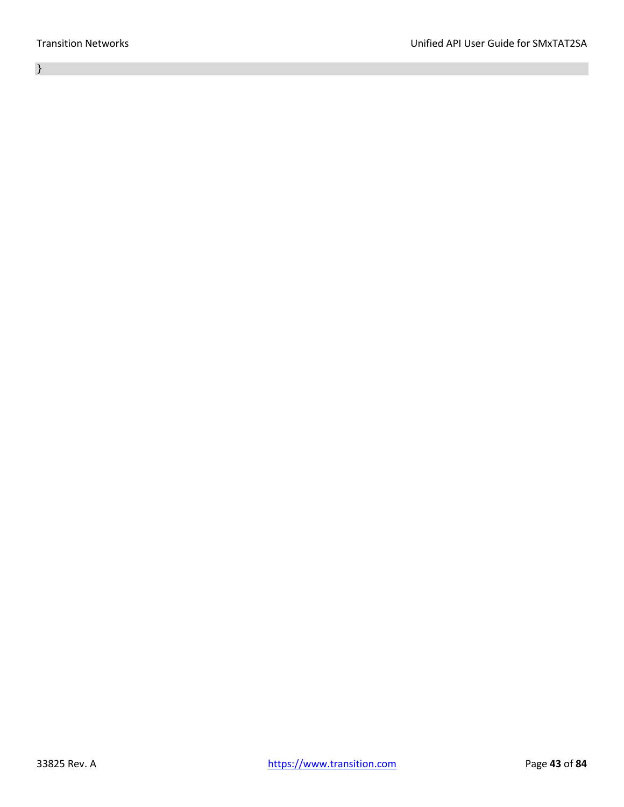}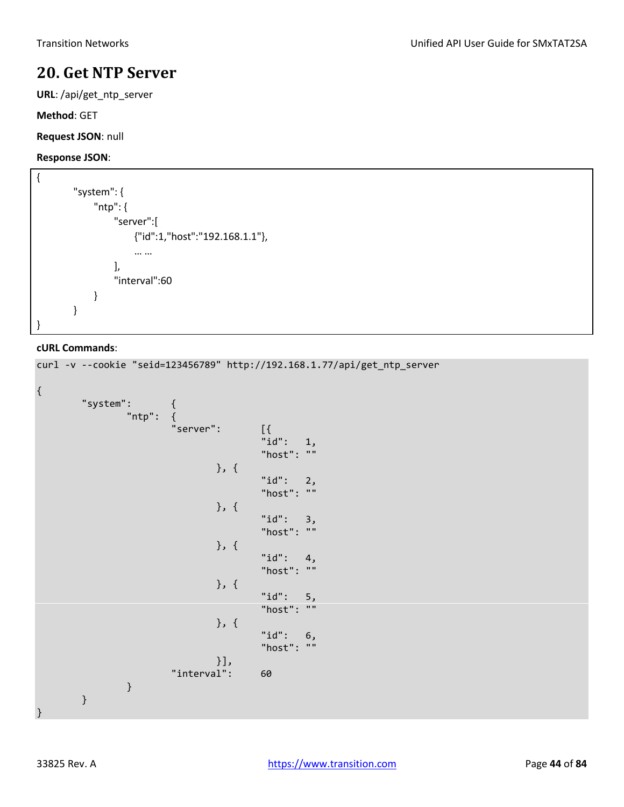### **20. Get NTP Server**

**URL**: /api/get\_ntp\_server

**Method**: GET

**Request JSON**: null

#### **Response JSON**:

```
{
         "system": {
               "ntp": {
                    "server":[
                        {"id":1,"host":"192.168.1.1"},
                        … …
                   ],
                   "interval":60
              }
        }
}
```

```
curl -v --cookie "seid=123456789" http://192.168.1.77/api/get_ntp_server
{
        "system": {
                "ntp": {
                       "server": [{
                                      "id": 1,
                                       "host": ""
                               }, {
                                       "id": 2,
                                      "host": ""
                               }, {
                                       "id": 3,
                                       "host": ""
                               }, {
                                       "id": 4,
                                      "host": ""
                               }, {
                                       "id": 5,
                                       "host": ""
                               }, {
                                       "id": 6,
                                       "host": ""
 }],
                        "interval": 60
}<sub>{\\pinet}}</sub> }
        }
}
```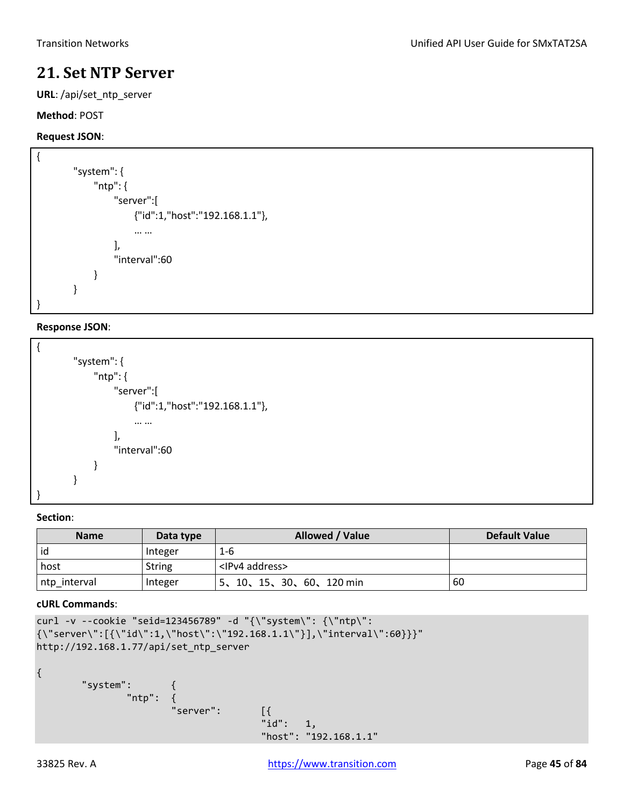### **21. Set NTP Server**

**URL**: /api/set\_ntp\_server

### **Method**: POST

### **Request JSON**:

```
{
         "system": {
               "ntp": {
                    "server":[
                        {"id":1,"host":"192.168.1.1"},
                         … …
                    ],
                    "interval":60
              }
        }
}
```
### **Response JSON**:

```
{
         "system": {
               "ntp": {
                    "server":[
                         {"id":1,"host":"192.168.1.1"},
                         … …
                    ],
                    "interval":60
               }
         }
}
```
### **Section**:

| <b>Name</b>  | Data type     | Allowed / Value                             | <b>Default Value</b> |
|--------------|---------------|---------------------------------------------|----------------------|
| id           | Integer       | $1 - 6$                                     |                      |
| host         | <b>String</b> | <ipv4 address=""></ipv4>                    |                      |
| ntp_interval | Integer       | $\vert 5, 10, 15, 30, 60, 120 \,\text{min}$ | 60                   |

```
curl -v --cookie "seid=123456789" -d "{\"system\": {\"ntp\": 
{\verb|`:server\\":[{\verb|`id\\":1,\\"host\\":\verb|`192.168.1.1\\"\}].\verb|"interval\\":\verb|`60]}\}"http://192.168.1.77/api/set_ntp_server
```

```
{
        "system": {
               "ntp": {
                      "server": [{
                                   "id": 1,
                                   "host": "192.168.1.1"
```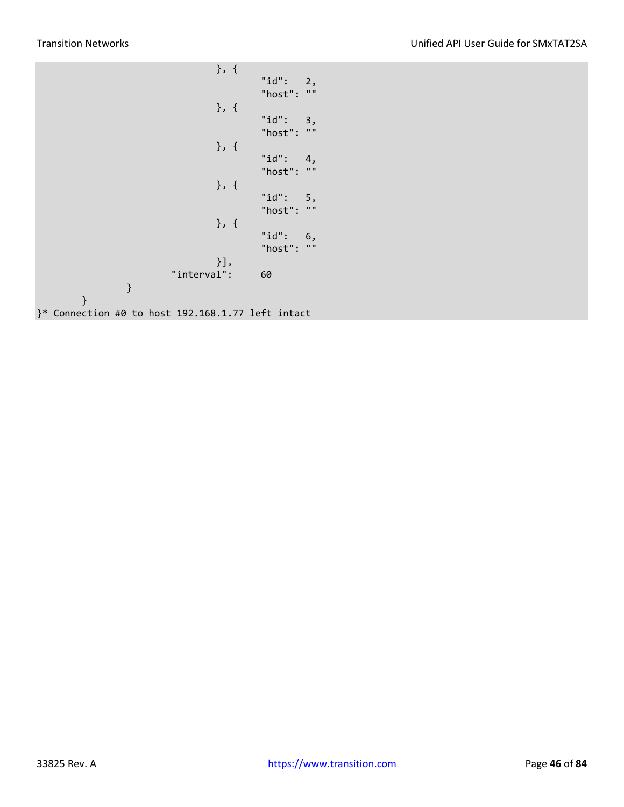}, { "id": 2, "host": "" }, {  $\blacksquare$  id": 3,  $\blacksquare$  id": 3,  $\blacksquare$ "host": "" }, { "id": 4, "host": "" }, { "id": 5, "host": "" }, {  $\blacksquare$  id": 6,  $\blacksquare$  id": 6,  $\blacksquare$  "host": "" }], "interval": 60 denotes the control of the property of the second property of the second property of the second property of the } }\* Connection #0 to host 192.168.1.77 left intact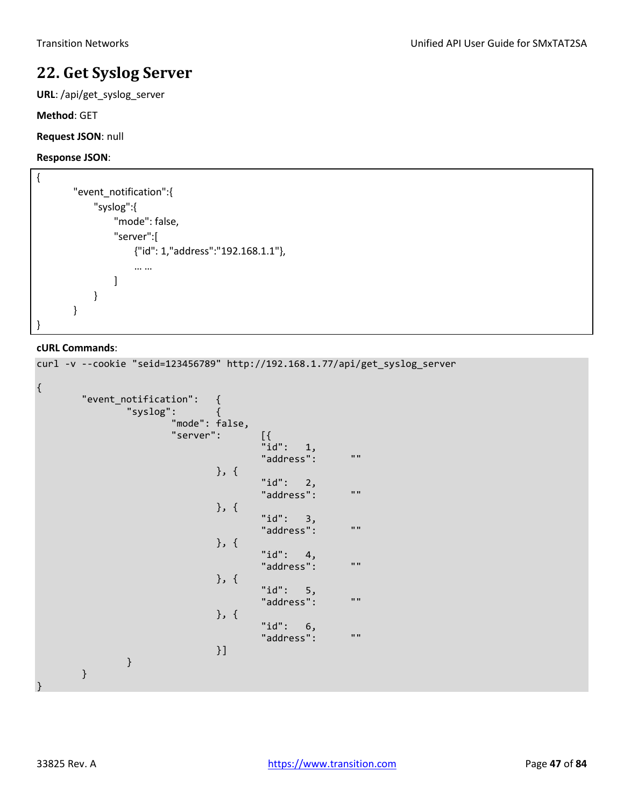## **22. Get Syslog Server**

**URL**: /api/get\_syslog\_server

**Method**: GET

**Request JSON**: null

#### **Response JSON**:

```
{
         "event_notification":{
              "syslog":{
                   "mode": false,
                   "server":[
                        {"id": 1,"address":"192.168.1.1"},
                        … …
                   ]
              }
        }
}
```

```
curl -v --cookie "seid=123456789" http://192.168.1.77/api/get_syslog_server
```

```
{
```

```
 "event_notification": {
                  "syslog": {
                           "mode": false,
                          "server": [{
                                            "id": 1,"address": ""
                                    }, {
                                             "id": 2,
                                             "address": ""
                                    }, {
                                             "id": 3,
                                            "address": ""
                                    }, {
                                             "id": 4,
                                             "address": ""
                                    }, {
                                             "id": 5,
                                            "address": ""
                                    }, {
                                             "id": 6,
                                            "address": ""
\{ \}denotes the control of the property of the second property of the second property of the second property of the
         }
}
```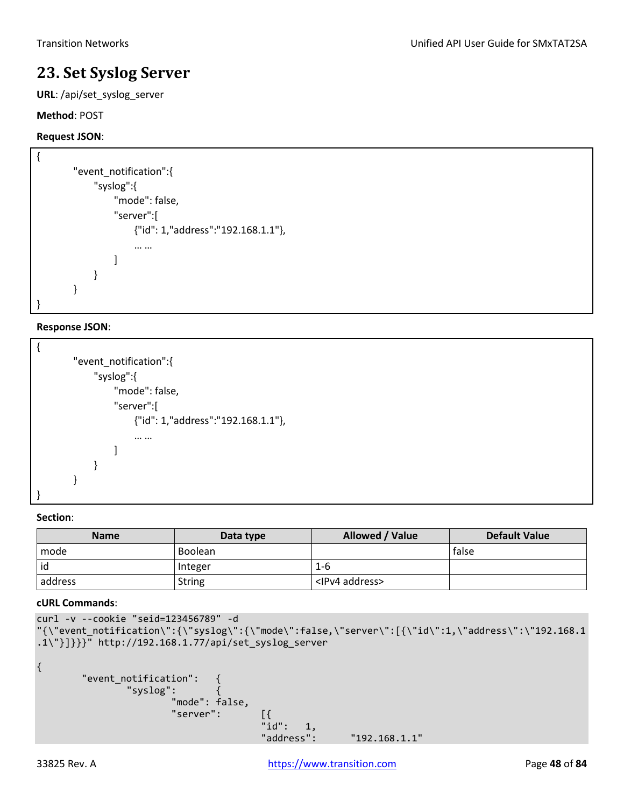## **23. Set Syslog Server**

**URL**: /api/set\_syslog\_server

### **Method**: POST

### **Request JSON**:

```
{
         "event_notification":{
               "syslog":{
                    "mode": false,
                    "server":[
                        {"id": 1,"address":"192.168.1.1"},
                        … …
                   ]
               }
        }
}
```
### **Response JSON**:

```
{
         "event_notification":{
               "syslog":{
                    "mode": false,
                    "server":[
                         {"id": 1,"address":"192.168.1.1"},
                         … …
                   ]
               }
         }
}
```
#### **Section**:

| <b>Name</b> | Data type      | Allowed / Value          | <b>Default Value</b> |
|-------------|----------------|--------------------------|----------------------|
| mode        | <b>Boolean</b> |                          | false                |
| l id        | Integer        | $1 - 6$                  |                      |
| laddress    | <b>String</b>  | <ipv4 address=""></ipv4> |                      |

```
curl -v --cookie "seid=123456789" -d 
"{\"event_notification\":{\"syslog\":{\"mode\":false,\"server\":[{\"id\":1,\"address\":\"192.168.1
.1\"}]}}}" http://192.168.1.77/api/set_syslog_server
```

```
{
         "event_notification": {
                  "syslog": {
                          "mode": false,
                         "server": [{
                                            "id": 1,
                                            "address": "192.168.1.1"
```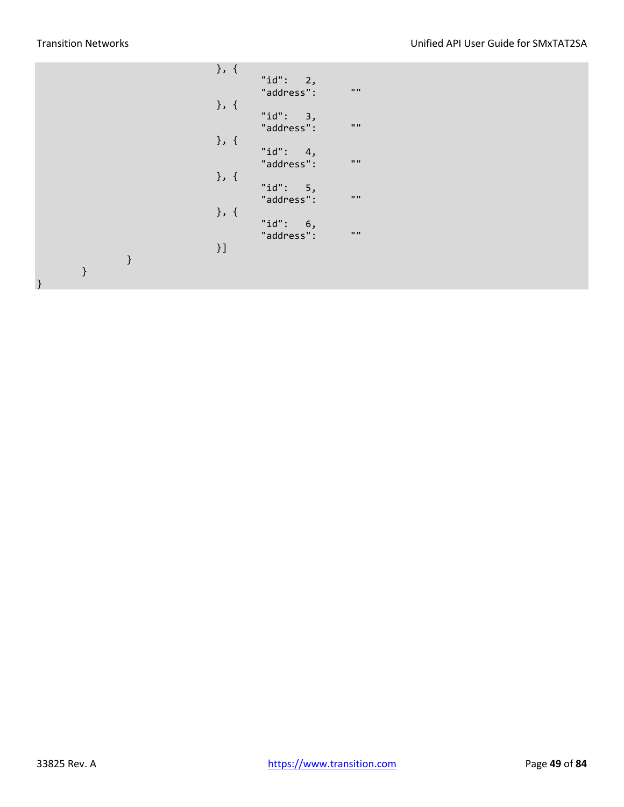|      |   |   | $\}, \$  |              |    |                           |  |
|------|---|---|----------|--------------|----|---------------------------|--|
|      |   |   |          | " $id$ ": 2, |    |                           |  |
|      |   |   |          | "address":   |    | $\mathbf{u}$              |  |
|      |   |   | $\}$ , { |              |    |                           |  |
|      |   |   |          | "id":        | 3, |                           |  |
|      |   |   |          | "address":   |    | $\mathbf{u}$ $\mathbf{u}$ |  |
|      |   |   | $\},\$   |              |    |                           |  |
|      |   |   |          | "id":        | 4, |                           |  |
|      |   |   |          | "address":   |    | $\mathbf{u}$ $\mathbf{u}$ |  |
|      |   |   |          |              |    |                           |  |
|      |   |   | $\}, \$  |              |    |                           |  |
|      |   |   |          | "id":        | 5, | $\mathbf{u}$ $\mathbf{u}$ |  |
|      |   |   |          | "address":   |    |                           |  |
|      |   |   | $\}$ , { |              |    |                           |  |
|      |   |   |          | "id": $6,$   |    |                           |  |
|      |   |   |          | "address":   |    | $\mathbf{u}$              |  |
|      |   |   | $\}$ ]   |              |    |                           |  |
|      |   | } |          |              |    |                           |  |
|      | λ |   |          |              |    |                           |  |
| $\}$ |   |   |          |              |    |                           |  |
|      |   |   |          |              |    |                           |  |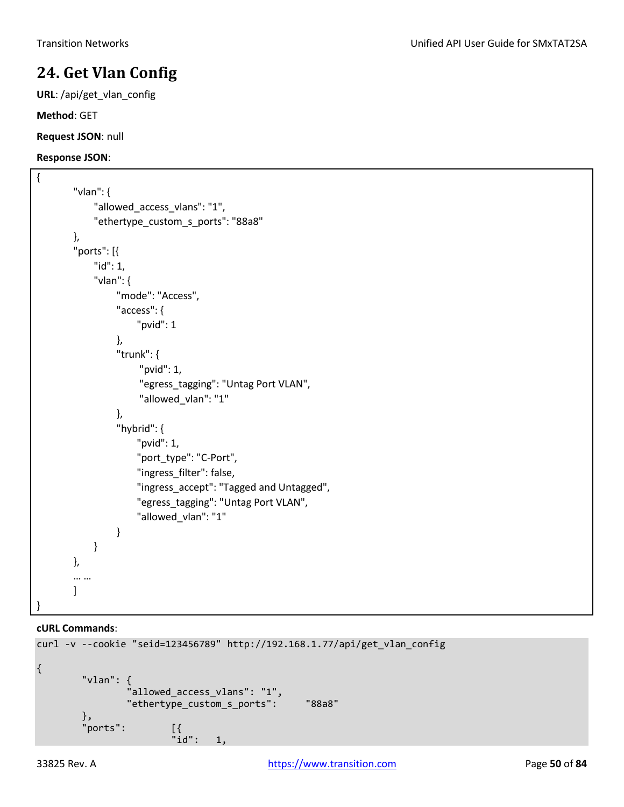# **24. Get Vlan Config**

**URL**: /api/get\_vlan\_config

**Method**: GET

**Request JSON**: null

#### **Response JSON**:

```
{
        "vlan": {
              "allowed_access_vlans": "1",
              "ethertype_custom_s_ports": "88a8"
        },
        "ports": [{
              "id": 1,
              "vlan": {
                   "mode": "Access",
                   "access": {
                        "pvid": 1
                   },
                    "trunk": {
                         "pvid": 1,
                         "egress_tagging": "Untag Port VLAN",
                         "allowed_vlan": "1"
                   },
                   "hybrid": {
                        "pvid": 1,
                        "port_type": "C-Port",
                         "ingress_filter": false,
                         "ingress_accept": "Tagged and Untagged",
                        "egress_tagging": "Untag Port VLAN",
                         "allowed_vlan": "1"
                   }
              }
        },
        … …
        ]
}
```

```
curl -v --cookie "seid=123456789" http://192.168.1.77/api/get_vlan_config
{
         "vlan": {
                  "allowed_access_vlans": "1",
                  "ethertype_custom_s_ports": "88a8"
         },
          "ports": [{
                          [{<br>"id": 1,
```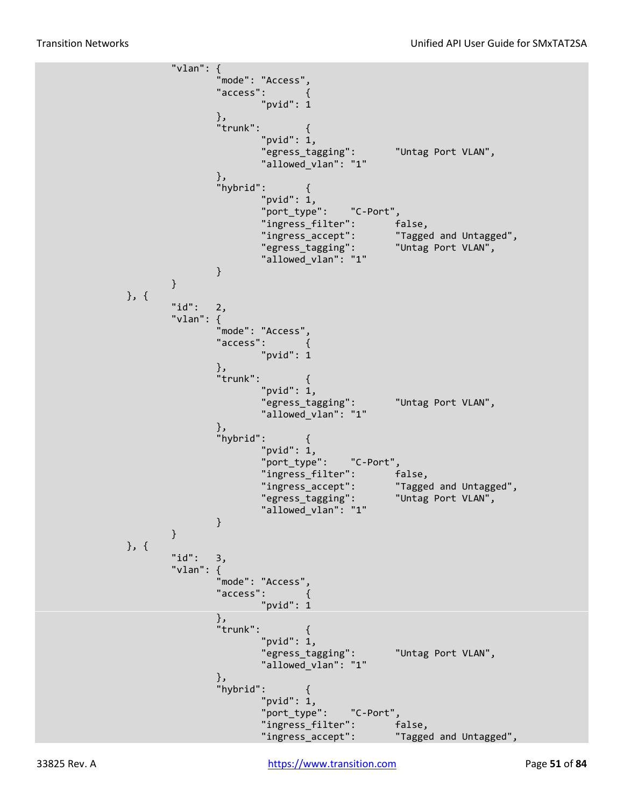```
 "vlan": {
                                      "mode": "Access",
                                     "access": {
                                               "pvid": 1
, where \{x_i\}_{i=1}^N , we have the contract of \{x_i\}_{i=1}^N "trunk": {
                                               "pvid": 1,<br>"egress_tagging":
                                                                        "Untag Port VLAN",
                                               "allowed_vlan": "1"
, where \{x_i\}_{i=1}^N , we have the contract of \{x_i\}_{i=1}^N "hybrid": {
                                                "pvid": 1,
                                               "port_type": "C-Port",
                                               "ingress_filter": false,<br>"ingress_accept": "Tagged and Untagged",
 "ingress_accept": "Tagged and Untagged",
 "egress_tagging": "Untag Port VLAN",
                                               "allowed_vlan": "1"
 }
 }
                   }, {
                            "id": 2,
                            "vlan": {
                                      "mode": "Access",
                                     "access": {
                                               "pvid": 1
, where \{x_i\}_{i=1}^N , we have the contract of \{x_i\}_{i=1}^N "trunk": {
                                               "pvid": 1,<br>"egress_tagging":
                                                                       "Untag Port VLAN",
                                                "allowed_vlan": "1"
, where \{x_i\}_{i=1}^N , we have the contract of \{x_i\}_{i=1}^N"hybrid": {
. The contract of the contract of the contract \sim "pvid": 1,
                                               "port_type": "C-Port",
                                                "ingress_filter": false,
                                                "ingress_accept": "Tagged and Untagged",
                                               "egress_tagging": "Untag Port VLAN",
                                                "allowed_vlan": "1"
 }
denotes the control of the second property of the second property of the second property \} }, {
                            "id": 3,
                            "vlan": {
                                      "mode": "Access",
                                     "access": {
                                                "pvid": 1
, where \{x_i\}_{i=1}^N , we have the contract of \{x_i\}_{i=1}^N"trunk": {
                                                "pvid": 1,
                                               "egress_tagging": "Untag Port VLAN",
                                               "allowed_vlan": "1"
, where \{x_i\}_{i=1}^N , we have the contract of \{x_i\}_{i=1}^N"hybrid": {
. The contract of the contract of \mathbb{R}^n is the contract of \mathbb{R}^n in \mathbb{R}^n is the contract of \mathbb{R}^n is the contract of \mathbb{R}^n is the contract of \mathbb{R}^n is the contract of \mathbb{R}^n is the contr
                                                "port_type": "C-Port",
                                                "ingress_filter": false,
                                               "ingress_accept": "Tagged and Untagged",
```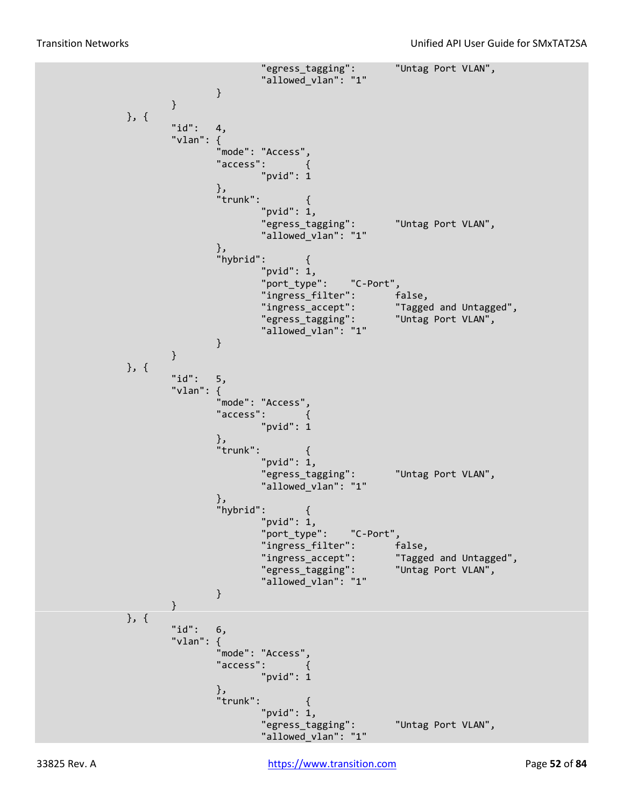```
 "egress_tagging": "Untag Port VLAN",
                                              "allowed_vlan": "1"
 }
 }
                  }, {
                           "id": 4,
                           "vlan": {
                                     "mode": "Access",
                                    "access": {
                                             "pvid": 1
, where \{x_i\}_{i=1}^N , we have the contribution of \} ,
                                   "trunk": {
                                             "pvid": 1,
                                             "egress_tagging": "Untag Port VLAN",
                                             "allowed_vlan": "1"
, where \{x_i\}_{i=1}^N , we have the contribution of \} ,
                                    "hybrid": {
                                             "pvid": 1,
                                              "port_type": "C-Port",
                                            "ingress_filter": false,
                                             "ingress_accept": "Tagged and Untagged",
                                            "egress_tagging":
                                             "allowed_vlan": "1"
 }
 }
                  }, {
\blacksquare id": 5, \blacksquare id": 5, \blacksquare "vlan": {
 "mode": "Access",
                                    "access": {
                                             "pvid": 1
, where \{x_i\}_{i=1}^N , we have the contract of \{x_i\}_{i=1}^N"trunk": {
                                             "pvid": 1,
                                              "egress_tagging": "Untag Port VLAN",
                                              "allowed_vlan": "1"
, where \{x_i\}_{i=1}^N , we have the contribution of \} ,
                                     "hybrid": {
                                              "pvid": 1,
                                             "port_type": "C-Port",
                                             "ingress_filter": false,
                                             "ingress_accept": "Tagged and Untagged",<br>"egress tagging": "Untag Port VLAN",
                                            "egress_tagging":
                                            "allowed_vlan": "1"
denotes the contract of the contract of the contract of the contract of the contract of the contract of the con
denotes the control of the second property of the second property of the second property \} }, {
                           "id": 6,
                           "vlan": {
                                     "mode": "Access",
                                    "access": {
                                             "pvid": 1
, where \{x_i\}_{i=1}^N , we have the contract of \{x_i\}_{i=1}^N "trunk": {
                                            "pvid": 1,<br>"egress_tagging":
                                                                    "Untag Port VLAN",
                                             "allowed_vlan": "1"
```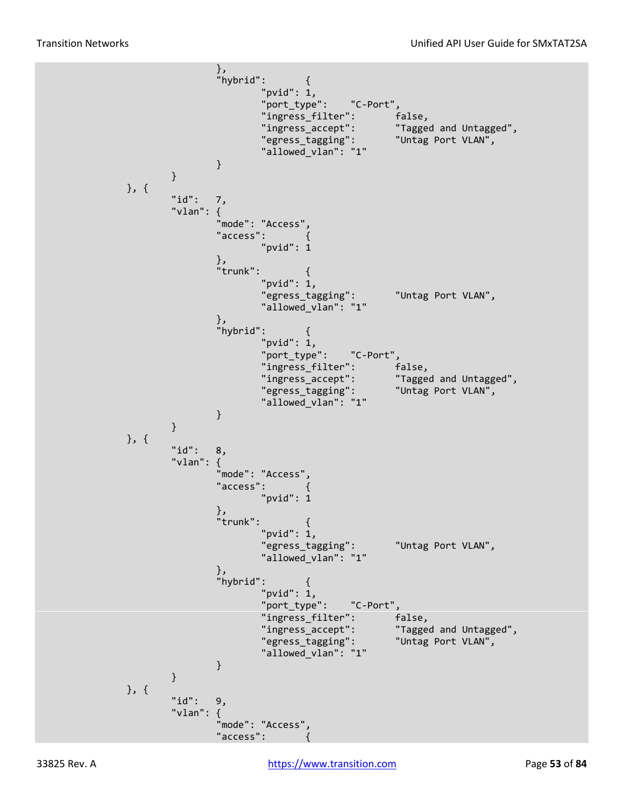```
, where \{x_i\}_{i=1}^N , we have the contract of \{x_i\}_{i=1}^N "hybrid": {
                                           "pvid": 1,
                                           "port_type": "C-Port",
                                           "ingress_filter": false,
                                            "ingress_accept": "Tagged and Untagged",
                                            "egress_tagging": "Untag Port VLAN",
                                           "allowed_vlan": "1"
 }
denotes the control of the second property of the second property of the second property \} }, {
                           "id": 7,
                          "vlan": {
                                    "mode": "Access",
                                   "access": {
                                  "pvid": \overline{1}},
, where \{x_i\}_{i=1}^N , we have the contract of \{x_i\}_{i=1}^N"trunk": {
                                            "pvid": 1,
                                            "egress_tagging": "Untag Port VLAN",
 "allowed_vlan": "1"
, where \{x_i\}_{i=1}^N , we have the contract of \{x_i\}_{i=1}^N"hybrid": {
                                           "pvid": 1,
                                           "port_type": "C-Port",
                                            "ingress_filter": false,
                                            "ingress_accept": "Tagged and Untagged",
                                           "egress_tagging": "Untag Port VLAN",
                                            "allowed_vlan": "1"
 }
denotes the control of the second property of the second property of the second property \} }, {
                           "id": 8,
                          "vlan": {
                                    "mode": "Access",
                                   "access": {
                                            "pvid": 1
, where \{x_i\}_{i=1}^N , we have the contract of \{x_i\}_{i=1}^N},<br>"trunk": {<br>" i id" 1
                                            "pvid": 1,
                                            "egress_tagging": "Untag Port VLAN",
                                            "allowed_vlan": "1"
, where \{x_i\}_{i=1}^N , we have the contract of \{x_i\}_{i=1}^N "hybrid": {
                                            "pvid": 1,
                                            "port_type": "C-Port",
                                            "ingress_filter": false,
                                            "ingress_accept": "Tagged and Untagged",
                                           "egress_tagging": "Untag Port VLAN",
                                           "allowed_vlan": "1"
 }
 }
                  }, {
                           "id": 9,
                          "vlan": {
                                   "mode": "Access",
                                    "access": {
```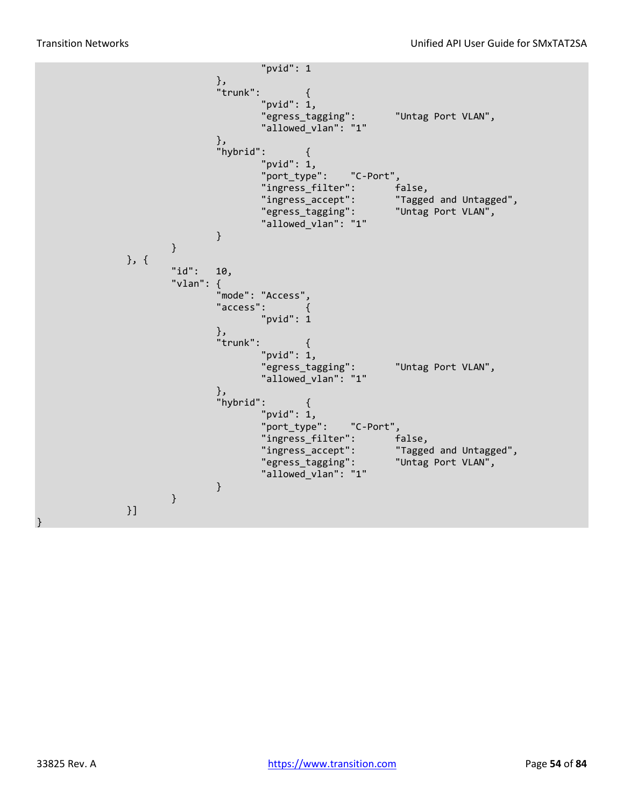```
 "pvid": 1
, where \{x_i\}_{i=1}^N , we have the contribution of \} ,
                             "trunk": {
                                    "pvid": 1,
                                    "egress_tagging": "Untag Port VLAN",
                                   "allowed_vlan": "1"
, where \{x_i\}_{i=1}^N , we have the contribution of \} ,
 "hybrid": {
. The contract of the contract of the contract \sim "pvid": 1,
                                    "port_type": "C-Port",
                                   "ingress_filter": false,
                                                        "Tagged and Untagged",<br>"Untag Port VLAN",
 "egress_tagging": "Untag Port VLAN",
 "allowed_vlan": "1"
 }
 }
              }, {
                      "id": 10,
                      "vlan": {
                             "mode": "Access",
                            "access": {
                                    "pvid": 1
, where \{x_i\}_{i=1}^N , we have the contract of \{x_i\}_{i=1}^N "trunk": {
                                    "pvid": 1,
 "egress_tagging": "Untag Port VLAN",
                                   "allowed_vlan": "1"
, where \{x_i\}_{i=1}^N , we have the contract of \{x_i\}_{i=1}^N "hybrid": {
                                    "pvid": 1,
                                   "port_type": "C-Port",
                                   "ingress_filter": false,
 "ingress_accept": "Tagged and Untagged",
 "egress_tagging": "Untag Port VLAN",
                                   "allowed_vlan": "1"
denotes the contract of the contract of the contract of the contract of the contract of the contract of the con
 }
              }]
```
}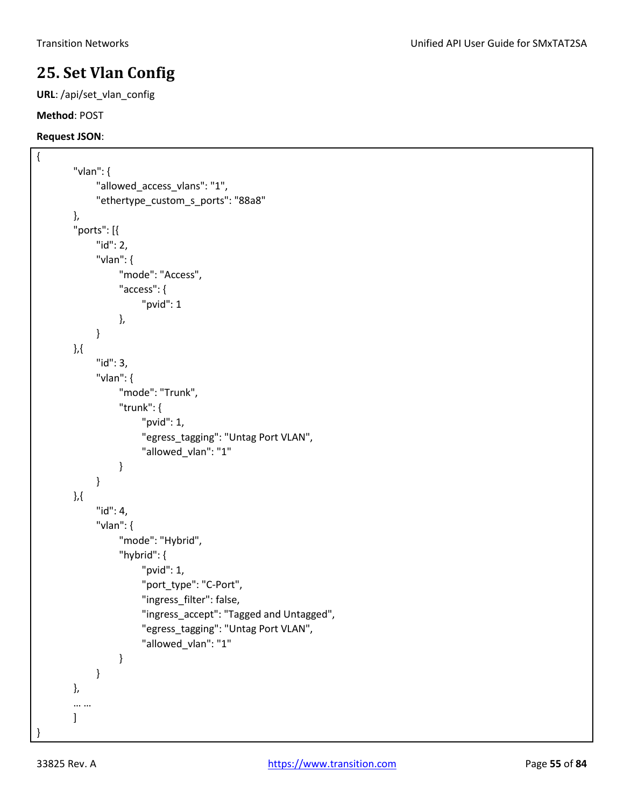**URL**: /api/set\_vlan\_config

### **Method**: POST

#### **Request JSON**:

{

```
"vlan": {
              "allowed_access_vlans": "1",
              "ethertype_custom_s_ports": "88a8"
        },
        "ports": [{
              "id": 2,
              "vlan": {
                    "mode": "Access",
                    "access": {
                         "pvid": 1
                    },
              }
        },{
              "id": 3,
              "vlan": {
                    "mode": "Trunk",
                    "trunk": {
                         "pvid": 1,
                         "egress_tagging": "Untag Port VLAN",
                         "allowed_vlan": "1"
                    }
              }
        },{
              "id": 4,
              "vlan": {
                    "mode": "Hybrid",
                    "hybrid": {
                         "pvid": 1,
                          "port_type": "C-Port",
                         "ingress_filter": false,
                         "ingress_accept": "Tagged and Untagged",
                         "egress_tagging": "Untag Port VLAN",
                         "allowed_vlan": "1"
                    }
              }
        },
        … …
        \mathbf{I}}
```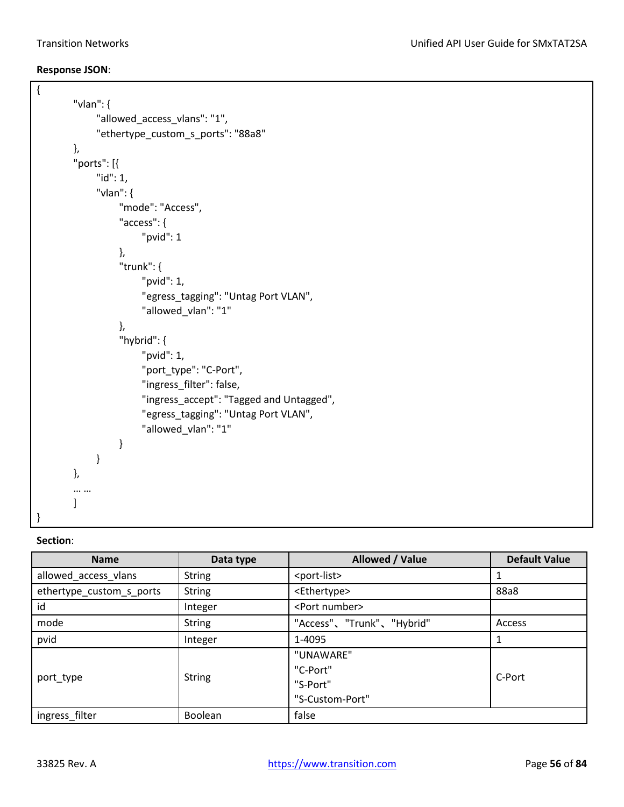#### **Response JSON**:

```
{
        "vlan": {
               "allowed_access_vlans": "1",
               "ethertype_custom_s_ports": "88a8"
        },
        "ports": [{
               "id": 1,
               "vlan": {
                    "mode": "Access",
                    "access": {
                         "pvid": 1
                    },
                    "trunk": {
                         "pvid": 1,
                         "egress_tagging": "Untag Port VLAN",
                         "allowed_vlan": "1"
                    },
                    "hybrid": {
                         "pvid": 1,
                         "port_type": "C-Port",
                         "ingress_filter": false,
                         "ingress_accept": "Tagged and Untagged",
                         "egress_tagging": "Untag Port VLAN",
                         "allowed_vlan": "1"
                    }
               }
        },
        … …
        ]
}
```
**Section**:

| <b>Name</b>              | Data type     | Allowed / Value                                      | <b>Default Value</b> |
|--------------------------|---------------|------------------------------------------------------|----------------------|
| allowed_access_vlans     | <b>String</b> | <port-list></port-list>                              |                      |
| ethertype_custom_s_ports | <b>String</b> | <ethertype></ethertype>                              | 88a8                 |
| id                       | Integer       | <port number=""></port>                              |                      |
| mode                     | <b>String</b> | "Access"、"Trunk"、"Hybrid"                            | Access               |
| pvid                     | Integer       | 1-4095                                               |                      |
| port_type                | <b>String</b> | "UNAWARE"<br>"C-Port"<br>"S-Port"<br>"S-Custom-Port" | C-Port               |
| ingress_filter           | Boolean       | false                                                |                      |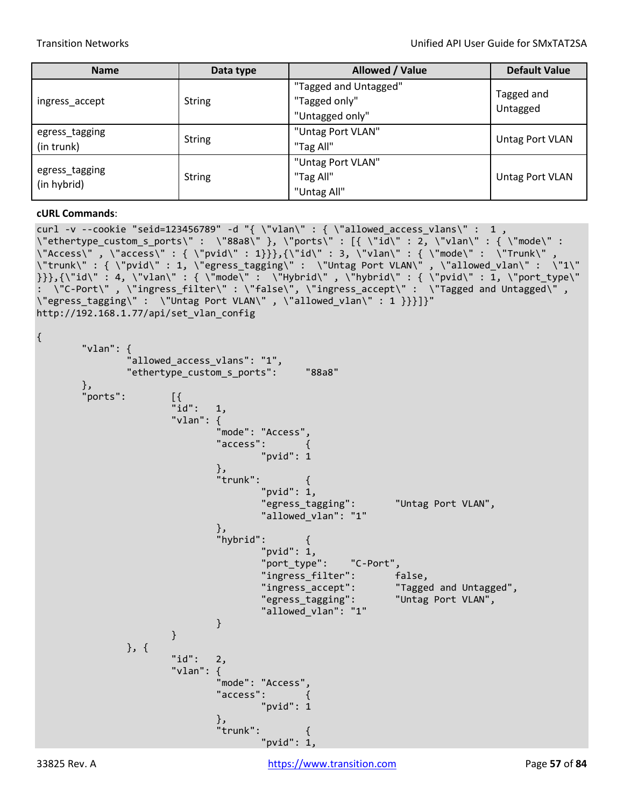| <b>Name</b>                   | Data type     | Allowed / Value                                           | <b>Default Value</b>   |
|-------------------------------|---------------|-----------------------------------------------------------|------------------------|
| ingress_accept                | <b>String</b> | "Tagged and Untagged"<br>"Tagged only"<br>"Untagged only" | Tagged and<br>Untagged |
| egress_tagging<br>(in trunk)  | <b>String</b> | "Untag Port VLAN"<br>"Tag All"                            | Untag Port VLAN        |
| egress_tagging<br>(in hybrid) | <b>String</b> | "Untag Port VLAN"<br>"Tag All"<br>"Untag All"             | <b>Untag Port VLAN</b> |

```
curl -v --cookie "seid=123456789" -d "{ \"vlan\" : { \"allowed_access_vlans\" : 1 , 
\"ethertype_custom_s_ports\" : \"88a8\" }, \"ports\" : [{ \"id\" : 2, \"vlan\" : { \"mode\" : 
\"Access\" , \"access\" : { \"pvid\" : 1}}},{\"id\" : 3, \"vlan\" : { \"mode\" : \"Trunk\" , 
\"trunk\" : { \"pvid\" : 1, \"egress_tagging\" : \"Untag Port VLAN\" , \"allowed_vlan\" : \"1\" 
}}},{\"id\" : 4, \"vlan\" : { \"mode\" : \"Hybrid\" , \"hybrid\" : { \"pvid\" : 1, \"port_type\" 
: \"C-Port\" , \"ingress_filter\" : \"false\", \"ingress_accept\" : \"Tagged and Untagged\" , 
\"egress_tagging\" : \"Untag Port VLAN\" , \"allowed_vlan\" : 1 }}}]}" 
http://192.168.1.77/api/set_vlan_config
```

```
{
```

```
 "vlan": {
 "allowed_access_vlans": "1",
 "ethertype_custom_s_ports": "88a8"
        },
        "ports": [{
                       "id": 1,
                        "vlan": {
                                "mode": "Access",
                                "access": {
                                       "pvid": 1
, where \{x_i\}_{i=1}^N , we have the contract of \{x_i\}_{i=1}^N"trunk": {
                                       "pvid": 1,
                                       "egress_tagging": "Untag Port VLAN",
                                      "allowed_vlan": "1"
, where \{x_i\}_{i=1}^N , we have the contract of \{x_i\}_{i=1}^N "hybrid": {
                                       "pvid": 1,
                                      "port_type": "C-Port",
                                      "ingress_filter": false,
                                      "ingress_accept": "Tagged and Untagged",
                                      "egress_tagging": "Untag Port VLAN",
                                      "allowed_vlan": "1"
 }
 }
                }, {
                        "id": 2,
                       "vlan": {
                                "mode": "Access",
                               "access": {
                                       "pvid": 1
, where \{x_i\}_{i=1}^N , we have the contribution of \} ,
                                "trunk": {
                                       "pvid": 1,
```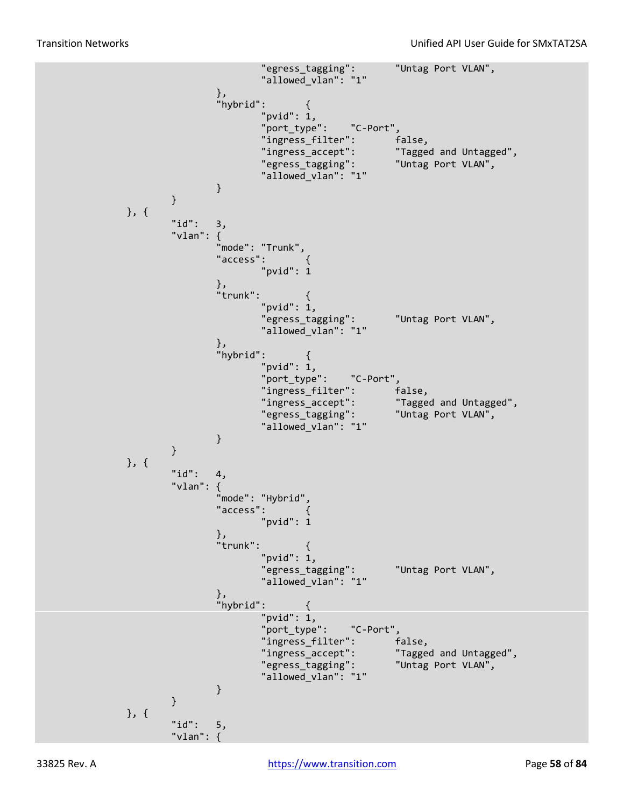```
 "egress_tagging": "Untag Port VLAN",
                                            "allowed_vlan": "1"
, where \{x_i\}_{i=1}^N , we have the contract of \{x_i\}_{i=1}^N "hybrid": {
                                             "pvid": 1,
                                            "port_type": "C-Port",
                                            "ingress_filter": false,
                                            "ingress_accept": "Tagged and Untagged",
                                            "egress_tagging": "Untag Port VLAN",
                                             "allowed_vlan": "1"
 }
 }
                  }, {
                           "id": 3,
                          "vlan": {
                                    "mode": "Trunk",
                                   "access": {
                                            "pvid": 1
, where \{x_i\}_{i=1}^N , we have the contribution of \} ,
                                   "trunk": {
                                           "pvid": 1,
                                            "egress_tagging": "Untag Port VLAN",
                                             "allowed_vlan": "1"
, where \{x_i\}_{i=1}^N , we have the contribution of \} ,
                                   "hybrid": {
                                            "pvid": 1,
                                            "port_type": "C-Port",
                                            "ingress_filter": false,
                                             "ingress_accept": "Tagged and Untagged",
                                            "egress_tagging":
                                            "allowed_vlan": "1"
denotes the contract of the contract of the contract of the contract of the contract of the contract of the con
 }
                  }, {
                           "id": 4,
                          "vlan": {
                                    "mode": "Hybrid",
                                    "access": {
                                             "pvid": 1
, where \{x_i\}_{i=1}^N , we have the contract of \{x_i\}_{i=1}^N "trunk": {
                                             "pvid": 1,
                                            "egress_tagging": "Untag Port VLAN",
                                            "allowed_vlan": "1"
, where \{x_i\}_{i=1}^N , we have the contract of \{x_i\}_{i=1}^N"hybrid": {
                                             "pvid": 1,
                                             "port_type": "C-Port",
                                             "ingress_filter": false,
                                           "ingress_accept": "Tagged and Untagged",
                                            "egress_tagging": "Untag Port VLAN",
                                            "allowed_vlan": "1"
 }
denotes the control of the second property of the second property of the second property \} }, {
                           "id": 5,
                          "vlan": {
```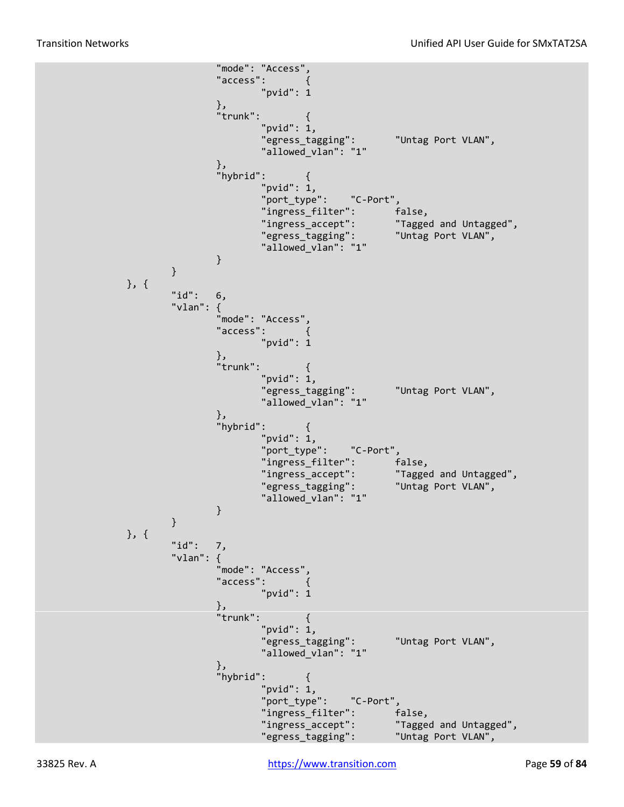```
 "mode": "Access",
                              "access": {
                                     "pvid": 1
, where \{x_i\}_{i=1}^N , we have the contract of \{x_i\}_{i=1}^N},<br>"trunk":
                                     "pvid": 1,
                                     "egress_tagging": "Untag Port VLAN",
                                     "allowed_vlan": "1"
, where \{x_i\}_{i=1}^N , we have the contract of \{x_i\}_{i=1}^N"hybrid": {
                                    "pvid": 1,
                                     "port_type": "C-Port",
                                    "ingress_filter": false,
                                    "ingress_accept": "Tagged and Untagged",
 "egress_tagging": "Untag Port VLAN",
 "allowed_vlan": "1"
 }
 }
               }, {
                      "id": 6,
                       "vlan": {
                              "mode": "Access",
                             "access": {
                                     "pvid": 1
, where \{x_i\}_{i=1}^N , we have the contribution of \} ,
                              "trunk": {
                                     "pvid": 1,
 "egress_tagging": "Untag Port VLAN",
                                     "allowed_vlan": "1"
, where \{x_i\}_{i=1}^N , we have the contract of \{x_i\}_{i=1}^N"hybrid": {
                                     "pvid": 1,
                                    "port_type": "C-Port",
                                    "ingress_filter": false,
                                     "ingress_accept": "Tagged and Untagged",
                                     "egress_tagging": "Untag Port VLAN",
                                    "allowed_vlan": "1"
 }
 }
               }, {
                      "id": 7,
                     "vlan": {
                              "mode": "Access",
                             "access": {
                                     "pvid": 1
, where \{x_i\}_{i=1}^N , we have the contract of \{x_i\}_{i=1}^N},<br>"trunk": {<br>"wid": 1
                                    "pvid": 1,
                                     "egress_tagging": "Untag Port VLAN",
 "allowed_vlan": "1"
, where \{x_i\}_{i=1}^N , we have the contribution of \} ,
                             "hybrid": {
                                     "pvid": 1,
                                    "port_type": "C-Port",
                                     "ingress_filter": false,
                                     "ingress_accept": "Tagged and Untagged",
                                     "egress_tagging": "Untag Port VLAN",
```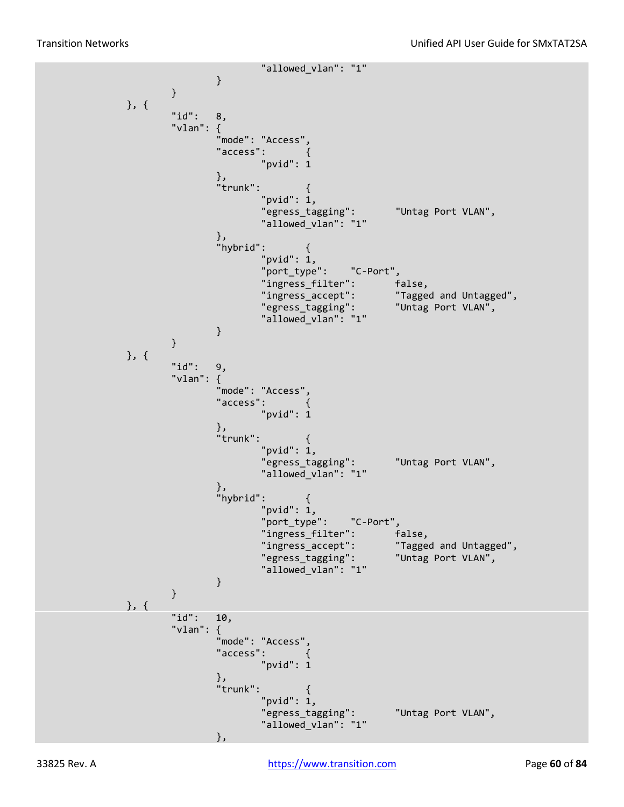```
 "allowed_vlan": "1"
 }
 }
                   }, {
                             "id": 8,
                            "vlan": {
                                       "mode": "Access",
                                      "access": {
                                                "pvid": 1
, where \{x_i\}_{i=1}^N , we have the contract of \{x_i\}_{i=1}^N"trunk": {
                                                 "pvid": 1,
                                                "egress_tagging": "Untag Port VLAN",
                                                "allowed_vlan": "1"
, where \{x_i\}_{i=1}^N , we have the contribution of \} ,
                                      },<br>"hybrid": {<br>..... {
                                                 "pvid": 1,
                                                 "port_type": "C-Port",
                                                 "ingress_filter": false,
 "ingress_accept": "Tagged and Untagged",
 "egress_tagging": "Untag Port VLAN",
                                                "allowed_vlan": "1"
denotes the contract of the contract of the contract of the contract of the contract of the contract of the con
 }
                   }, {
                             "id": 9,
                            "vlan": {
                                       "mode": "Access",
                                      "access": {
                                                 "pvid": 1
, where \{x_i\}_{i=1}^N , we have the contract of \{x_i\}_{i=1}^N},<br>"trunk": {<br>"cyid": 1
                                                 "pvid": 1,
                                                 "egress_tagging": "Untag Port VLAN",
                                                 "allowed_vlan": "1"
, where \{x_i\}_{i=1}^N , we have the contract of \{x_i\}_{i=1}^N"hybrid": {
. The contract of the contract of the contract \sim "pvid": 1,
                                                 "port_type": "C-Port",
                                                 "ingress_filter": false,
                                                "ingress_accept": "Tagged and Untagged",
                                                 "egress_tagging": "Untag Port VLAN",
                                                 "allowed_vlan": "1"
 }
denotes the control of the second property of the second property of the second property \} }, {
                             "id": 10,
                             "vlan": {
                                       "mode": "Access",
                                      "access": {
                                                 "pvid": 1
, where \{x_i\}_{i=1}^N , we have the contract of \{x_i\}_{i=1}^N"trunk": {
. The contract of the contract of \mathbb{R}^n is the contract of \mathbb{R}^n in \mathbb{R}^n is the contract of \mathbb{R}^n is the contract of \mathbb{R}^n is the contract of \mathbb{R}^n is the contract of \mathbb{R}^n is the contr
                                                "egress_tagging": "Untag Port VLAN",
                                                "allowed_vlan": "1"
, where \{x_i\}_{i=1}^N , we have the contract of \{x_i\}_{i=1}^N
```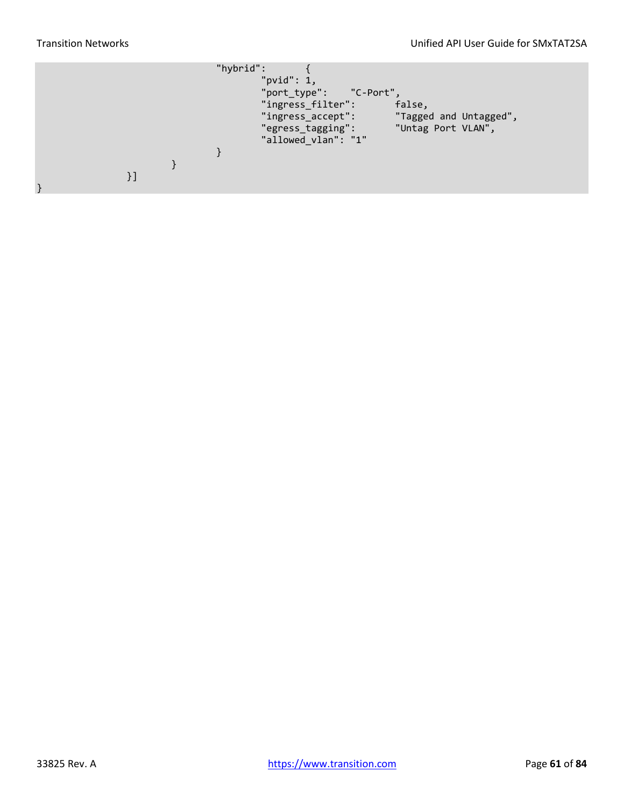```
 "hybrid": {
. The contract of the contract of the contract \sim "pvid": 1,
                             "port_type": "C-Port",
                             "ingress_filter": false,
                             "ingress_accept": "Tagged and Untagged",
                             "egress_tagging": "Untag Port VLAN",
                             "allowed_vlan": "1"
 }
 }
            }]
}
```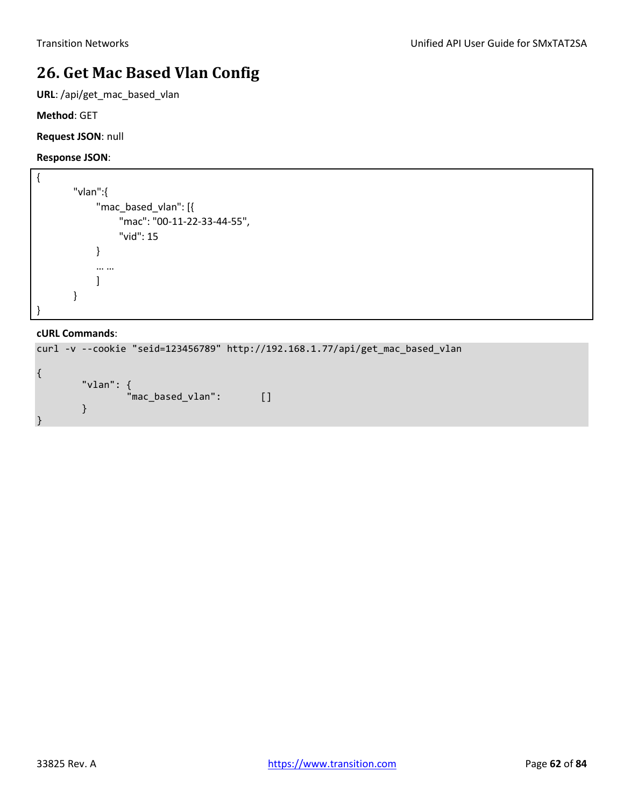# **26. Get Mac Based Vlan Config**

**URL**: /api/get\_mac\_based\_vlan

**Method**: GET

**Request JSON**: null

#### **Response JSON**:

```
{
        "vlan":{
              "mac_based_vlan": [{
                    "mac": "00-11-22-33-44-55",
                    "vid": 15
              }
              … …
              ]
        }
}
```

```
curl -v --cookie "seid=123456789" http://192.168.1.77/api/get_mac_based_vlan
{
  "vlan": {
 \blacksquare \blacksquare \blacksquare \blacksquare \blacksquare \blacksquare \blacksquare \blacksquare \blacksquare \blacksquare \blacksquare \blacksquare \blacksquare \blacksquare \blacksquare \blacksquare \blacksquare \blacksquare \blacksquare \blacksquare \blacksquare \blacksquare \blacksquare \blacksquare \blacksquare \blacksquare \blacksquare \blacksquare \blacksquare \blacksquare \blacksquare \blacks }
 }
```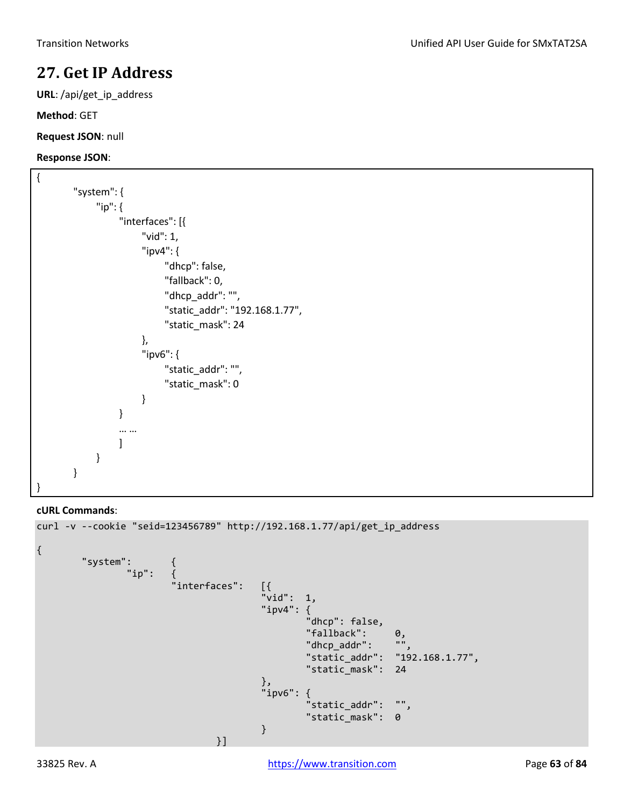# **27. Get IP Address**

**URL**: /api/get\_ip\_address

**Method**: GET

**Request JSON**: null

#### **Response JSON**:

```
{
        "system": {
              "ip": {
                    "interfaces": [{
                         "vid": 1,
                         "ipv4": {
                              "dhcp": false,
                              "fallback": 0,
                              "dhcp_addr": "",
                              "static_addr": "192.168.1.77",
                              "static_mask": 24
                         },
                         "ipv6": {
                              "static_addr": "",
                              "static_mask": 0
         }
                   }
                    … …
         ]
              }
        }
}
```

```
curl -v --cookie "seid=123456789" http://192.168.1.77/api/get_ip_address
{
 "system": {
\blacksquare ip": {
                       "interfaces": [{
                                     "vid": 1,
                                    "ipv4": {
                                             "dhcp": false,
                                            "fallback": 0,<br>"dhcn addr": ""
                                            "dhcp addr":
                                            "static_addr": "192.168.1.77",
                                            "static_mask": 24
, where \{x_i\}_{i=1}^N , we have the contract of \{x_i\}_{i=1}^N "ipv6": {
                                             "static_addr": "",
                                             "static_mask": 0
\}\{ \}
```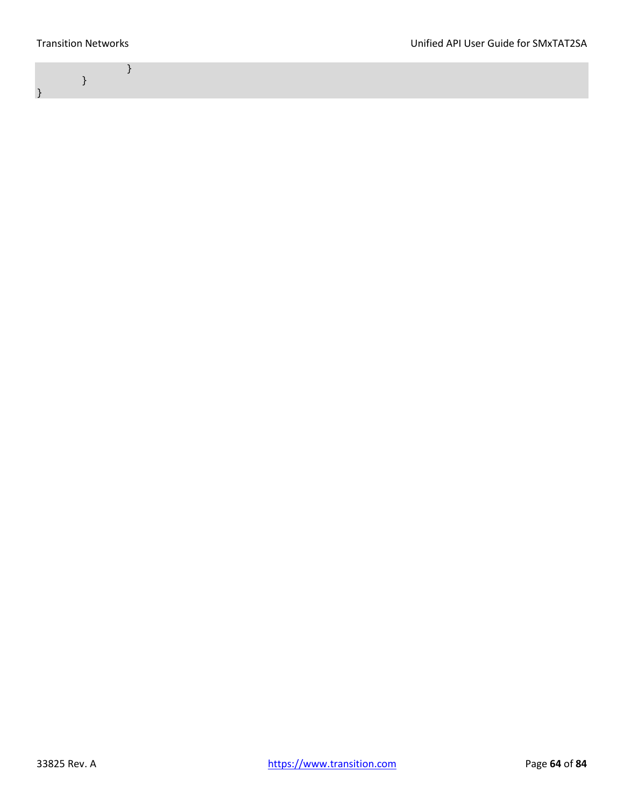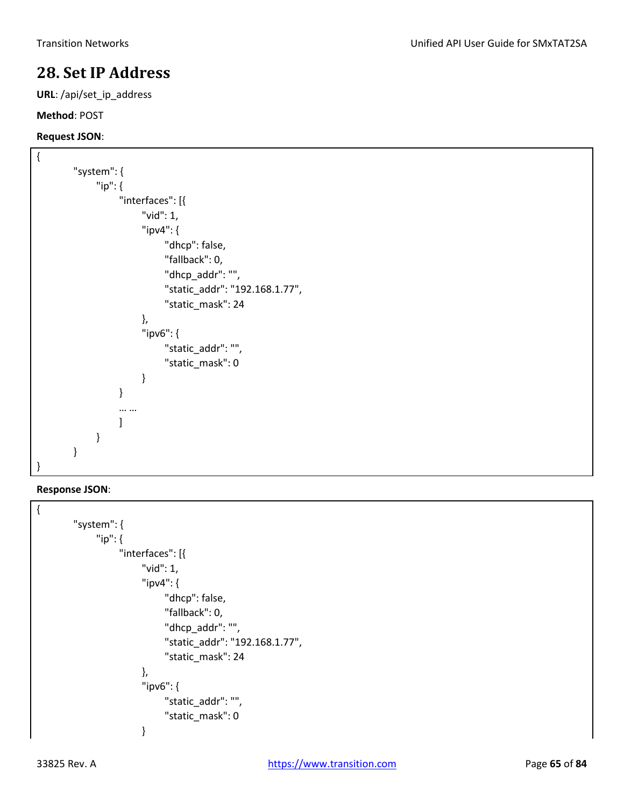### **28. Set IP Address**

**URL**: /api/set\_ip\_address

#### **Method**: POST

#### **Request JSON**:

```
{
        "system": {
              "ip": {
                   "interfaces": [{
                        "vid": 1,
                        "ipv4": {
                             "dhcp": false,
                             "fallback": 0,
                             "dhcp_addr": "",
                             "static_addr": "192.168.1.77",
                             "static_mask": 24
                        },
                        "ipv6": {
                              "static_addr": "",
                             "static_mask": 0
         }
                   }
                   … …
         ]
              }
        }
}
```
#### **Response JSON**:

```
{
        "system": {
              "ip": {
                    "interfaces": [{
                         "vid": 1,
                         "ipv4": {
                              "dhcp": false,
                              "fallback": 0,
                              "dhcp_addr": "",
                              "static_addr": "192.168.1.77",
                              "static_mask": 24
                         },
                         "ipv6": {
                              "static_addr": "",
                              "static_mask": 0
         }
```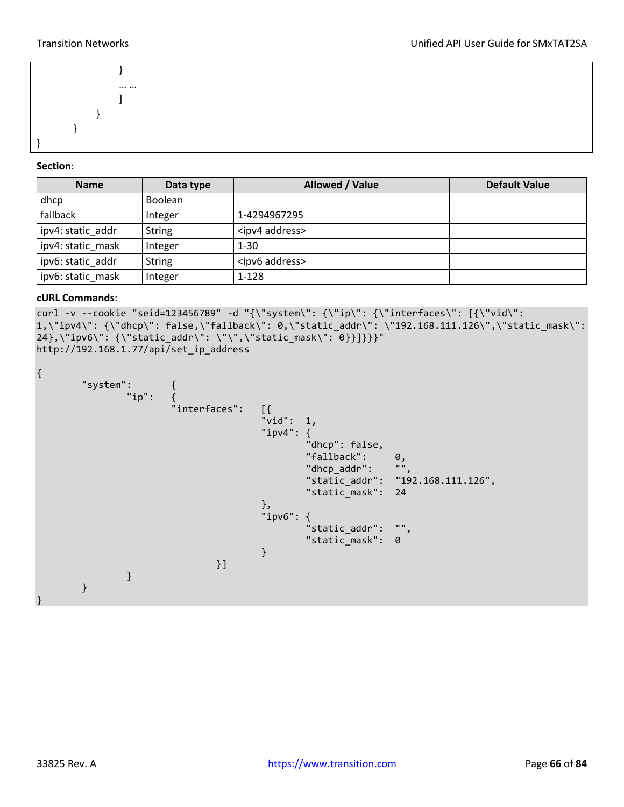

#### **Section**:

| <b>Name</b>       | Data type      | <b>Allowed / Value</b>   | <b>Default Value</b> |
|-------------------|----------------|--------------------------|----------------------|
| dhcp              | <b>Boolean</b> |                          |                      |
| fallback          | Integer        | 1-4294967295             |                      |
| ipv4: static addr | <b>String</b>  | <ipv4 address=""></ipv4> |                      |
| ipv4: static mask | Integer        | $1 - 30$                 |                      |
| ipv6: static addr | <b>String</b>  | <ipv6 address=""></ipv6> |                      |
| ipv6: static mask | Integer        | 1-128                    |                      |

```
curl -v --cookie "seid=123456789" -d "{\"system\": {\"ip\": {\"interfaces\": [{\"vid\": 
1,\"ipv4\": {\"dhcp\": false,\"fallback\": 0,\"static addr\": \"192.168.111.126\",\"static mask\":
24},\"ipv6\": {\"static_addr\": \"\",\"static_mask\": \overline{\theta}}]}}}"
http://192.168.1.77/api/set_ip_address
```

```
{
         "system": {
                "ip": "interfaces": [{
                                        \overline{\phantom{a}}"vid": 1,
 "ipv4": {
 "dhcp": false,
                                                 "fallback": 0,
                                                  "dhcp_addr": "",
                                                  "static_addr": "192.168.111.126",
                                                 "static_mask": 24
, where \{x_i\}_{i=1}^N , we have the contract of \{x_i\}_{i=1}^N"ipv6":
                                                  "static_addr": "",
                                                 "static_mask": 0
\{\hspace{.8cm} \}\{ \}denotes the control of the property of the second property of the second property of the second property of the
         }
}
```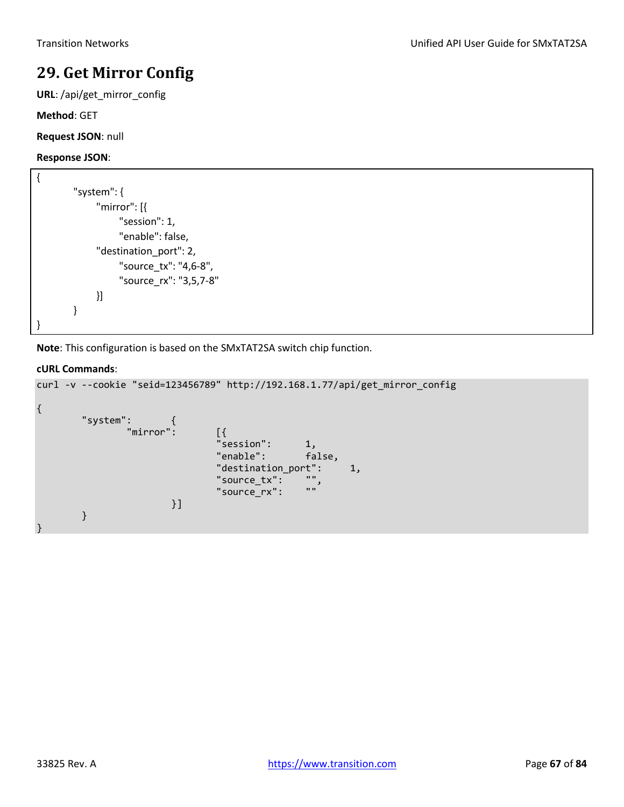# **29. Get Mirror Config**

**URL**: /api/get\_mirror\_config

**Method**: GET

**Request JSON**: null

#### **Response JSON**:

{ "system": { "mirror": [{ "session": 1, "enable": false, "destination\_port": 2, "source\_tx": "4,6-8", "source\_rx": "3,5,7-8" }] } }

**Note**: This configuration is based on the SMxTAT2SA switch chip function.

```
curl -v --cookie "seid=123456789" http://192.168.1.77/api/get_mirror_config
{
           "system": {
                      "mirror": [{
                                          "session": 1,<br>"enable": false,
                                          "enable":
                                          "destination_port": 1,<br>"source_tx": "",<br>"source_rx": ""
                                          "source_tx":
                                          "source_rx":\{a,b,c,d\} ) and the contract of \{a,b,c,d\} ) \{b,c,d,d\} }
}
```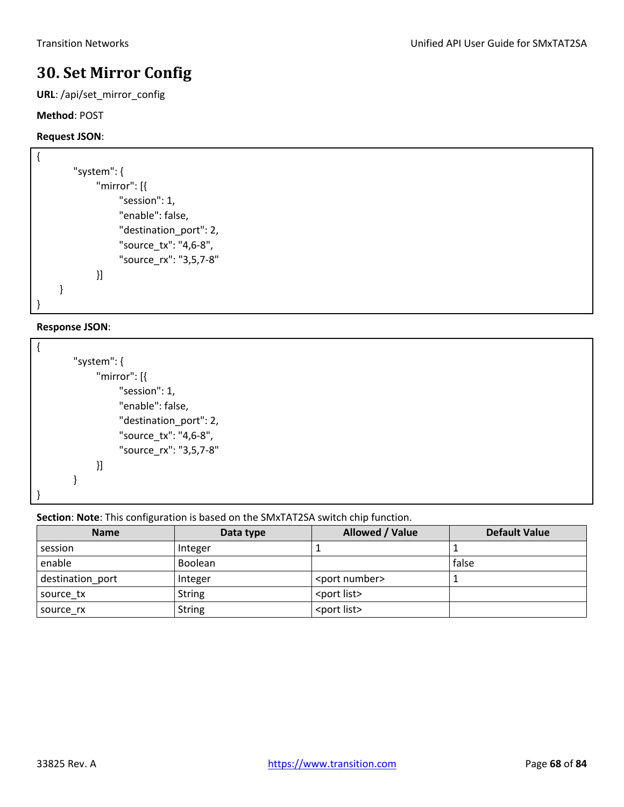# **30. Set Mirror Config**

**URL**: /api/set\_mirror\_config

### **Method**: POST

#### **Request JSON**:

```
{
        "system": {
               "mirror": [{
                    "session": 1,
                    "enable": false,
                    "destination_port": 2,
                    "source_tx": "4,6-8",
                    "source_rx": "3,5,7-8"
               }]
      }
}
```
### **Response JSON**:

| "system": {            |
|------------------------|
| "mirror": [{           |
| "session": 1,          |
| "enable": false,       |
| "destination port": 2, |
| "source tx": "4,6-8",  |
| "source rx": "3,5,7-8" |
| }]                     |
|                        |
|                        |

**Section**: **Note**: This configuration is based on the SMxTAT2SA switch chip function.

| <b>Name</b>      | Data type     | <b>Allowed / Value</b>  | <b>Default Value</b> |
|------------------|---------------|-------------------------|----------------------|
| session          | Integer       |                         |                      |
| enable           | Boolean       |                         | false                |
| destination_port | Integer       | <port number=""></port> |                      |
| source tx        | <b>String</b> | <port list=""></port>   |                      |
| source rx        | <b>String</b> | <port list=""></port>   |                      |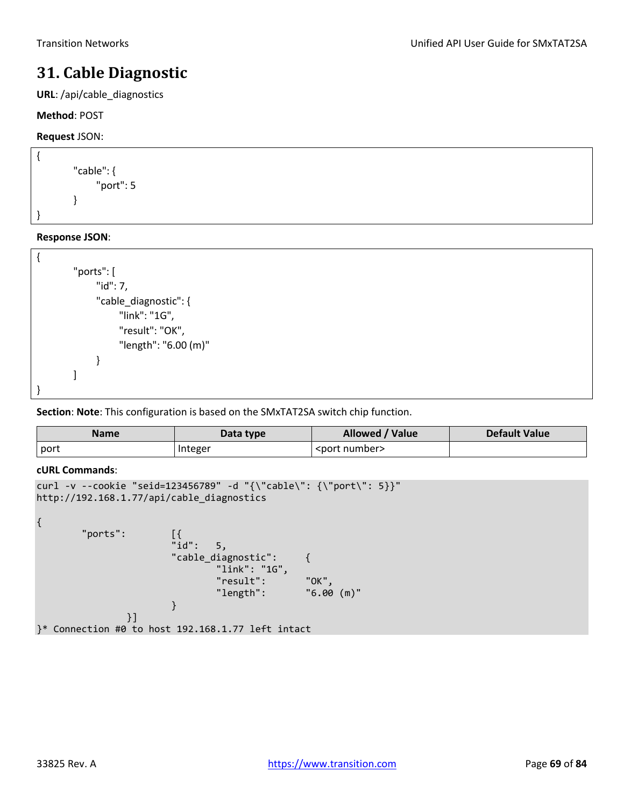# **31. Cable Diagnostic**

**URL**: /api/cable\_diagnostics

### **Method**: POST

**Request** JSON:

```
{
         "cable": {
                "port": 5
         }
}
```
**Response JSON**:

```
{
         "ports": [
               "id": 7,
               "cable_diagnostic": {
                     "link": "1G",
                     "result": "OK",
                     "length": "6.00 (m)"
               }
         ]
}
```
**Section**: **Note**: This configuration is based on the SMxTAT2SA switch chip function.

| Name | Data type | <b>Allowed / Value</b>  | <b>Default Value</b> |
|------|-----------|-------------------------|----------------------|
| port | Integer   | <port number=""></port> |                      |

```
curl -v --cookie "seid=123456789" -d "{\"cable\": {\"port\": 5}}" 
http://192.168.1.77/api/cable_diagnostics
```

```
{
        "ports": [{
                     "id": 5,
                    "cable_diagnostic": {
                            "link": "1G",
                            "result": "OK",
                            "length": "6.00 (m)"
 }
              }]
}* Connection #0 to host 192.168.1.77 left intact
```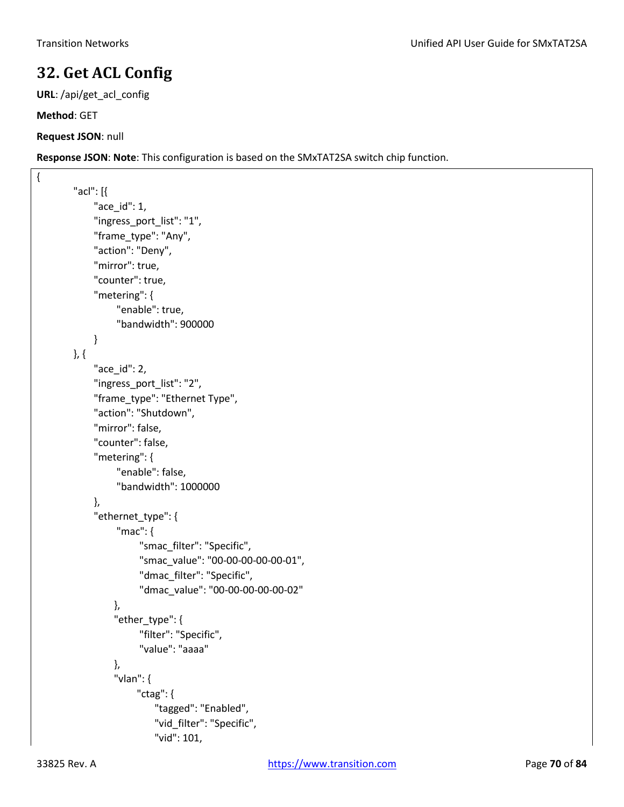# **32. Get ACL Config**

**URL**: /api/get\_acl\_config

**Method**: GET

**Request JSON**: null

**Response JSON**: **Note**: This configuration is based on the SMxTAT2SA switch chip function.

```
{
        "acl": [{
              "ace_id": 1,
              "ingress_port_list": "1",
             "frame_type": "Any",
              "action": "Deny",
              "mirror": true,
              "counter": true,
              "metering": {
                   "enable": true,
                   "bandwidth": 900000
              }
        }, {
              "ace_id": 2,
              "ingress_port_list": "2",
              "frame_type": "Ethernet Type",
              "action": "Shutdown",
              "mirror": false,
              "counter": false,
              "metering": {
                   "enable": false,
                   "bandwidth": 1000000
              },
              "ethernet_type": {
                   "mac": {
                         "smac_filter": "Specific",
                         "smac_value": "00-00-00-00-00-01",
                         "dmac_filter": "Specific",
                         "dmac_value": "00-00-00-00-00-02"
                   },
                   "ether_type": {
                         "filter": "Specific",
                         "value": "aaaa"
                   },
                   "vlan": {
                         "ctag": {
                             "tagged": "Enabled",
                             "vid_filter": "Specific",
                             "vid": 101,
```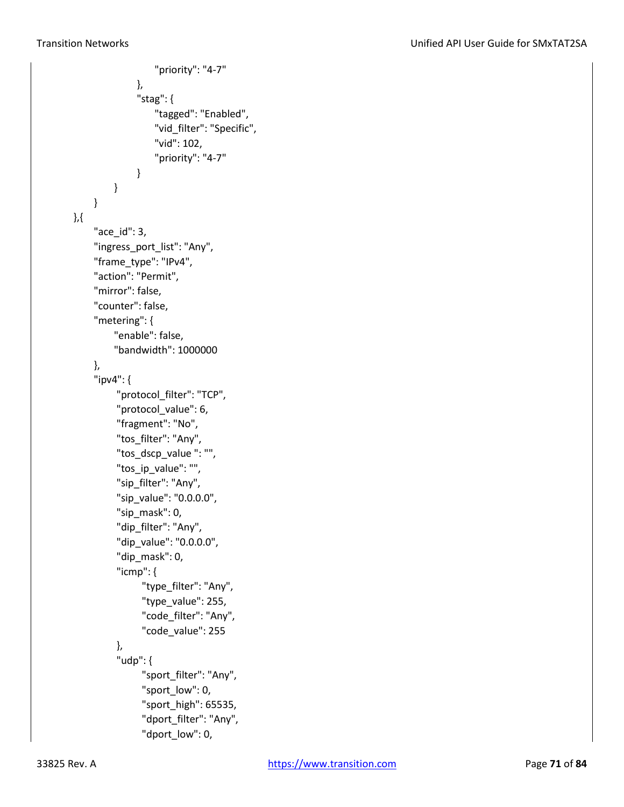```
 "priority": "4-7"
                },
                "stag": {
                    "tagged": "Enabled",
                    "vid_filter": "Specific",
                    "vid": 102,
                    "priority": "4-7"
 }
          }
     }
},{
     "ace_id": 3,
     "ingress_port_list": "Any",
      "frame_type": "IPv4",
      "action": "Permit",
      "mirror": false,
      "counter": false,
      "metering": {
          "enable": false,
          "bandwidth": 1000000
      },
      "ipv4": {
           "protocol_filter": "TCP",
           "protocol_value": 6,
           "fragment": "No",
           "tos_filter": "Any",
          "tos_dscp_value ": "",
           "tos_ip_value": "",
           "sip_filter": "Any",
           "sip_value": "0.0.0.0",
           "sip_mask": 0,
           "dip_filter": "Any",
           "dip_value": "0.0.0.0",
           "dip_mask": 0,
           "icmp": {
                 "type_filter": "Any",
                "type_value": 255,
                 "code_filter": "Any",
                 "code_value": 255
           },
           "udp": {
                 "sport_filter": "Any",
                "sport_low": 0,
                 "sport_high": 65535,
                 "dport_filter": "Any",
                "dport_low": 0,
```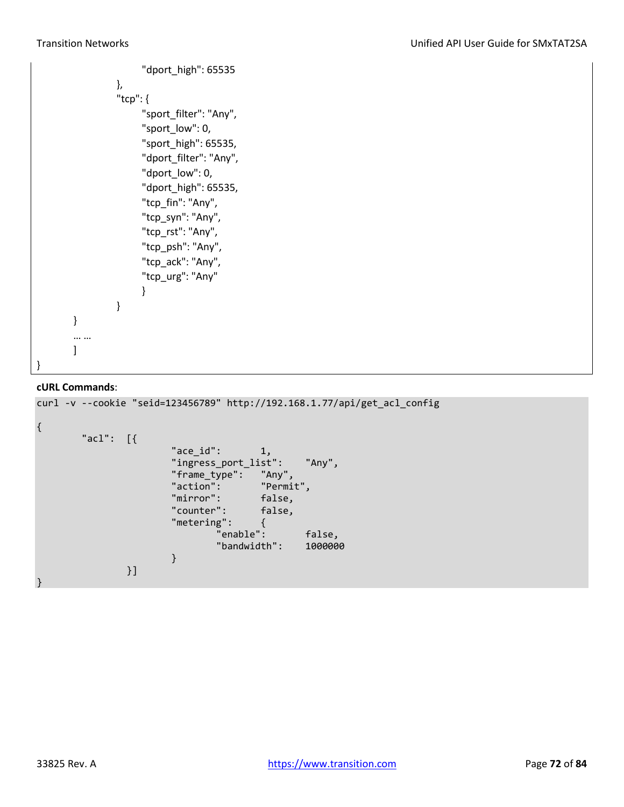

```
curl -v --cookie "seid=123456789" http://192.168.1.77/api/get_acl_config
{
       "acl": [{
                    "ace id": 1,"ingress_port_list": "Any",
                    "frame_type": "Any",
 "action": "Permit",
                     "mirror": false,
                    "counter": false,<br>"metering": {
                    "metering": {
                            "enable": false,
                            "bandwidth": 1000000
 }
              }]
}
```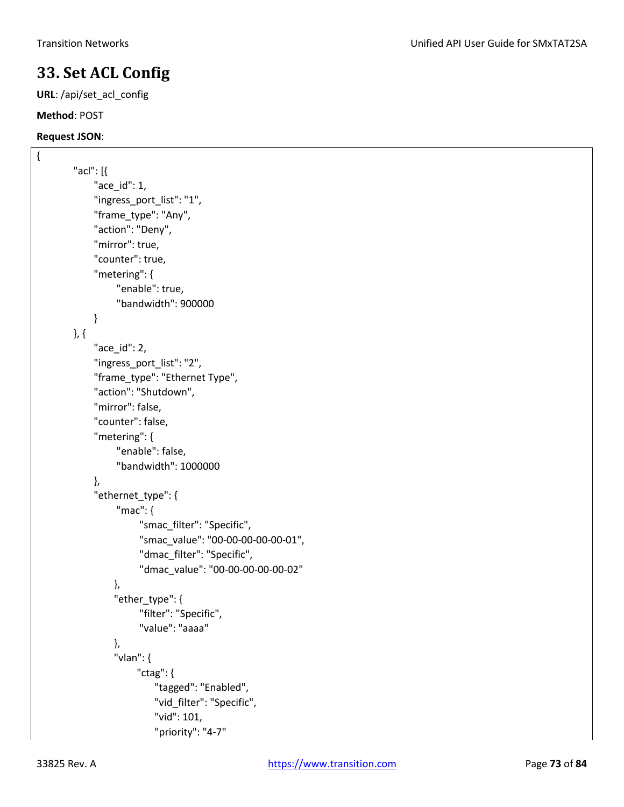# **33. Set ACL Config**

**URL**: /api/set\_acl\_config

### **Method**: POST

**Request JSON**:

```
{
        "acl": [{
              "ace_id": 1,
              "ingress_port_list": "1",
              "frame_type": "Any",
              "action": "Deny",
              "mirror": true,
              "counter": true,
              "metering": {
                    "enable": true,
                    "bandwidth": 900000
              }
        }, {
              "ace_id": 2,
              "ingress_port_list": "2",
              "frame_type": "Ethernet Type",
              "action": "Shutdown",
              "mirror": false,
              "counter": false,
              "metering": {
                    "enable": false,
                    "bandwidth": 1000000
              },
              "ethernet_type": {
                    "mac": {
                         "smac_filter": "Specific",
                         "smac_value": "00-00-00-00-00-01",
                         "dmac_filter": "Specific",
                         "dmac_value": "00-00-00-00-00-02"
                   },
                   "ether_type": {
                         "filter": "Specific",
                         "value": "aaaa"
                   },
                   "vlan": {
                         "ctag": {
                             "tagged": "Enabled",
                             "vid_filter": "Specific",
                             "vid": 101,
                             "priority": "4-7"
```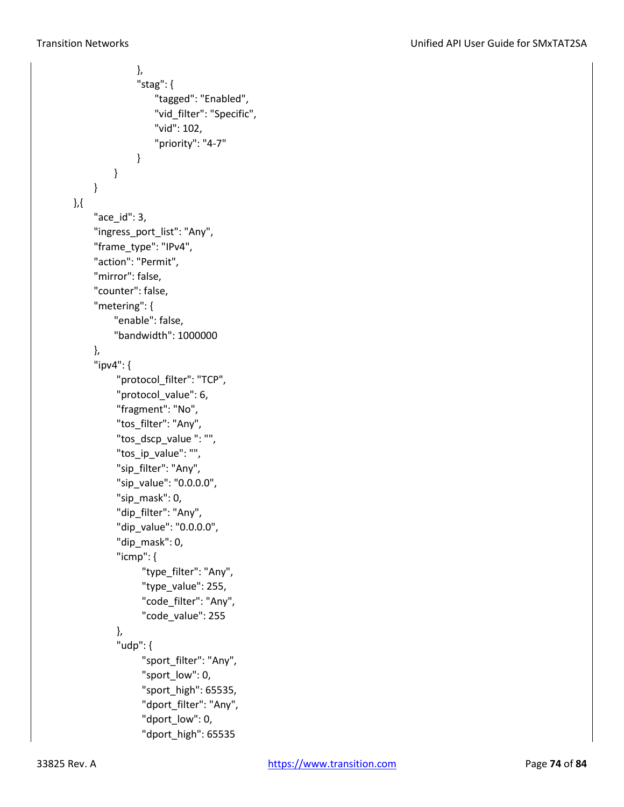```
 },
                "stag": {
                    "tagged": "Enabled",
                    "vid_filter": "Specific",
                    "vid": 102,
                    "priority": "4-7"
 }
          }
      }
},{
      "ace_id": 3,
      "ingress_port_list": "Any",
      "frame_type": "IPv4",
      "action": "Permit",
      "mirror": false,
      "counter": false,
      "metering": {
          "enable": false,
          "bandwidth": 1000000
      },
      "ipv4": {
           "protocol_filter": "TCP",
           "protocol_value": 6,
           "fragment": "No",
           "tos_filter": "Any",
           "tos_dscp_value ": "",
           "tos_ip_value": "",
           "sip_filter": "Any",
           "sip_value": "0.0.0.0",
           "sip_mask": 0,
           "dip_filter": "Any",
           "dip_value": "0.0.0.0",
           "dip_mask": 0,
           "icmp": {
                 "type_filter": "Any",
                 "type_value": 255,
                "code_filter": "Any",
                 "code_value": 255
           },
           "udp": {
                 "sport_filter": "Any",
                 "sport_low": 0,
                 "sport_high": 65535,
                 "dport_filter": "Any",
                 "dport_low": 0,
                 "dport_high": 65535
```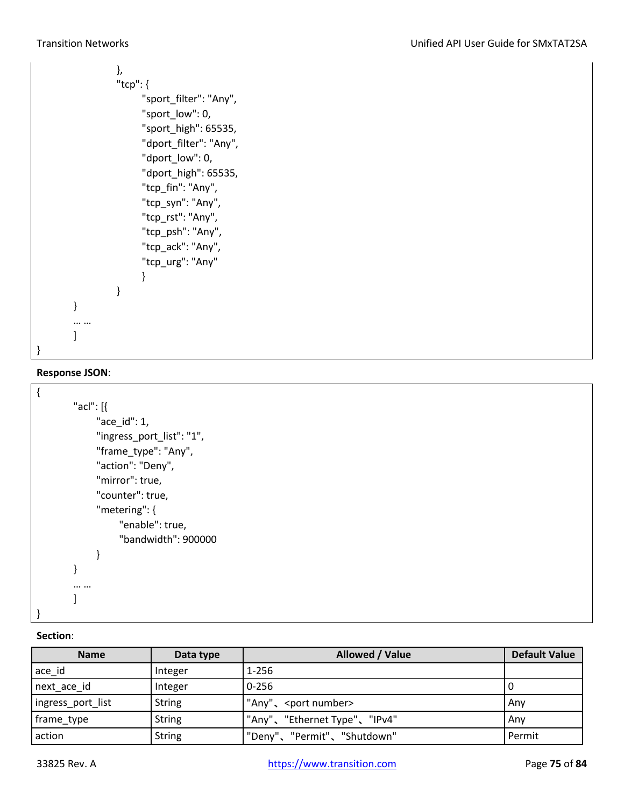|   | },                     |
|---|------------------------|
|   | "tcp": $\{$            |
|   | "sport_filter": "Any", |
|   | "sport low": 0,        |
|   | "sport_high": 65535,   |
|   | "dport filter": "Any", |
|   | "dport low": 0,        |
|   | "dport high": 65535,   |
|   | "tcp fin": "Any",      |
|   | "tcp_syn": "Any",      |
|   | "tcp rst": "Any",      |
|   | "tcp_psh": "Any",      |
|   | "tcp ack": "Any",      |
|   | "tcp urg": "Any"       |
|   | }                      |
|   | }                      |
| ł |                        |
|   |                        |
|   |                        |
|   |                        |

## **Response JSON**:



# **Section**:

| <b>Name</b>       | Data type     | Allowed / Value                | <b>Default Value</b> |
|-------------------|---------------|--------------------------------|----------------------|
| ace id            | Integer       | 1-256                          |                      |
| next_ace_id       | Integer       | $0 - 256$                      | U                    |
| ingress_port_list | <b>String</b> | "Any"、 <port number=""></port> | Anv                  |
| frame_type        | <b>String</b> | "Any"、"Ethernet Type"、"IPv4"   | Any                  |
| action            | <b>String</b> | "Deny"、"Permit"、"Shutdown"     | Permit               |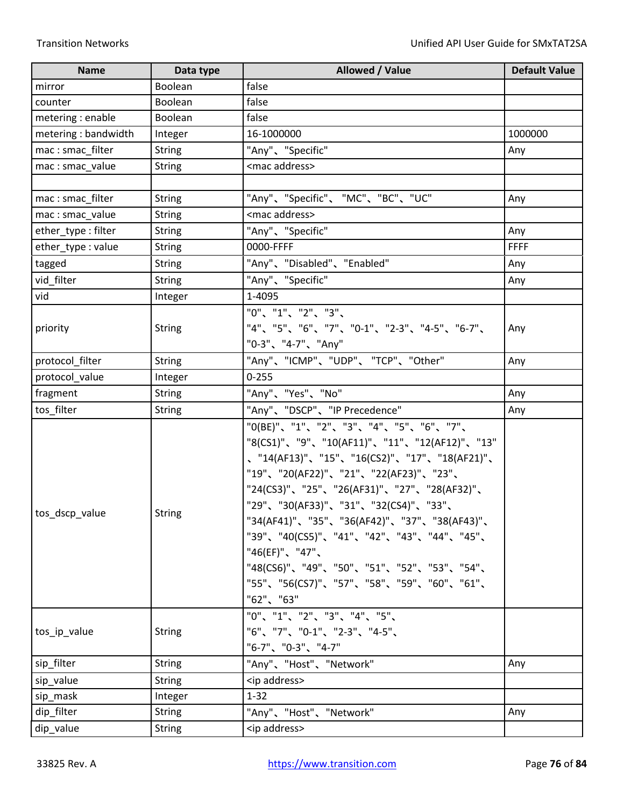| <b>Name</b>         | Data type     | <b>Allowed / Value</b>                       | <b>Default Value</b> |
|---------------------|---------------|----------------------------------------------|----------------------|
| mirror              | Boolean       | false                                        |                      |
| counter             | Boolean       | false                                        |                      |
| metering : enable   | Boolean       | false                                        |                      |
| metering: bandwidth | Integer       | 16-1000000                                   | 1000000              |
| mac: smac_filter    | <b>String</b> | "Any"、"Specific"                             | Any                  |
| mac: smac_value     | <b>String</b> | <mac address=""></mac>                       |                      |
|                     |               |                                              |                      |
| mac: smac_filter    | <b>String</b> | "Any"、"Specific"、 "MC"、 "BC"、 "UC"           | Any                  |
| mac: smac_value     | <b>String</b> | <mac address=""></mac>                       |                      |
| ether_type: filter  | <b>String</b> | "Any"、"Specific"                             | Any                  |
| ether_type: value   | <b>String</b> | 0000-FFFF                                    | <b>FFFF</b>          |
| tagged              | <b>String</b> | "Any"、"Disabled"、"Enabled"                   | Any                  |
| vid_filter          | <b>String</b> | "Any"、"Specific"                             | Any                  |
| vid                 | Integer       | 1-4095                                       |                      |
|                     |               | $"0"$ , $"1"$ , $"2"$ , $"3"$ ,              |                      |
| priority            | <b>String</b> | "4"、"5"、"6"、"7"、"0-1"、"2-3"、"4-5"、"6-7"、     | Any                  |
|                     |               | "0-3"、"4-7"、"Any"                            |                      |
| protocol_filter     | <b>String</b> | "Any"、"ICMP"、"UDP"、"TCP"、"Other"             | Any                  |
| protocol_value      | Integer       | $0 - 255$                                    |                      |
| fragment            | <b>String</b> | "Any"、"Yes"、"No"                             | Any                  |
| tos_filter          | <b>String</b> | "Any"、"DSCP"、"IP Precedence"                 | Any                  |
|                     | <b>String</b> | "0(BE)"、"1"、"2"、"3"、"4"、"5"、"6"、"7"、         |                      |
|                     |               | "8(CS1)"、"9"、"10(AF11)"、"11"、"12(AF12)"、"13" |                      |
|                     |               | 、"14(AF13)"、"15"、"16(CS2)"、"17"、"18(AF21)"、  |                      |
|                     |               | "19"、"20(AF22)"、"21"、"22(AF23)"、"23"、        |                      |
|                     |               | "24(CS3)"、"25"、"26(AF31)"、"27"、"28(AF32)"、   |                      |
|                     |               | "29"、"30(AF33)"、"31"、"32(CS4)"、"33"、         |                      |
| tos dscp value      |               | "34(AF41)"、"35"、"36(AF42)"、"37"、"38(AF43)"、  |                      |
|                     |               | "39"、"40(CS5)"、"41"、"42"、"43"、"44"、"45"、     |                      |
|                     |               | "46(EF)"、"47"、                               |                      |
|                     |               | "48(CS6)"、"49"、"50"、"51"、"52"、"53"、"54"、     |                      |
|                     |               | "55"、"56(CS7)"、"57"、"58"、"59"、"60"、"61"、     |                      |
|                     |               | "62"、"63"                                    |                      |
|                     |               | "0"、"1"、"2"、"3"、"4"、"5"、                     |                      |
| tos ip value        | <b>String</b> | "6"、"7"、"0-1"、"2-3"、"4-5"、                   |                      |
|                     |               | "6-7"、"0-3"、"4-7"                            |                      |
| sip_filter          | <b>String</b> | "Any"、"Host"、"Network"                       | Any                  |
| sip_value           | <b>String</b> | <ip address=""></ip>                         |                      |
| sip_mask            | Integer       | $1 - 32$                                     |                      |
| dip_filter          | <b>String</b> | "Any"、"Host"、"Network"                       | Any                  |
| dip_value           | <b>String</b> | <ip address=""></ip>                         |                      |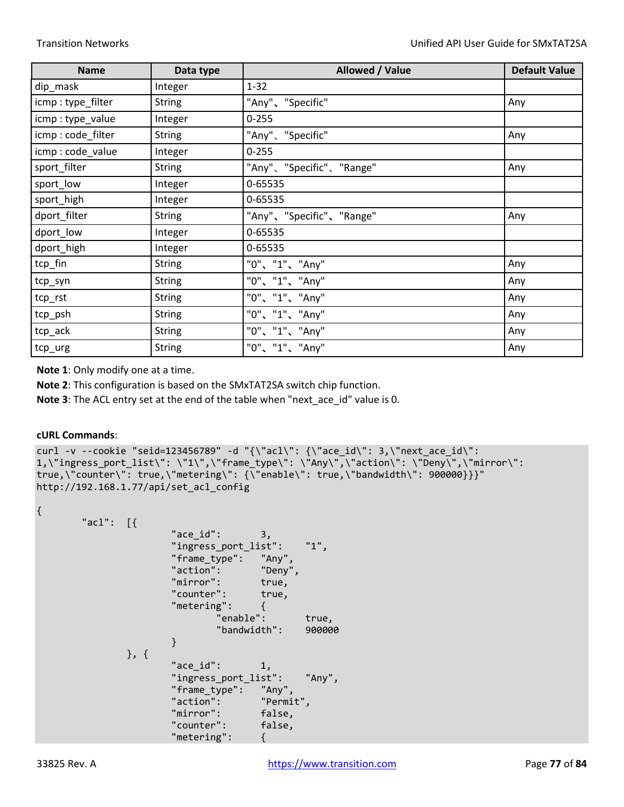| <b>Name</b>       | Data type     | <b>Allowed / Value</b>   | <b>Default Value</b> |
|-------------------|---------------|--------------------------|----------------------|
| dip_mask          | Integer       | $1 - 32$                 |                      |
| icmp: type_filter | <b>String</b> | "Any"、"Specific"         | Any                  |
| icmp: type_value  | Integer       | $0 - 255$                |                      |
| icmp: code_filter | <b>String</b> | "Any"、"Specific"         | Any                  |
| icmp: code_value  | Integer       | $0 - 255$                |                      |
| sport_filter      | <b>String</b> | "Any"、"Specific"、"Range" | Any                  |
| sport_low         | Integer       | 0-65535                  |                      |
| sport_high        | Integer       | 0-65535                  |                      |
| dport_filter      | <b>String</b> | "Any"、"Specific"、"Range" | Any                  |
| dport_low         | Integer       | 0-65535                  |                      |
| dport_high        | Integer       | 0-65535                  |                      |
| tcp_fin           | <b>String</b> | "0"、"1"、"Any"            | Any                  |
| tcp_syn           | <b>String</b> | "0"、"1"、"Any"            | Any                  |
| tcp_rst           | <b>String</b> | "0"、"1"、"Any"            | Any                  |
| tcp_psh           | <b>String</b> | "0"、"1"、"Any"            | Any                  |
| tcp_ack           | <b>String</b> | "0"、"1"、"Any"            | Any                  |
| tcp_urg           | <b>String</b> | "0"、"1"、"Any"            | Any                  |

**Note 1**: Only modify one at a time.

**Note 2**: This configuration is based on the SMxTAT2SA switch chip function.

**Note 3**: The ACL entry set at the end of the table when "next\_ace\_id" value is 0.

```
curl -v --cookie "seid=123456789" -d "{\"acl\": {\"ace_id\": 3,\"next_ace_id\": 
1,\"ingress_port_list\": \"1\",\"frame_type\": \"Any\",\"action\": \"Deny\",\"mirror\": 
true,\"counter\": true,\"metering\": {\"enable\": true,\"bandwidth\": 900000}}}" 
http://192.168.1.77/api/set_acl_config
```

```
{
      "acl": [{
                 "ace id": 3,
                  "ingress_port_list": "1",
 "frame_type": "Any",
 "action": "Deny",
                 "action": "Deny<br>"mirror": true,
                 "counter": true,
                 "metering": {
                               enable" true,
                        "bandwidth": 900000
 }
            }, {
                 "ace_id": 1, "ingress_port_list": "Any",
 "frame_type": "Any",
                 "action": "Permit",
                 "mirror": false,
                 "counter": false,
                 "metering": {
```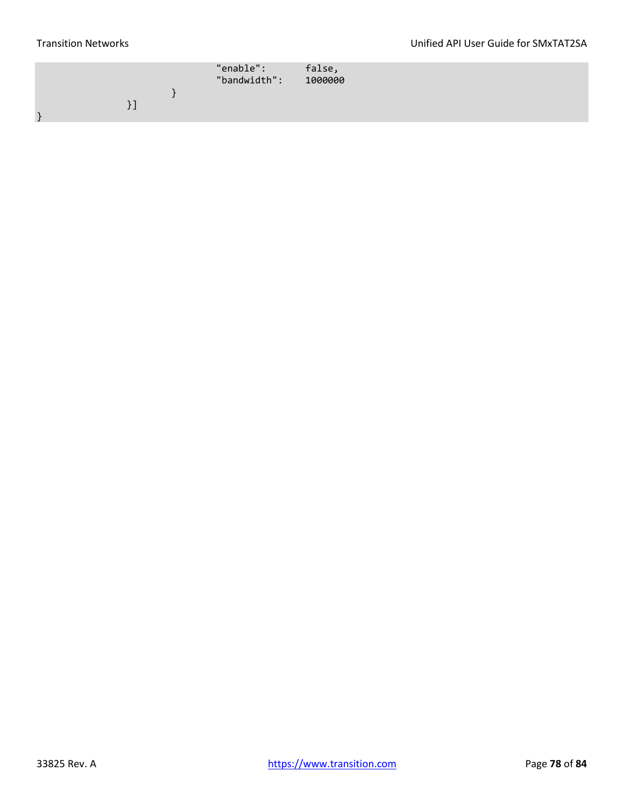|  | "enable":<br>"bandwidth": | false,<br>1000000 |
|--|---------------------------|-------------------|
|  |                           |                   |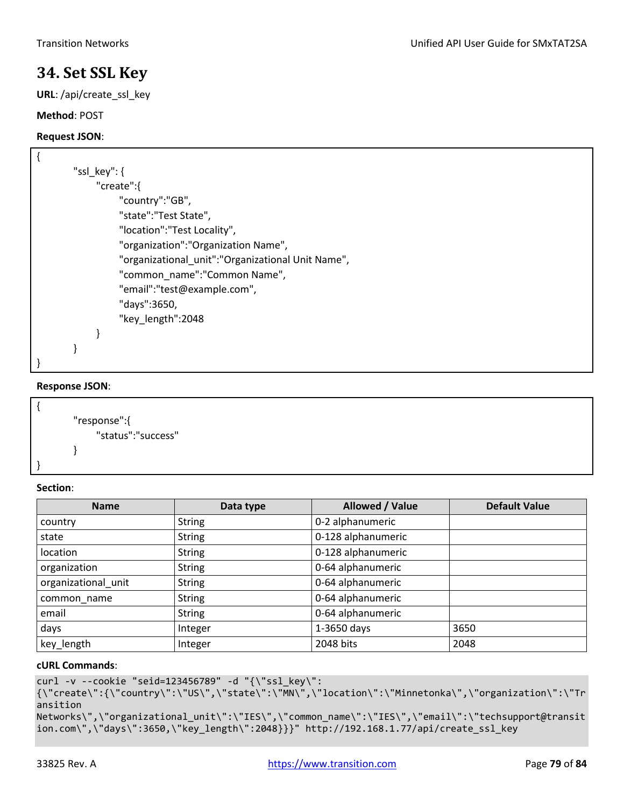**URL**: /api/create\_ssl\_key

## **Method**: POST

## **Request JSON**:

| "state":"Test State",                                       |
|-------------------------------------------------------------|
| "location":"Test Locality",                                 |
| "organization":"Organization Name",                         |
| "organizational unit":"Organizational Unit Name",           |
|                                                             |
|                                                             |
|                                                             |
|                                                             |
|                                                             |
|                                                             |
|                                                             |
| "common name":"Common Name",<br>"email":"test@example.com", |

## **Response JSON**:



## **Section**:

| <b>Name</b>         | Data type     | Allowed / Value    | <b>Default Value</b> |
|---------------------|---------------|--------------------|----------------------|
| country             | <b>String</b> | 0-2 alphanumeric   |                      |
| state               | <b>String</b> | 0-128 alphanumeric |                      |
| location            | <b>String</b> | 0-128 alphanumeric |                      |
| organization        | <b>String</b> | 0-64 alphanumeric  |                      |
| organizational unit | <b>String</b> | 0-64 alphanumeric  |                      |
| common_name         | <b>String</b> | 0-64 alphanumeric  |                      |
| email               | <b>String</b> | 0-64 alphanumeric  |                      |
| days                | Integer       | 1-3650 days        | 3650                 |
| key length          | Integer       | 2048 bits          | 2048                 |

```
curl -v --cookie "seid=123456789" -d "{\"ssl_key\": 
{\"create\":{\"country\":\"US\",\"state\":\"MN\",\"location\":\"Minnetonka\",\"organization\":\"Tr
ansition 
Networks\",\"organizational_unit\":\"IES\",\"common_name\":\"IES\",\"email\":\"techsupport@transit
ion.com\",\"days\":3650,\"key_length\":2048}}}" http://192.168.1.77/api/create_ssl_key
```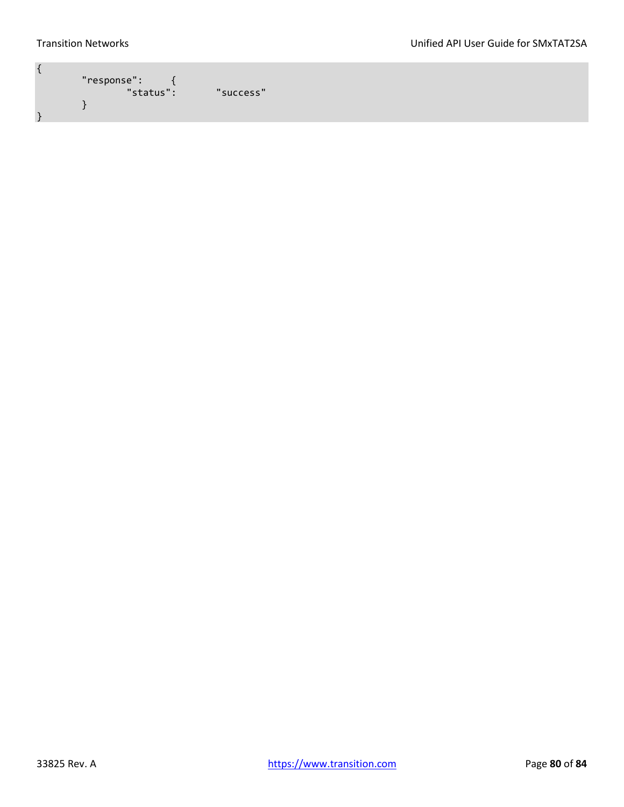```
{
 "response": {
 "status": "success"
     }
}
```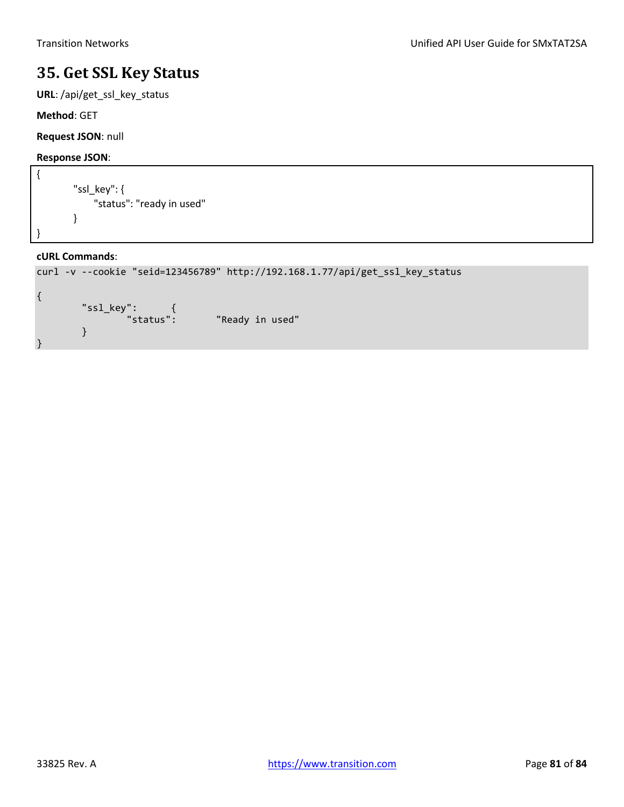# **35. Get SSL Key Status**

**URL**: /api/get\_ssl\_key\_status

**Method**: GET

**Request JSON**: null

## **Response JSON**:

```
{
        "ssl_key": {
              "status": "ready in used"
        }
}
```

```
curl -v --cookie "seid=123456789" http://192.168.1.77/api/get_ssl_key_status
{
         "ssl_key": {
                               "Ready in used"
        }
}
```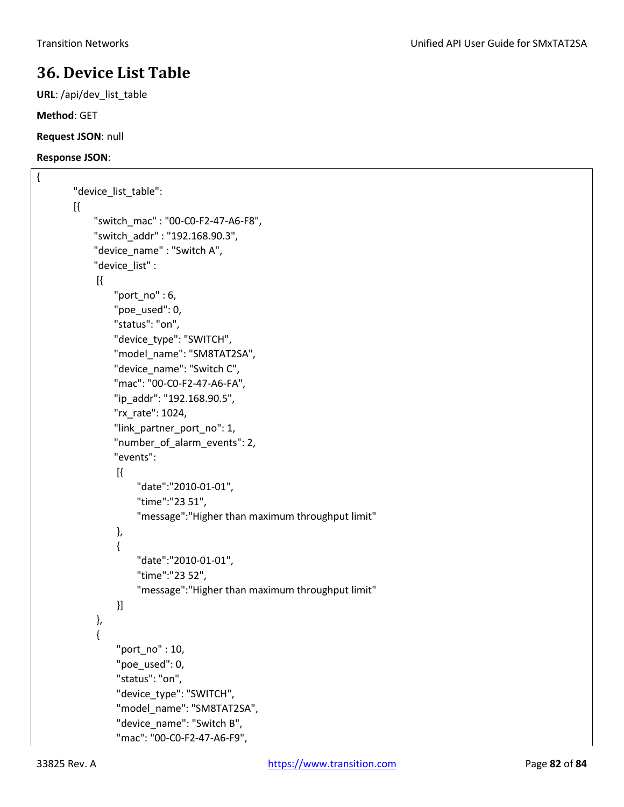# **36. Device List Table**

**URL**: /api/dev\_list\_table

**Method**: GET

**Request JSON**: null

**Response JSON**:

{

```
"device list table":
[{
     "switch_mac" : "00-C0-F2-47-A6-F8",
     "switch_addr" : "192.168.90.3",
     "device_name" : "Switch A", 
     "device_list" :
      [{
          "port_no" : 6,
          "poe_used": 0,
          "status": "on",
          "device_type": "SWITCH",
          "model_name": "SM8TAT2SA",
          "device_name": "Switch C",
          "mac": "00-C0-F2-47-A6-FA",
          "ip_addr": "192.168.90.5",
          "rx_rate": 1024,
          "link_partner_port_no": 1,
          "number_of_alarm_events": 2,
          "events":
          [{
               "date":"2010-01-01",
               "time":"23 51",
               "message":"Higher than maximum throughput limit"
          },
\overline{\mathcal{L}} "date":"2010-01-01",
               "time":"23 52",
               "message":"Higher than maximum throughput limit"
          }]
      },
      {
          "port_no" : 10,
          "poe_used": 0,
          "status": "on",
          "device_type": "SWITCH",
          "model_name": "SM8TAT2SA",
          "device_name": "Switch B",
          "mac": "00-C0-F2-47-A6-F9",
```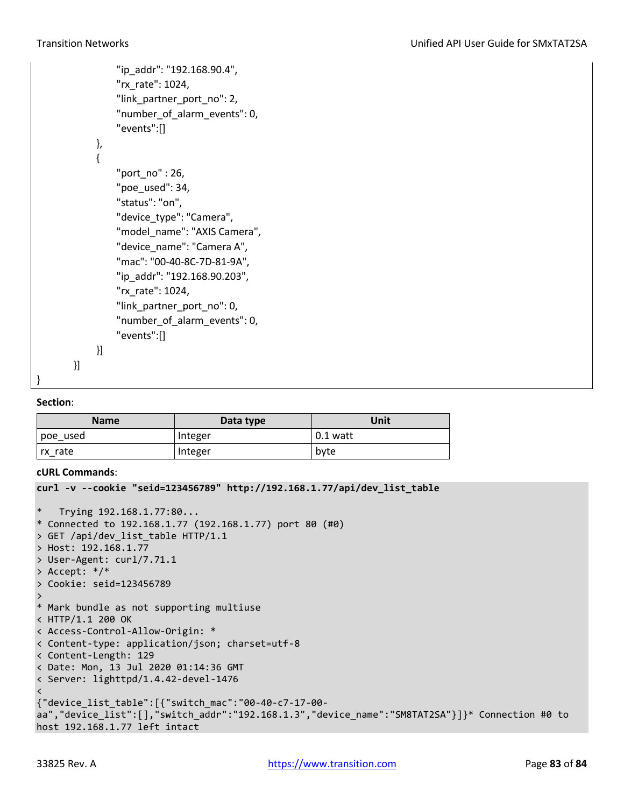```
 "ip_addr": "192.168.90.4",
           "rx_rate": 1024,
         "link partner port no": 2,
           "number_of_alarm_events": 0,
          "events":[]
      },
      {
           "port_no" : 26,
           "poe_used": 34,
           "status": "on",
          "device_type": "Camera",
           "model_name": "AXIS Camera",
          "device_name": "Camera A",
           "mac": "00-40-8C-7D-81-9A",
           "ip_addr": "192.168.90.203",
           "rx_rate": 1024,
           "link_partner_port_no": 0,
          "number of alarm events": 0,
          "events":[]
      }]
}]
```
## **Section**:

}

| <b>Name</b> | Data type | Unit     |
|-------------|-----------|----------|
| poe_used    | Integer   | 0.1 watt |
| rx rate     | Integer   | byte     |

```
curl -v --cookie "seid=123456789" http://192.168.1.77/api/dev_list_table
    Trying 192.168.1.77:80...
* Connected to 192.168.1.77 (192.168.1.77) port 80 (#0)
> GET /api/dev_list_table HTTP/1.1
> Host: 192.168.1.77
> User-Agent: curl/7.71.1
> Accept: */*
> Cookie: seid=123456789
>
* Mark bundle as not supporting multiuse
< HTTP/1.1 200 OK
< Access-Control-Allow-Origin: *
< Content-type: application/json; charset=utf-8
< Content-Length: 129
< Date: Mon, 13 Jul 2020 01:14:36 GMT
< Server: lighttpd/1.4.42-devel-1476
\overline{\phantom{a}}{"device_list_table":[{"switch_mac":"00-40-c7-17-00-
aa","device_list":[],"switch_addr":"192.168.1.3","device_name":"SM8TAT2SA"}]}* Connection #0 to 
host 192.168.1.77 left intact
```